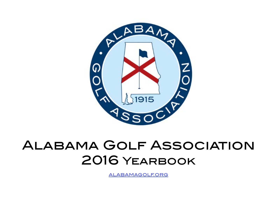

# Alabama Golf Association 2016 Yearbook

[alabamagolf.org](http://alabamagolf.org)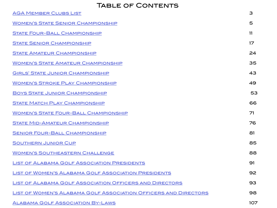## TABLE OF CONTENTS

| <b>AGA MEMBER CLUBS LIST</b>                                    | 3   |
|-----------------------------------------------------------------|-----|
| <b>WOMEN'S STATE SENIOR CHAMPIONSHIP</b>                        | 5   |
| <b>STATE FOUR-BALL CHAMPIONSHIP</b>                             | 11  |
| <b>STATE SENIOR CHAMPIONSHIP</b>                                | 17  |
| <b>STATE AMATEUR CHAMPIONSHIP</b>                               | 24  |
| <b>WOMEN'S STATE AMATEUR CHAMPIONSHIP</b>                       | 35  |
| <b>GIRLS' STATE JUNIOR CHAMPIONSHIP</b>                         | 43  |
| <b>WOMEN'S STROKE PLAY CHAMPIONSHIP</b>                         | 49  |
| <b>BOYS STATE JUNIOR CHAMPIONSHIP</b>                           | 53  |
| <b>STATE MATCH PLAY CHAMPIONSHIP</b>                            | 66  |
| <b>WOMEN'S STATE FOUR-BALL CHAMPIONSHIP</b>                     | 71  |
| <b>STATE MID-AMATEUR CHAMPIONSHIP</b>                           | 76  |
| <b>SENIOR FOUR-BALL CHAMPIONSHIP</b>                            | 81  |
| <b>SOUTHERN JUNIOR CUP</b>                                      | 85  |
| <b>WOMEN'S SOUTHEASTERN CHALLENGE</b>                           | 88  |
| <b>LIST OF ALABAMA GOLF ASSOCIATION PRESIDENTS</b>              | 91  |
| <b>LIST OF WOMEN'S ALABAMA GOLF ASSOCIATION PRESIDENTS</b>      | 92  |
| <b>LIST OF ALABAMA GOLF ASSOCIATION OFFICERS AND DIRECTORS</b>  | 93  |
| LIST OF WOMEN'S ALABAMA GOLF ASSOCIATION OFFICERS AND DIRECTORS | 98  |
| <b>ALABAMA GOLF ASSOCIATION BY-LAWS</b>                         | 107 |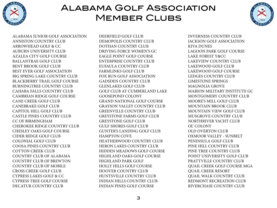<span id="page-2-0"></span>

# Alabama Golf Association **MEMBER CLUBS**



ALABAMA JUNIOR GOLF ASSOCIATION ANNISTON COUNTRY CLUB ARROWHEAD GOLF & CC AUBURN UNIVERSITY CLUB AZALEA CITY GOLF COURSE BALLANTRAE GOLF CLUB BENT BROOK GOLF CLUB BEST EVER GOLF ASSOCIATION BIG SPRING LAKE COUNTRY CLUB BLACKBERRY TRAIL GOLF COURSE BURNINGTREE COUNTRY CLUB CAHABA FALLS COUNTRY CLUB CAMBRIAN RIDGE GOLF COURSE CANE CREEK GOLF CLUB CANEBRAKE GOLF CLUB CAPITOL HILL GOLF CLUB CASTLE PINES COUNTRY CLUB CC OF BIRMINGHAM CHEROKEE RIDGE COUNTRY CLUB CHESLEY OAKS GOLF COURSE CIDER RIDGE GOLF CLUB COLONIAL GOLF CLUB COOSA PINES COUNTRY CLUB COTTON CREEK CLUB COUNTRY CLUB OF ALABAMA COUNTRY CLUB OF BREWTON COUNTRY CLUB OF MOBILE CROSS CREEK GOLF CLUB CYPRESS LAKES GOLF & CC CYPRESS TREE GOLF COURSE DECATUR COUNTRY CLUB

DEERFIELD GOLF CLUB DEMOPOLIS COUNTRY CLUB DOTHAN COUNTRY CLUB DRIVING FORCE WOMEN'S GC EAGLE POINT GOLF COURSE ENTERPRISE COUNTRY CLUB EUFAULA COUNTRY CLUB FARMLINKS GOLF CLUB FOX RUN GOLF ASSOCIATION GADSDEN COUNTRY CLUB GLENLAKES GOLF CLUB GOLF CLUB AT CUMBERLAND LAKE GOOSEPOND COLONY GRAND NATIONAL GOLF COURSE GRAYSON VALLEY COUNTRY CLUB GREENVILLE COUNTRY CLUB GREYSTONE FARMS GOLF CLUB GREYSTONE GOLF CLUB GULF SHORES GOLF CLUB GUNTER'S LANDING GOLF CLUB HAMPTON COVE HEATHERWOOD COUNTRY CLUB HERON LAKES COUNTRY CLUB HIDDEN MEADOWS GOLF COURSE HIGHLAND OAKS GOLF COURSE HIGHLAND PARK GOLF HOLLY HILLS GOLF COURSE HOOVER COUNTRY CLUB HUNTSVILLE COUNTRY CLUB INDIAN HILLS COUNTRY CLUB INDIAN PINES GOLF COURSE

INVERNESS COUNTRY CLUB JACKSON GOLF ASSOCIATION KIVA DUNES LAGOON PARK GOLF COURSE LAKE FOREST Y&CC LAKEVIEW COUNTRY CLUB LAKEWOOD GOLF CLUB LAKEWOOD GOLF COURSE LEDGES COUNTRY CLUB LIMESTONE SPRINGS MAGNOLIA GROVE MARION MILITARY INSTITUTE GC MONTGOMERY COUNTRY CLUB MOORE'S MILL GOLF CLUB MOUNTAIN BROOK CLUB MOUNTAIN VIEW GOLF CLUB MUSGROVE COUNTRY CLUB NORTHRIVER YACHT CLUB OL' COLONY OLD OVERTON CLUB OXMOOR VALLEY - SUNBELT PENINSULA GOLF CLUB PINE HILL COUNTRY CLUB PINE TREE COUNTRY CLUB POINT UNIVERSITY GOLF CLUB PRATTVILLE COUNTRY CLUB QUAIL CREEK GOLF COURSE MGA QUAIL CREEK RESORT QUAIL WALK COUNTRY CLUB REDMONT RECREATION CLUB RIVERCHASE COUNTRY CLUB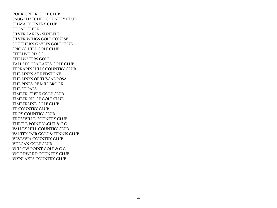ROCK CREEK GOLF CLUB SAUGAHATCHEE COUNTRY CLUB SELMA COUNTRY CLUB SHOAL CREEK SILVER LAKES - SUNBELT SILVER WINGS GOLF COURSE SOUTHERN GAYLES GOLF CLUB SPRING HILL GOLF CLUB STEELWOOD CC STILLWATERS GOLF TALLAPOOSA LAKES GOLF CLUB TERRAPIN HILLS COUNTRY CLUB THE LINKS AT REDSTONE THE LINKS OF TUSCALOOSA THE PINES OF MILLBROOK THE SHOALS TIMBER CREEK GOLF CLUB TIMBER RIDGE GOLF CLUB TIMBERLINE GOLF CLUB TP COUNTRY CLUB TROY COUNTRY CLUB TRUSSVILLE COUNTRY CLUB TURTLE POINT YACHT & C C VALLEY HILL COUNTRY CLUB VANITY FAIR GOLF & TENNIS CLUB VESTAVIA COUNTRY CLUB VULCAN GOLF CLUB WILLOW POINT GOLF & C C WOODWARD COUNTRY CLUB WYNLAKES COUNTRY CLUB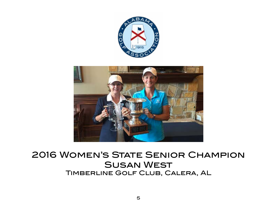

<span id="page-4-0"></span>

# 2016 Women's State Senior Champion Susan West Timberline Golf Club, Calera, AL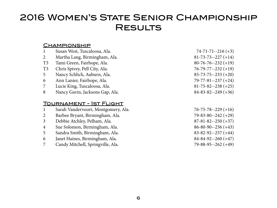# 2016 Women's State Senior Championship **RESULTS**

#### **CHAMPIONSHIP**

| Susan West, Tuscaloosa, Ala.        | $74 - 71 - 71 - 216 (+3)$       |
|-------------------------------------|---------------------------------|
| Martha Lang, Birmingham, Ala.       | $81-73-73-227 (+14)$            |
| Tami Green, Fairhope, Ala.          | $80-76-76-232 (+19)$            |
| Chris Spivey, Pell City, Ala.       | $76 - 79 - 77 - 232 + 19$       |
| Nancy Schlich, Auburn, Ala.         | $85 - 73 - 75 - 233 + 20$       |
| Ann Lanier, Fairhope, Ala.          | $79 - 77 - 81 - 237 + 24$       |
| Lucie King, Tuscaloosa, Ala.        | $81 - 75 - 82 - 238 + 25$       |
| Nancy Gavin, Jacksons Gap, Ala.     | $84 - 83 - 82 - 249 + 36$       |
|                                     |                                 |
|                                     |                                 |
| Sarah Vandervoort, Montgomery, Ala. | $76 - 75 - 78 - 229 + 16$       |
| Barbee Bryant, Birmingham, Ala.     | $79 - 83 - 80 - 242 + 29$       |
| Debbie Atchley, Pelham, Ala.        | $87 - 81 - 82 - 250 (+37)$      |
| Sue Solomon, Birmingham, Ala.       | $86 - 80 - 90 - 256 (+43)$      |
| Sandra Smith, Birmingham, Ala.      | $83 - 82 - 92 - 257 + 44)$      |
| Janet Haines, Birmingham, Ala.      | $84 - 84 - 92 - 260 + 47$       |
| Candy Mitchell, Springville, Ala.   | $79 - 88 - 95 - 262 + 49$       |
|                                     | <u> TOURNAMENT - IST FLIGHT</u> |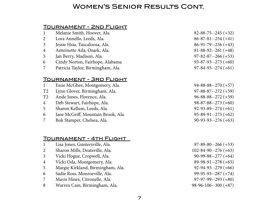## Women's Senior Results Cont.

### Tournament - 2nd Flight

- Melanie Smith, Hoover, Ala. 82-88-75--245 (+32)
- Lora Annello, Leeds, Ala. 86-87-81--254 (+41)
- Jessie Hsia, Tuscaloosa, Ala. 86-91-79--256 (+43)
- Antoinette Aila, Ozark, Ala. 81-88-92--261 (+48)
- Jan Berry, Madison, Ala. 97-82-87--266 (+53)
- Cindy Norton, Fairhope, Alabama 93-87-93--273 (+60)
- Patricia Taylor, Birmingham, Ala. 97-84-93--274 (+61)

## Tournament - 3rd Flight

 Essie McGhee, Montgomery, Ala. 94-88-88--270 (+57) T2 Lynn Glover, Birmingham, Ala. 97-88-87--272 (+59) T2 Ande Jones, Florence, Ala. 96-88-88--272 (+59) Deb Stewart, Fairhope, Ala. 98-87-88--273 (+60) Sharon Kellum, Leeds, Ala. 92-93-89--274 (+61) Jane McGriff, Mountain Brook, Ala. 95-89-91--275 (+62) Bok Stamper, Chelsea, Ala. 90-93-93--276 (+63)

#### Tournament - 4th Flight

- Lisa Jones, Guntersville, Ala. 97-89-80--266 (+53)
- Sharon Mills, Deatsville, Ala. 102-84-90--276 (+63)
- Vicki Hogue, Cropwell, Ala. 90-99-88--277 (+64)
- Vicki Oda, Montgomery, Ala. 89-98-91--278 (+65)
- Margie Kirkland, Birmingham, Ala. 92-94-93--279 (+66)
- Sadie Ross, Monroeville, Ala. 99-95-93--287 (+74)
- Mavis Hines, Citronelle, Ala. 97-97-99--293 (+80)
- Warren Cain, Birmingham, Ala. 98-96-106--300 (+87)
- 
-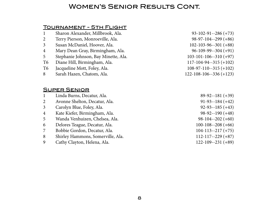## Women's Senior Results Cont.

## Tournament - 5th Flight

| $\mathbf 1$    | Sharon Alexander, Millbrook, Ala.    | $93-102-91-286(+73)$           |
|----------------|--------------------------------------|--------------------------------|
| $\overline{2}$ | Terry Pierson, Monroeville, Ala.     | $98-97-104-299 (+86)$          |
| 3 <sup>1</sup> | Susan McDaniel, Hoover, Ala.         | $102 - 103 - 96 - -301 (+88)$  |
| $\overline{4}$ | Mary Dean Gray, Birmingham, Ala.     | $96-109-99-304 (+91)$          |
| 5              | Stephanie Johnson, Bay Minette, Ala. | $103 - 101 - 106 - -310 (+97)$ |
| Т6             | Diane Hill, Birmingham, Ala.         | $117 - 104 - 94 - 315 (+102)$  |
| Т6             | Jacqueline Mott, Foley, Ala.         | $108-97-110-315 (+102)$        |
| 8              | Sarah Hazen, Chatom, Ala.            | $122 - 108 - 106 - 336 (+123)$ |
|                |                                      |                                |

### Super Senior

|                | Linda Burns, Decatur, Ala.        | $89-92-181 (+39)$       |
|----------------|-----------------------------------|-------------------------|
| $\overline{2}$ | Avonne Shelton, Decatur, Ala.     | $91-93-184 (+42)$       |
| $\overline{3}$ | Carolyn Blue, Foley, Ala.         | $92-93-185 (+43)$       |
| $\overline{4}$ | Kate Kiefer, Birmingham, Ala.     | $98-92-190 (+48)$       |
| 5              | Wanda Venhuizen, Chelsea, Ala.    | $98-104-202 (+60)$      |
| 6              | Delores Teague, Decatur, Ala.     | $100-108-208(+66)$      |
| $\overline{7}$ | Bobbie Gordon, Decatur, Ala.      | $104-113-217 (+75)$     |
| 8              | Shirley Hammons, Somerville, Ala. | $112 - 117 - 229 (+87)$ |
| 9              | Cathy Clayton, Helena, Ala.       | $122 - 109 - 231 (+89)$ |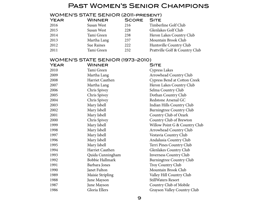## Past Women's Senior Champions

### WOMEN'S STATE SENIOR (2011-present)

| <b>YEAR</b> | <b>WINNER</b> | <b>SCORE SITE</b> |                                |
|-------------|---------------|-------------------|--------------------------------|
| 2016        | Susan West    | 216               | Timberline Golf Club           |
| 2015        | Susan West    | 228               | Glenlakes Golf Club            |
| 2014        | Tami Green    | 238               | Heron Lakes Country Club       |
| 2013        | Martha Lang   | 237               | Mountain Brook Club            |
| 2012        | Sue Raines    | 222               | Huntsville Country Club        |
| 2011        | Tami Green    | 232               | Prattville Golf & Country Club |
|             |               |                   |                                |

#### WOMEN'S STATE SENIOR (1973-2010)

| YEAR | WINNER           | <b>SITE</b>                     |
|------|------------------|---------------------------------|
| 2010 | Tami Green       | <b>Cypress Lakes</b>            |
| 2009 | Martha Lang      | Arrowhead Country Club          |
| 2008 | Harriet Cauthen  | Cypress Bend at Cotton Creek    |
| 2007 | Martha Lang      | Heron Lakes Country Club        |
| 2006 | Chris Spivey     | Selma Country Club              |
| 2005 | Chris Spivey     | Dothan Country Club             |
| 2004 | Chris Spivey     | Redstone Arsenal GC             |
| 2003 | Mary Isbell      | Indian Hills Country Club       |
| 2002 | Mary Isbell      | <b>Burningtree Country Club</b> |
| 2001 | Mary Isbell      | Country Club of Ozark           |
| 2000 | Chris Spivey     | Country Club of Brewton         |
| 1999 | Mary Isbell      | Willow Point G & Country Club   |
| 1998 | Mary Isbell      | Arrowhead Country Club          |
| 1997 | Mary Isbell      | Vestavia Country Club           |
| 1996 | Mary Isbell      | Andalusia Country Club          |
| 1995 | Mary Isbell      | Terri Pines Country Club        |
| 1994 | Harriet Cauthen  | Glenlakes Country Club          |
| 1993 | Quida Cunningham | <b>Inverness Country Club</b>   |
| 1992 | Bobbie Hallmark  | <b>Burningtree Country Club</b> |
| 1991 | Barbara Jones    | Troy Country Club               |
| 1990 | Janet Fulton     | Mountain Brook Club             |
| 1989 | Maisie Stripling | Valley Hill Country Club        |
| 1988 | June Mayson      | <b>StillWaters Resort</b>       |
| 1987 | June Mayson      | Country Club of Mobile          |
| 1986 | Gloria Ellers    | Grayson Valley Country Club     |
|      |                  |                                 |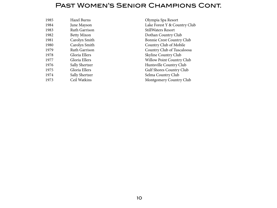## Past Women's Senior Champions Cont.

| 1985 | <b>Hazel Burns</b>   |
|------|----------------------|
| 1984 | June Mayson          |
| 1983 | Ruth Garrison        |
| 1982 | <b>Betty Mixon</b>   |
| 1981 | Carolyn Smith        |
| 1980 | Carolyn Smith        |
| 1979 | <b>Ruth Garrison</b> |
| 1978 | Gloria Ellers        |
| 1977 | Gloria Ellers        |
| 1976 | Sally Shertzer       |
| 1975 | Gloria Ellers        |
| 1974 | Sally Shertzer       |
| 1973 | Ceil Watkins         |
|      |                      |

Olympia Spa Resort Lake Forest Y & Country Club StillWaters Resort Dothan Country Club Bonnie Crest Country Club Country Club of Mobile Country Club of Tuscaloosa Skyline Country Club Willow Point Country Club Huntsville Country Club Gulf Shores Country Club Selma Country Club Montgomery Country Club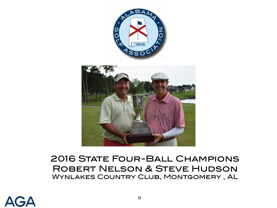<span id="page-10-0"></span>

# **2016 STATE FOUR-BALL CHAMPIONS** Robert Nelson & Steve Hudson Wynlakes Country Club, Montgomery , AL

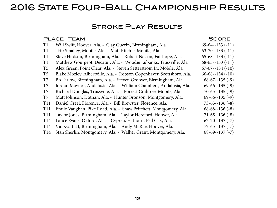# 2016 STATE FOUR-BALL CHAMPIONSHIP RESULTS

## Stroke Play Results

| $69-64-133(-11)$<br>T1<br>Will Swift, Hoover, Ala. - Clay Guerin, Birmingham, Ala.<br>Trip Smalley, Mobile, Ala. - Matt Ritchie, Mobile, Ala.<br>T1 | $63 - 70 - 133(-11)$ |
|-----------------------------------------------------------------------------------------------------------------------------------------------------|----------------------|
|                                                                                                                                                     |                      |
|                                                                                                                                                     |                      |
| $65 - 68 - 133(-11)$<br>T1<br>Steve Hudson, Birmingham, Ala. - Robert Nelson, Fairhope, Ala.                                                        |                      |
| T1<br>Matthew Gourgeot, Decatur, Ala. - Woodie Eubanks, Trussville, Ala.<br>$68-65-133(-11)$                                                        |                      |
| T <sub>5</sub><br>Alex Green, Point Clear, Ala. - Steven Setterstrom Jr., Mobile, Ala.<br>$67 - 67 - 134$ (-10)                                     |                      |
| T <sub>5</sub><br>Blake Mozley, Albertville, Ala. - Robson Copenhaver, Scottsboro, Ala.<br>$66 - 68 - 134 (-10)$                                    |                      |
| T7<br>$68-67-135(-9)$<br>Bo Farlow, Birmingham, Ala. - Steven Groover, Birmingham, Ala.                                                             |                      |
| T7<br>$69-66-135(-9)$<br>Jordan Maynor, Andalusia, Ala. - William Chambers, Andalusia, Ala.                                                         |                      |
| T <sub>7</sub><br>Richard Douglas, Trussville, Ala. - Forrest Crabtree, Mobile, Ala.<br>$70-65-135(-9)$                                             |                      |
| T7<br>Matt Johnson, Dothan, Ala. - Hunter Bronson, Montgomery, Ala.<br>$69-66-135(-9)$                                                              |                      |
| <b>T11</b><br>Daniel Creel, Florence, Ala. - Bill Brewster, Florence, Ala.<br>$73 - 63 - 136(-8)$                                                   |                      |
| Emile Vaughan, Pike Road, Ala. - Shaw Pritchett, Montgomery, Ala.<br><b>T11</b><br>$68-68-136(-8)$                                                  |                      |
| Taylor Jones, Birmingham, Ala. - Taylor Hereford, Hoover, Ala.<br>$71-65-136(-8)$<br><b>T11</b>                                                     |                      |
| Lance Evans, Oxford, Ala. - Cypress Hathorn, Pell City, Ala.<br>$67 - 70 - 137$ (-7)<br>T <sub>14</sub>                                             |                      |
| Vic Kyatt III, Birmingham, Ala. - Andy McRae, Hoover, Ala.<br>$72 - 65 - 137(-7)$<br>T <sub>14</sub>                                                |                      |
| Stan Sherlin, Montgomery, Ala. - Walker Grant, Montgomery, Ala.<br>$68-69-137(-7)$<br>T <sub>14</sub>                                               |                      |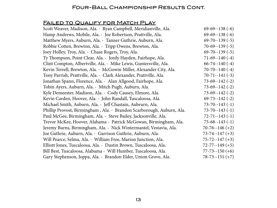## Four-Ball Championship Results Cont.

### FAILED TO QUALIFY FOR MATCH PLAY

| Scott Weaver, Madison, Ala. - Ryan Campbell, Meridianville, Ala.      | $69-69-138(-6)$      |
|-----------------------------------------------------------------------|----------------------|
| Hamp Andrews, Mobile, Ala. - Joe Robertson, Prattville, Ala.          | $69-69-138(-6)$      |
| Matthew Myers, Auburn, Ala. - Tanner Guthrie, Auburn, Ala.            | $69 - 70 - 139(-5)$  |
| Robbie Cotten, Brewton, Ala. - Tripp Owens, Brewton, Ala.             | $70-69-139(-5)$      |
| Joey Holley, Troy, Ala. - Chase Rogers, Troy, Ala.                    | $69 - 70 - 139(-5)$  |
| Ty Thompson, Point Clear, Ala. - Jordy Hayden, Fairhope, Ala.         | $71-69-140(-4)$      |
| Clint Compton, Albertville, Ala. - Mike Lewis, Guntersville, Ala.     | $66 - 74 - 140(-4)$  |
| Kevin Terrell, Brewton, Ala. - McGowin Miller, Alexander City, Ala.   | $70 - 70 - 140(-4)$  |
| Tony Parrish, Prattville, Ala. - Clark Alexander, Prattville, Ala.    | $70-71-141$ (-3)     |
| Jonathan Spann, Florence, Ala. - Alan Allgood, Fairhope, Ala.         | $73-69-142$ (-2)     |
| Tobin Ayers, Auburn, Ala. - Mitch Pugh, Auburn, Ala.                  | $73-69-142$ (-2)     |
| Kyle Demeester, Madison, Ala. - Cody Causey, Elmore, Ala.             | $73-69-142$ (-2)     |
| Kevin Carden, Hoover, Ala. - John Randall, Tuscaloosa, Ala.           | $69 - 73 - 142(-2)$  |
| Michael Smith, Auburn, Ala. - Jeff Chastain, Aubrurn, Ala.            | $73 - 70 - 143(-1)$  |
| Phillip Provost, Birmingham, Ala. - Brandon Scarborough, Auburn, Ala. | $73 - 70 - 143(-1)$  |
| Paul McGee, Birmingham, Ala. - Steve Bailey, Jacksonville, Ala.       | $72 - 71 - 143$ (-1) |
| Trevor McKee, Hoover, Alabama - Patrick McGowan, Birmingham, Ala.     | $75-68-143(-1)$      |
| Jeremy Burns, Birmingham, Ala. - Nick Wintermantel, Vestavia, Ala.    | $70-76-146 (+2)$     |
| Joe Guthrie, Auburn, Ala. - Garrison Guthrie, Auburn, Ala.            | $73 - 74 - 147 (+3)$ |
| Will Pearce, Selma, Ala. - William Free, Marion Junction, Ala.        | $75 - 72 - 147 (+3)$ |
| Elliott Jones, Tuscaloosa, Ala. - Dustin Brown, Tuscaloosa, Ala.      | $72 - 77 - 149 (+5)$ |
| Bill Best, Tuscaloosa, Alabama - Will Humber, Tuscaloosa, Ala.        | $77 - 73 - 150 (+6)$ |
| Gary Stephenson, Joppa, Ala. - Brandon Elder, Union Grove, Ala.       | $78 - 73 - 151 (+7)$ |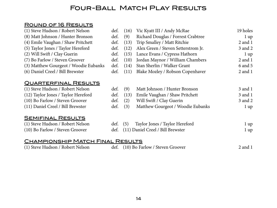## Four-Ball Match Play Results

## Round of 16 Results

| (1) Steve Hudson / Robert Nelson      | def. | (16) | Vic Kyatt III / Andy McRae          | 19 holes       |
|---------------------------------------|------|------|-------------------------------------|----------------|
| (8) Matt Johnson / Hunter Bronson     | def. | (9)  | Richard Douglas / Forrest Crabtree  | $1 \text{ up}$ |
| (4) Emile Vaughan / Shaw Pritchett    | def. | (13) | Trip Smalley / Matt Ritchie         | $2$ and $1$    |
| (5) Taylor Jones / Taylor Hereford    | def. | (12) | Alex Green / Steven Setterstrom Jr. | 3 and 2        |
| (2) Will Swift / Clay Guerin          | def. | (15) | Lance Evans / Cypress Hathorn       | $1 \text{ up}$ |
| (7) Bo Farlow / Steven Groover        | def. | (10) | Jordan Maynor / William Chambers    | $2$ and $1$    |
| (3) Matthew Gourgeot / Woodie Eubanks | def. | (14) | Stan Sherlin / Walker Grant         | 6 and 5        |
| (6) Daniel Creel / Bill Brewster      | def. | (11) | Blake Mozley / Robson Copenhaver    | $2$ and $1$    |
| <u>QUARTERFINAL RESULTS</u>           |      |      |                                     |                |
| (1) Steve Hudson / Robert Nelson      | def. | (9)  | Matt Johnson / Hunter Bronson       | 3 and 1        |
| (12) Taylor Jones / Taylor Hereford   | def. | (13) | Emile Vaughan / Shaw Pritchett      | 3 and 1        |
| (10) Bo Farlow / Steven Groover       | def. | (2)  | Will Swift / Clay Guerin            | 3 and 2        |
| (11) Daniel Creel / Bill Brewster     | def. | (3)  | Matthew Gourgeot / Woodie Eubanks   | $1 \text{ up}$ |
| <u>SEMIFINAL RESULTS</u>              |      |      |                                     |                |
| (1) Steve Hudson / Robert Nelson      | def. | (5)  | Taylor Jones / Taylor Hereford      | $1 \text{ up}$ |
| (10) Bo Farlow / Steven Groover       | def. |      | (11) Daniel Creel / Bill Brewster   | 1 up           |
|                                       |      |      |                                     |                |

## CHAMPIONSHIP MATCH FINAL RESULTS

| (1) Steve Hudson / Robert Nelson |  | def. (10) Bo Farlow / Steven Groover | $2$ and $1$ |
|----------------------------------|--|--------------------------------------|-------------|
|----------------------------------|--|--------------------------------------|-------------|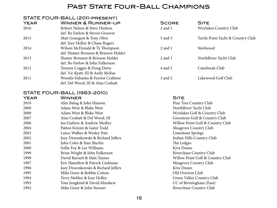## PAST STATE FOUR-BALL CHAMPIONS

#### STATE FOUR-BALL (2011-present)

| <b>YEAR</b> | <b>WINNER &amp; RUNNER-UP</b>        | <b>SCORE</b> | <b>SITE</b>                       |
|-------------|--------------------------------------|--------------|-----------------------------------|
| 2016        | Robert Nelson & Steve Hudson         | $2$ and $1$  | Wynlakes Country Club             |
|             | def. Bo Farlow & Steven Groover      |              |                                   |
| 2015        | Matt Gourgeot & Tony Olive           | 5 and 3      | Turtle Point Yacht & Country Club |
|             | def. Joey Holley & Chase Rogers      |              |                                   |
| 2014        | Wilson McDonald & Ty Thompson        | $2$ and $1$  | Steelwood                         |
|             | def. Hunter Bronson & Brinson Holder |              |                                   |
| 2013        | Hunter Bronson & Brinson Holder      | $2$ and $1$  | NorthRiver Yacht Club             |
|             | def. Bo Farlow & John Fulkerson      |              |                                   |
| 2012        | Tommy Coggin & Doug Davis            | 4 and 2      | Canebreak Club                    |
|             | def. Vic Kyatt, III & Andy McRae     |              |                                   |
| 2011        | Woodie Eubanks & Forrest Crabtree    | 3 and 2      | Lakewood Golf Club                |
|             | def. Del Wood, III & Alan Coshatt    |              |                                   |

## STATE FOUR-BALL (1983-2010)

| <b>YEAR</b> | WINNER                             | <b>SITE</b>        |
|-------------|------------------------------------|--------------------|
| 2010        | Alex Balog & John Hanson           | Pine Tree C        |
| 2009        | Adam West & Blake West             | NorthRiver         |
| 2008        | Adam West & Blake West             | Wynlakes G         |
| 2007        | Alan Coshatt & Del Wood, III       | Greystone (        |
| 2006        | Joe Guthrie & Andrew Medley        | <b>Willow Poil</b> |
| 2004        | Patton Kizzire & Gator Todd        | Musgrove C         |
| 2003        | Lance Walker & Wesley Pate         | Limestone 9        |
| 2002        | Joey Dzwonkowski & Richard Jeffers | Indian Hills       |
| 2001        | John Coles & Stan Sherlin          | The Ledges         |
| 2000        | Sollie Foy & Lee Williams          | Kiva Dunes         |
| 1999        | Brian Wright & John Fulkerson      | Riverchase         |
| 1998        | David Barnett & Matt Tanner        | <b>Willow Poil</b> |
| 1997        | Eric Hamilton & Patrick Cushman    | Musgrove C         |
| 1996        | Joey Dzwonkowski & Richard Jeffers | Kiva Dunes         |
| 1995        | Mike Greer & Robbie Cotton         | Old Overto         |
| 1994        | Terry Mobley & Joey Holley         | Green Valle        |
| 1993        | Tom Jungkind & David Minshew       | CC of Birm         |
| 1992        | Mike Greer & John Stewart          | Riverchase         |
|             |                                    |                    |

Pine Tree Country Club NorthRiver Yacht Club Wynlakes Golf & Country Club Greystone Golf & Country Club Willow Point Golf & Country Club Musgrove Country Club Limestone Springs Indian Hills Country Club The Ledges Riverchase Country Club Willow Point Golf & Country Club Musgrove Country Club Old Overton Club Green Valley Country Club CC of Birmingham (East) Riverchase Country Club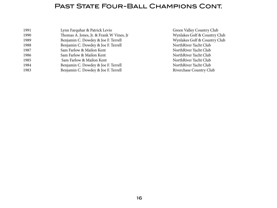## PAST STATE FOUR-BALL CHAMPIONS CONT.

| 1991 | Lynn Farquhar & Patrick Levio             |
|------|-------------------------------------------|
| 1990 | Thomas A. Jones, Jr. & Frank W Vines, Jr. |
| 1989 | Benjamin C. Dowdey & Joe F. Terrell       |
| 1988 | Benjamin C. Dowdey & Joe F. Terrell       |
| 1987 | Sam Farlow & Mailon Kent                  |
| 1986 | Sam Farlow & Mailon Kent                  |
| 1985 | Sam Farlow & Mailon Kent                  |
| 1984 | Benjamin C. Dowdey & Joe F. Terrell       |
| 1983 | Benjamin C. Dowdey & Joe F. Terrell       |
|      |                                           |

Green Valley Country Club Wynlakes Golf & Country Club Wynlakes Golf & Country Club NorthRiver Yacht Club NorthRiver Yacht Club NorthRiver Yacht Club NorthRiver Yacht Club NorthRiver Yacht Club Riverchase Country Club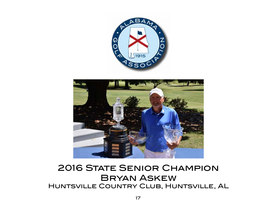

<span id="page-16-0"></span>

# **2016 STATE SENIOR CHAMPION** Bryan Askew Huntsville Country Club, Huntsville, AL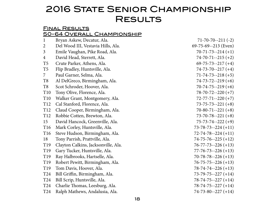# **2016 STATE SENIOR CHAMPIONSHIP RESULTS**

#### Final Results 50-64 Overall Championship

| $\mathbf{1}$    | Bryan Askew, Decatur, Ala.          | $71 - 70 - 70 - 211(-2)$   |
|-----------------|-------------------------------------|----------------------------|
| $\overline{c}$  | Del Wood III, Vestavia Hills, Ala.  | $69-75-69-213$ (Even)      |
| $\overline{3}$  | Emile Vaughan, Pike Road, Ala.      | $70-71-73-214 (+1)$        |
| 4               | David Head, Sterrett, Ala.          | $74 - 70 - 71 - -215 (+2)$ |
| T5              | Crute Parker, Athens, Ala.          | $69 - 75 - 73 - 217 + 4$   |
| T5              | Flip Bradley, Huntsville, Ala.      | $74 - 73 - 70 - 217 + 4$   |
| 7               | Paul Garner, Selma, Ala.            | $71 - 74 - 73 - 218 (+5)$  |
| T8              | Al DelGreco, Birmingham, Ala.       | $74 - 73 - 72 - 219 + 6$   |
| T8              | Scot Schroder, Hoover, Ala.         | $70-74-75-219(+6)$         |
| T <sub>10</sub> | Tony Olive, Florence, Ala.          | $78 - 70 - 72 - 220 (+7)$  |
| T10             | Walker Grant, Montgomery, Ala.      | $72 - 77 - 71 - 220$ (+7)  |
| T <sub>12</sub> | Cal Stanford, Florence, Ala.        | $73 - 75 - 73 - 221 (+8)$  |
| T <sub>12</sub> | Claud Cooper, Birmingham, Ala.      | $70-80-71-221 (+8)$        |
| T <sub>12</sub> | Robbie Cotten, Brewton, Ala.        | $73 - 70 - 78 - 221 (+8)$  |
| 15              | David Hancock, Greenville, Ala.     | $75 - 73 - 74 - 222$ (+9)  |
| T <sub>16</sub> | Mark Corley, Huntsville, Ala.       | $73 - 78 - 73 - 224 + 11$  |
| T16             | Steve Hudson, Birmingham, Ala.      | $72 - 74 - 78 - 224 + 11$  |
| 18              | Tony Parrish, Prattville, Ala.      | $74 - 75 - 76 - 225 (+12)$ |
| T <sub>19</sub> | Clayton Calkins, Jacksonville, Ala. | $76 - 77 - 73 - 226 + 13$  |
| T <sub>19</sub> | Gary Tucker, Huntsville, Ala.       | $77 - 76 - 73 - 226 (+13)$ |
| T19             | Ray Halbrooks, Hartselle, Ala.      | $70 - 78 - 78 - 226 + 13$  |
| T19             | Robert Pewitt, Birmingham, Ala.     | $76 - 75 - 75 - 226 + 13$  |
| T <sub>19</sub> | Tom Davis, Hoover, Ala.             | $78 - 74 - 74 - 226 + 13$  |
| T24             | Bill Griffin, Birmingham, Ala.      | $73 - 79 - 75 - 227 (+14)$ |
| T24             | Bill Scrip, Huntsville, Ala.        | $78 - 74 - 75 - 227 (+14)$ |
| T24             | Charlie Thomas, Leesburg, Ala.      | $78 - 74 - 75 - 227 + 14$  |
| T <sub>24</sub> | Ralph Mathews, Andalusia, Ala.      | $74-73-80-227 (+14)$       |
|                 |                                     |                            |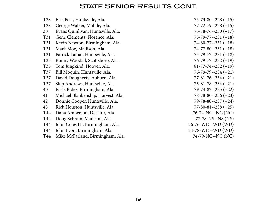## **STATE SENIOR RESULTS CONT.**

| T <sub>28</sub> | Eric Post, Huntsville, Ala.        | $75 - 73 - 80 - 228 + 15$  |
|-----------------|------------------------------------|----------------------------|
| T <sub>28</sub> | George Walker, Mobile, Ala.        | $77 - 72 - 79 - 228 + 15$  |
| 30              | Evans Quinlivan, Huntsville, Ala.  | $76 - 78 - 76 - 230 (+17)$ |
| T31             | Gene Clements, Florence, Ala.      | $75 - 79 - 77 - 231 (+18)$ |
| T31             | Kevin Newton, Birmingham, Ala.     | $74-80-77-231 (+18)$       |
| T31             | Mark Moe, Madison, Ala.            | $74 - 77 - 80 - 231 (+18)$ |
| T31             | Patrick Lamar, Huntsville, Ala.    | $75 - 79 - 77 - 231 (+18)$ |
| T <sub>35</sub> | Ronny Woodall, Scottsboro, Ala.    | $76 - 79 - 77 - 232 + 19$  |
| T35             | Tom Jungkind, Hoover, Ala.         | $81 - 77 - 74 - 232 + 19$  |
| T37             | Bill Moquin, Huntsville, Ala.      | $76 - 79 - 79 - 234 + 21$  |
| <b>T37</b>      | David Dougherty, Auburn, Ala.      | $77 - 81 - 76 - 234 (+21)$ |
| T37             | Skip Andrews, Huntsville, Ala.     | $75 - 81 - 78 - 234 + 21$  |
| 40              | Earle Bidez, Birmingham, Ala.      | $79 - 74 - 82 - 235 (+22)$ |
| 41              | Michael Blankenship, Harvest, Ala. | $78 - 78 - 80 - 236 (+23)$ |
| 42              | Donnie Cooper, Huntsville, Ala.    | 79-78-80--237 (+24)        |
| 43              | Rick Houston, Huntsville, Ala.     | $77 - 80 - 81 - 238 + 25$  |
| T44             | Dana Amberson, Decatur, Ala.       | 76-74-NC--NC (NC)          |
| T44             | Doug Schram, Madison, Ala.         | 77-78-NS--NS (NS)          |
| T44             | John Coles III, Birmingham, Ala.   | 76-76-WD--WD (WD)          |
| T44             | John Lyon, Birmingham, Ala.        | 74-78-WD--WD (WD)          |
| T44             | Mike McFarland, Birmingham, Ala.   | 74-79-NC--NC (NC)          |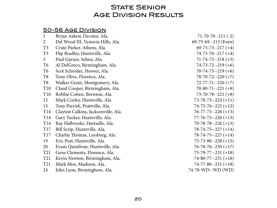## **STATE SENIOR** Age Division Results

## 50-56 Age Division

| $\mathbf 1$     | Bryan Askew, Decatur, Ala.          | $71 - 70 - 70 - 211(-2)$   |
|-----------------|-------------------------------------|----------------------------|
| 2               | Del Wood III, Vestavia Hills, Ala.  | $69-75-69-213$ (Even)      |
| T3              | Crute Parker, Athens, Ala.          | $69 - 75 - 73 - 217 (+4)$  |
| T3              | Flip Bradley, Huntsville, Ala.      | $74 - 73 - 70 - 217 (+4)$  |
| 5               | Paul Garner, Selma, Ala.            | $71 - 74 - 73 - 218 (+5)$  |
| T6              | Al DelGreco, Birmingham, Ala.       | $74-73-72-219(+6)$         |
| Т6              | Scot Schroder, Hoover, Ala.         | $70-74-75-219(+6)$         |
| T8              | Tony Olive, Florence, Ala.          | $78 - 70 - 72 - 220$ (+7)  |
| T8              | Walker Grant, Montgomery, Ala.      | $72 - 77 - 71 - 220 (+7)$  |
| T <sub>10</sub> | Claud Cooper, Birmingham, Ala.      | $70-80-71-221 (+8)$        |
| T <sub>10</sub> | Robbie Cotten, Brewton, Ala.        | $73 - 70 - 78 - 221 (+8)$  |
| 12              | Mark Corley, Huntsville, Ala.       | $73 - 78 - 73 - 224 + 11$  |
| 13              | Tony Parrish, Prattville, Ala.      | $74 - 75 - 76 - 225 (+12)$ |
| T <sub>14</sub> | Clayton Calkins, Jacksonville, Ala. | $76 - 77 - 73 - 226 + 13$  |
| T <sub>14</sub> | Gary Tucker, Huntsville, Ala.       | $77 - 76 - 73 - 226 (+13)$ |
| T14             | Ray Halbrooks, Hartselle, Ala.      | $70 - 78 - 78 - 226 (+13)$ |
| T17             | Bill Scrip, Huntsville, Ala.        | $78 - 74 - 75 - 227 + 14$  |
| T17             | Charlie Thomas, Leesburg, Ala.      | $78 - 74 - 75 - 227 + 14$  |
| 19              | Eric Post, Huntsville, Ala.         | $75 - 73 - 80 - 228 + 15$  |
| 20              | Evans Quinlivan, Huntsville, Ala.   | $76 - 78 - 76 - 230 (+17)$ |
| T21             | Gene Clements, Florence, Ala.       | $75 - 79 - 77 - 231 (+18)$ |
| T21             | Kevin Newton, Birmingham, Ala.      | $74-80-77-231 (+18)$       |
| T21             | Mark Moe, Madison, Ala.             | $74-77-80-231(+18)$        |
| 24              | John Lyon, Birmingham, Ala.         | 74-78-WD--WD (WD)          |
|                 |                                     |                            |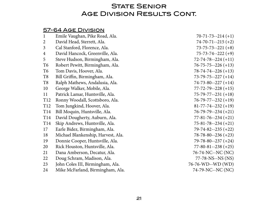## **STATE SENIOR AGE DIVISION RESULTS CONT.**

## 57-64 Age Division

| Emile Vaughan, Pike Road, Ala.     | $70-71-73-214(+1)$         |
|------------------------------------|----------------------------|
| David Head, Sterrett, Ala.         | $74 - 70 - 71 - -215$ (+2) |
| Cal Stanford, Florence, Ala.       | $73 - 75 - 73 - 221 (+8)$  |
| David Hancock, Greenville, Ala.    | $75 - 73 - 74 - 222$ (+9)  |
| Steve Hudson, Birmingham, Ala.     | $72 - 74 - 78 - 224 + 11$  |
| Robert Pewitt, Birmingham, Ala.    | $76 - 75 - 75 - 226 + 13$  |
| Tom Davis, Hoover, Ala.            | $78 - 74 - 74 - 226 + 13$  |
| Bill Griffin, Birmingham, Ala.     | $73-79-75-227 (+14)$       |
| Ralph Mathews, Andalusia, Ala.     | $74-73-80-227 (+14)$       |
| George Walker, Mobile, Ala.        | $77 - 72 - 79 - 228 + 15$  |
| Patrick Lamar, Huntsville, Ala.    | $75 - 79 - 77 - 231 (+18)$ |
| Ronny Woodall, Scottsboro, Ala.    | $76 - 79 - 77 - 232 + 19$  |
| Tom Jungkind, Hoover, Ala.         | $81 - 77 - 74 - 232 + 19$  |
| Bill Moquin, Huntsville, Ala.      | $76 - 79 - 79 - 234 + 21$  |
| David Dougherty, Auburn, Ala.      | $77 - 81 - 76 - 234 + 21$  |
| Skip Andrews, Huntsville, Ala.     | $75 - 81 - 78 - 234 (+21)$ |
| Earle Bidez, Birmingham, Ala.      | $79 - 74 - 82 - 235 + 22$  |
| Michael Blankenship, Harvest, Ala. | $78 - 78 - 80 - 236 + 23$  |
| Donnie Cooper, Huntsville, Ala.    | $79 - 78 - 80 - 237 + 24$  |
| Rick Houston, Huntsville, Ala.     | $77 - 80 - 81 - 238 + 25$  |
| Dana Amberson, Decatur, Ala.       | 76-74-NC--NC (NC)          |
| Doug Schram, Madison, Ala.         | 77-78-NS--NS (NS)          |
| John Coles III, Birmingham, Ala.   | 76-76-WD--WD (WD)          |
| Mike McFarland, Birmingham, Ala.   | 74-79-NC--NC (NC)          |
|                                    |                            |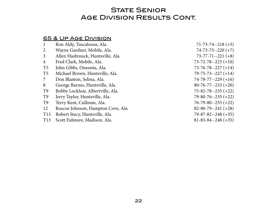## **STATE SENIOR AGE DIVISION RESULTS CONT.**

### 65 & Up Age Division

| $\mathbf{1}$    | Ron Aldy, Tuscaloosa, Ala.         | $71-73-74-218 (+5)$        |
|-----------------|------------------------------------|----------------------------|
| 2               | Wayne Gardner, Mobile, Ala.        | $74 - 73 - 73 - 220$ (+7)  |
| $\mathfrak{Z}$  | Allen Hasbrouck, Huntsville, Ala.  | $73 - 77 - 71 - 221$ (+8)  |
| 4               | Fred Clark, Mobile, Ala.           | $73 - 72 - 78 - 223 + 10$  |
| T <sub>5</sub>  | John Gibbs, Oneonta, Ala.          | $73 - 76 - 78 - 227 + 14$  |
| T <sub>5</sub>  | Michael Brown, Huntsville, Ala.    | $79 - 75 - 73 - 227 + 14$  |
| 7               | Don Blanton, Selma, Ala.           | $74 - 78 - 77 - 229 + 16$  |
| 8               | George Barnes, Huntsville, Ala.    | $80 - 76 - 77 - 233 + 20$  |
| T <sub>9</sub>  | Bobby Locklear, Albertville, Ala.  | $75 - 82 - 78 - 235 (+22)$ |
| T <sub>9</sub>  | Jerry Taylor, Huntsville, Ala.     | $79 - 80 - 76 - 235 (+22)$ |
| T <sub>9</sub>  | Terry Kent, Cullman, Ala.          | $76 - 79 - 80 - 235 (+22)$ |
| 12              | Roscoe Johnson, Hampton Cove, Ala. | $82 - 80 - 79 - 241 (+28)$ |
| T <sub>13</sub> | Robert Stacy, Huntsville, Ala.     | $79 - 87 - 82 - 248 + 35$  |
| T <sub>13</sub> | Scott Fulmore, Madison, Ala.       | $81 - 83 - 84 - 248 + 35$  |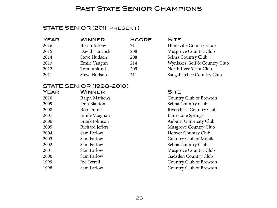## PAST STATE SENIOR CHAMPIONS

## STATE SENIOR (2011-present)

| <b>YEAR</b> | <b>WINNER</b> | <b>SCORE</b> | <b>SITE</b>                  |
|-------------|---------------|--------------|------------------------------|
| 2016        | Bryan Askew   | 211          | Huntsville Country Club      |
| 2015        | David Hancock | 208          | Musgrove Country Club        |
| 2014        | Steve Hudson  | 208          | Selma Country Club           |
| 2013        | Emile Vaughn  | 214          | Wynlakes Golf & Country Club |
| 2012        | Tom Junkind   | 209          | NorthRiver Yacht Club        |
| 2011        | Steve Hudson  | 211          | Saugahatchee Country Club    |

## STATE SENIOR (1998-2010)

| <b>YEAR</b> | <b>WINNER</b>    | <b>SITE</b> |
|-------------|------------------|-------------|
| 2010        | Ralph Mathews    | Countr      |
| 2009        | Don Blanton      | Selma       |
| 2008        | <b>Bob Dumas</b> | Riverch     |
| 2007        | Emile Vaughan    | Limest      |
| 2006        | Frank Johnson    | Auburi      |
| 2005        | Richard Jeffers  | Musgro      |
| 2004        | Sam Farlow       | Hoover      |
| 2003        | Sam Farlow       | Countr      |
| 2002        | Sam Farlow       | Selma (     |
| 2001        | Sam Farlow       | Musgro      |
| 2000        | Sam Farlow       | Gadsde      |
| 1999        | Joe Terrell      | Countr      |
| 1998        | Sam Farlow       | Countr      |
|             |                  |             |

2011 **Country Club of Brewton** Selma Country Club Riverchase Country Club Limestone Springs Auburn University Club Musgrove Country Club Hoover Country Club Country Club of Mobile Selma Country Club Musgrove Country Club Gadsden Country Club Country Club of Brewton Country Club of Brewton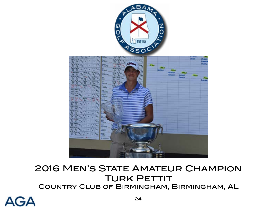

<span id="page-23-0"></span>

# 2016 Men's State Amateur Champion **TURK PETTIT** Country Club of Birmingham, Birmingham, AL

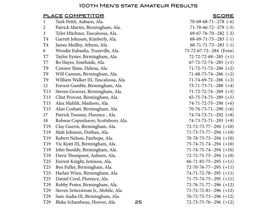## 100th Men's state Amateur Results

### PLACE COMPETITOR SCORE

| $\mathbf{1}$    | Turk Pettit, Auburn, Ala.            |    | $70-69-68-71-278$ (-6)          |
|-----------------|--------------------------------------|----|---------------------------------|
| $\overline{2}$  | Patrick Martin, Birmingham, Ala.     |    | $71-70-66-72-279$ (-5)          |
| $\mathfrak{Z}$  | Tyler Hitchner, Tuscaloosa, Ala.     |    | $69-67-76-70-282$ (-2)          |
| T4              | Garrett Johnson, Kimberly, Ala.      |    | $68-69-71-75-283$ (-1)          |
| T4              | James Medley, Athens, Ala.           |    | $68 - 71 - 71 - 73 - 283$ (-1)  |
| 6               | Woodie Eubanks, Trussville, Ala.     |    | 73-72-67-72--284 (Even)         |
| T7              | Taylor Eyster, Birmingham, Ala.      |    | $72 - 72 - 72 - 69 - 285$ (+1)  |
| T7              | Bo Hayes, Southside, Ala.            |    | $67 - 72 - 72 - 74 - 285$ (+1)  |
| T9              | Connor Slane, Helena, Ala.           |    | $71 - 72 - 71 - 72 - 286$ (+2)  |
| T9              | Will Cannon, Birmingham, Ala.        |    | $71-68-73-74-286$ (+2)          |
| T <sub>9</sub>  | William Walker III, Tuscaloosa, Ala. |    | $71-74-69-72-286 (+2)$          |
| 12              | Forrest Gamble, Birmingham, Ala.     |    | $73 - 71 - 73 - 71 - 288$ (+4)  |
| T13             | Steven Groover, Birmingham, Ala.     |    | $71 - 72 - 72 - 74 - 289$ (+5)  |
| T <sub>13</sub> | Clint Provost, Birmingham, Ala.      |    | $65 - 75 - 74 - 75 - 289$ (+5)  |
| T <sub>15</sub> | Alex Mahlik, Madison, Ala.           |    | $74 - 71 - 72 - 73 - 290$ (+6)  |
| T15             | Alan Coshatt, Birmingham, Ala.       |    | $70-76-73-71-290$ (+6)          |
| 17              | Patrick Twesme, Florence, Ala.       |    | $74-74-73-71-292$ (+8)          |
| 18              | Robson Copenhaver, Scottsboro, Ala.  |    | $74 - 73 - 75 - 71 - 293$ (+9)  |
| T <sub>19</sub> | Clay Guerin, Birmingham, Ala.        |    | $72 - 72 - 73 - 77 - 294$ (+10) |
| T <sub>19</sub> | Matt Johnson, Dothan, Ala.           |    | $71 - 73 - 73 - 77 - 294$ (+10) |
| T <sub>19</sub> | Robert Nelson, Fairhope, Ala.        |    | 70-78-73-73--294 (+10)          |
| T <sub>19</sub> | Vic Kyatt III, Birmingham, Ala.      |    | $75 - 74 - 71 - 74 - 294$ (+10) |
| T19             | John Snoddy, Birmingham, Ala.        |    | $71-74-75-74-294$ (+10)         |
| T <sub>19</sub> | Davis Thompson, Auburn, Ala.         |    | $72 - 72 - 75 - 75 - 294$ (+10) |
| T <sub>25</sub> | Forrest Knight, Jemison, Ala.        |    | $66-71-83-75--295 (+11)$        |
| T <sub>25</sub> | Ben Fuller, Birmingham, Ala.         |    | 72-70-76-77--295 (+11)          |
| T <sub>25</sub> | Harlan Winn, Birmingham, Ala.        |    | $74-71-72-78-295 (+11)$         |
| T <sub>25</sub> | Daniel Creel, Florence, Ala.         |    | $71 - 75 - 74 - 75 - 295 (+11)$ |
| T <sub>29</sub> | Robby Prater, Birmingham, Ala.       |    | $72 - 76 - 71 - 77 - 296 + 12$  |
| T <sub>29</sub> | Steven Setterstrom Jr., Mobile, Ala. |    | $71 - 72 - 72 - 81 - 296$ (+12) |
| T <sub>29</sub> | Sam Audia III, Birmingham, Ala.      |    | $76 - 72 - 75 - 73 - 296 + 12$  |
| T <sub>29</sub> | Blake Schambeau, Hoover, Ala.        | 25 | $72 - 73 - 75 - 76 - 296 + 12$  |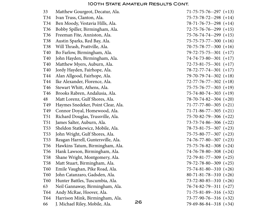| 33              | Matthew Gourgeot, Decatur, Ala.    |    | $71 - 75 - 75 - 76 - 297$ (+13)   |
|-----------------|------------------------------------|----|-----------------------------------|
| T34             | Ivan Truss, Clanton, Ala.          |    | $75 - 73 - 78 - 72 - 298 + 14$    |
| T34             | Ben Moody, Vestavia Hills, Ala.    |    | $78-71-76-73-298 (+14)$           |
| T <sub>36</sub> | Bobby Spiller, Birmingham, Ala.    |    | $72 - 75 - 76 - 76 - 299$ (+15)   |
| T36             | Freeman Fite, Anniston, Ala.       |    | $75 - 76 - 74 - 74 - 299$ (+15)   |
| T38             | Austin Sparks, Red Bay, Ala.       |    | $75 - 75 - 73 - 77 - 300 + 16$    |
| T38             | Will Thrash, Prattville, Ala.      |    | $70 - 75 - 78 - 77 - 300$ (+16)   |
| <b>T40</b>      | Bo Farlow, Birmingham, Ala.        |    | $79 - 72 - 75 - 75 - 301$ (+17)   |
| <b>T40</b>      | John Hayden, Birmingham, Ala.      |    | $74 - 74 - 73 - 80 - -301$ (+17)  |
| <b>T40</b>      | Matthew Myers, Auburn, Ala.        |    | $72 - 73 - 81 - 75 - 301$ (+17)   |
| <b>T40</b>      | Jordy Hayden, Fairhope, Ala.       |    | $78 - 72 - 77 - 74 - 301$ (+17)   |
| T44             | Alan Allgood, Fairhope, Ala.       |    | $79 - 70 - 79 - 74 - 302$ (+18)   |
| T44             | Ike Alexander, Florence, Ala.      |    | $72 - 77 - 76 - 77 - 302 + 18$    |
| T46             | Stewart Whitt, Athens, Ala.        |    | $75 - 75 - 76 - 77 - 303 + 19$    |
| T46             | Brooks Rabren, Andalusia, Ala.     |    | $75 - 74 - 80 - 74 - 303$ (+19)   |
| 48              | Matt Lorenz, Gulf Shores, Ala.     |    | $78-70-74-82-304$ (+20)           |
| T49             | Haymes Snedeker, Point Clear, Ala. |    | $71 - 77 - 77 - 80 - 305$ (+21)   |
| T49             | Connor Doyal, Homewood, Ala.       |    | $71 - 71 - 86 - 77 - 305$ (+21)   |
| T51             | Richard Douglas, Trussville, Ala.  |    | $75 - 70 - 82 - 79 - 306$ (+22)   |
| T <sub>51</sub> | James Salter, Auburn, Ala.         |    | $73 - 73 - 74 - 86 - 306$ (+22)   |
| T <sub>53</sub> | Sheldon Statkewicz, Mobile, Ala.   |    | $78 - 73 - 81 - 75 - 307$ (+23)   |
| T <sub>53</sub> | John Wright, Gulf Shores, Ala.     |    | $75 - 75 - 80 - 77 - 307$ (+23)   |
| T <sub>53</sub> | Reagan Harrell, Guntersville, Ala. |    | $74 - 76 - 77 - 80 - 307$ (+23)   |
| T56             | Hawkins Tatum, Birmingham, Ala.    |    | $75 - 75 - 76 - 82 - 308$ $(+24)$ |
| T <sub>56</sub> | Hank Lawson, Birmingham, Ala.      |    | $74 - 76 - 78 - 80 - 308$ (+24)   |
| T58             | Shane Wright, Montgomery, Ala.     |    | $72 - 79 - 81 - 77 - 309$ (+25)   |
| T <sub>58</sub> | Matt Stuart, Birmingham, Ala.      |    | 79-72-78-80--309 (+25)            |
| T60             | Emile Vaughan, Pike Road, Ala.     |    | $75 - 74 - 81 - 80 - 310$ (+26)   |
| T60             | John Catanzaro, Gadsden, Ala.      |    | $80 - 71 - 81 - 78 - 310 + 26$    |
| <b>T60</b>      | Hunter Battles, Tuscumbia, Ala.    |    | $73 - 72 - 80 - 85 - 310$ (+26)   |
| 63              | Neil Gannaway, Birmingham, Ala.    |    | $76 - 74 - 82 - 79 - 311$ (+27)   |
| T64             | Andy McRae, Hoover, Ala.           |    | $71 - 75 - 81 - 89 - 316 (+32)$   |
| T64             | Harrison Mink, Birmingham, Ala.    |    | $73 - 77 - 90 - 76 - 316 (+32)$   |
| 66              | J. Michael Riley, Mobile, Ala.     | 26 | $79-69-86-84-318 (+34)$           |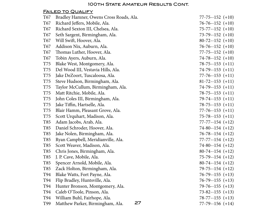### Failed to Qualify

| T67 | Bradley Hamner, Owens Cross Roads, Ala. |    | $77 - 75 - 152 (+10)$   |
|-----|-----------------------------------------|----|-------------------------|
| T67 | Richard Jeffers, Mobile, Ala.           |    | $76 - 76 - 152$ (+10)   |
| T67 | Richard Sexton III, Chelsea, Ala.       |    | $75 - 77 - 152 (+10)$   |
| T67 | Seth Sargent, Birmingham, Ala.          |    | $73-79-152 (+10)$       |
| T67 | Will Swift, Hoover, Ala.                |    | $80 - 72 - 152 + 10$    |
| T67 | Addison Nix, Auburn, Ala.               |    | $76 - 76 - 152 (+10)$   |
| T67 | Thomas Luther, Hoover, Ala.             |    | $77 - 75 - 152 (+10)$   |
| T67 | Tobin Ayers, Auburn, Ala.               |    | $74 - 78 - 152$ (+10)   |
| T75 | Blake West, Montgomery, Ala.            |    | $78 - 75 - 153 + 11$    |
| T75 | Del Wood III, Vestavia Hills, Ala.      |    | $74-79-153 (+11)$       |
| T75 | Jake DeZoort, Tuscaloosa, Ala.          |    | $77 - 76 - 153 (+11)$   |
| T75 | Steve Hudson, Birmingham, Ala.          |    | $81-72-153 (+11)$       |
| T75 | Taylor McCullum, Birmingham, Ala.       |    | $74-79-153 (+11)$       |
| T75 | Matt Ritchie, Mobile, Ala.              |    | $78 - 75 - 153 + 11$    |
| T75 | John Coles III, Birmingham, Ala.        |    | $79-74-153 (+11)$       |
| T75 | Jake Tiffin, Hartselle, Ala.            |    | $78 - 75 - 153 + (-11)$ |
| T75 | Blair Hamm, Pleasant Grove, Ala.        |    | $77 - 76 - 153 (+11)$   |
| T75 | Scott Urquhart, Madison, Ala.           |    | $75 - 78 - 153$ $(+11)$ |
| T85 | Adam Jacobs, Arab, Ala.                 |    | $77 - 77 - 154 (+12)$   |
| T85 | Daniel Schroder, Hoover, Ala.           |    | $74-80-154 (+12)$       |
| T85 | Jake Nolen, Birmingham, Ala.            |    | $76 - 78 - 154 (+12)$   |
| T85 | Ryan Campbell, Meridianville, Ala.      |    | $77 - 77 - 154 (+12)$   |
| T85 | Scott Weaver, Madison, Ala.             |    | $74-80-154 (+12)$       |
| T85 | Chris Jones, Birmingham, Ala.           |    | $80-74-154 (+12)$       |
| T85 | J. P. Cave, Mobile, Ala.                |    | $75-79-154 (+12)$       |
| T85 | Spencer Arnold, Mobile, Ala.            |    | $80-74-154 (+12)$       |
| T85 | Zack Holton, Birmingham, Ala.           |    | $79 - 75 - 154 (+12)$   |
| T94 | Blake Watts, Fort Payne, Ala.           |    | $76 - 79 - 155 (+13)$   |
| T94 | Flip Bradley, Huntsville, Ala.          |    | $76 - 79 - 155 (+13)$   |
| T94 | Hunter Bronson, Montgomery, Ala.        |    | $79-76-155 (+13)$       |
| T94 | Caleb O'Toole, Pinson, Ala.             |    | $73 - 82 - 155 (+13)$   |
| T94 | William Buhl, Fairhope, Ala.            |    | $78-77-155 (+13)$       |
| T99 | Matthew Parker, Birmingham, Ala.        | 27 | $77 - 79 - 156 (+14)$   |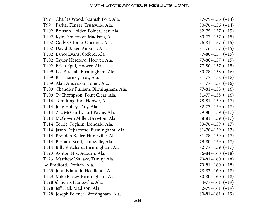| T99 | Charles Wood, Spanish Fort, Ala.        | $77 - 79 - 156 (+14)$ |
|-----|-----------------------------------------|-----------------------|
| T99 | Parker Kinzer, Trussville, Ala.         | $80-76-156 (+14)$     |
|     | T102 Brinson Holder, Point Clear, Ala.  | $82 - 75 - 157 (+15)$ |
|     | T102 Kyle Demeester, Madison, Ala.      | $80-77-157(+15)$      |
|     | T102 Cody O'Toole, Oneonta, Ala.        | $76-81-157(+15)$      |
|     | T102 David Baker, Auburn, Ala.          | $81-76-157 (+15)$     |
|     | T102 Lance Evans, Oxford, Ala.          | $77 - 80 - 157 (+15)$ |
|     | T102 Taylor Hereford, Hoover, Ala.      | $77 - 80 - 157 (+15)$ |
|     | T102 Erich Egui, Hoover, Ala.           | $77 - 80 - 157 (+15)$ |
|     | T109 Lee Birchall, Birmingham, Ala.     | $80-78-158 (+16)$     |
|     | T109 Bart Barnes, Troy, Ala.            | $81-77-158 (+16)$     |
|     | T109 Alan Anderson, Toney, Ala.         | $81-77-158 (+16)$     |
|     | T109 Chandler Pulliam, Birmingham, Ala. | $77 - 81 - 158 (+16)$ |
|     | T109 Ty Thompson, Point Clear, Ala.     | $81-77-158 (+16)$     |
|     | T114 Tom Jungkind, Hoover, Ala.         | $78 - 81 - 159 (+17)$ |
|     | T114 Joey Holley, Troy, Ala.            | $82 - 77 - 159 (+17)$ |
|     | T114 Zac McCurdy, Fort Payne, Ala.      | $79-80-159 (+17)$     |
|     | T114 McGowin Miller, Brewton, Ala.      | $78-81-159 (+17)$     |
|     | T114 Torrie Coghlin, Irondale, Ala.     | $83-76-159 (+17)$     |
|     | T114 Jason DeJiacomo, Birmingham, Ala.  | $81-78-159 (+17)$     |
|     | T114 Brendan Keller, Huntsville, Ala.   | $81-78-159 (+17)$     |
|     | T114 Bernard Scott, Trussville, Ala.    | $79-80-159 (+17)$     |
|     | T114 Billy Pritchard, Birmingham, Ala.  | $82 - 77 - 159 (+17)$ |
|     | T123 Ashton Nix, Auburn, Ala.           | $76 - 84 - 160 (+18)$ |
|     | T123 Matthew Wallace, Trinity, Ala.     | $79-81-160 (+18)$     |
|     | Bo Bradford, Dothan, Ala.               | $79-81-160 (+18)$     |
|     | T123 John Eiland Jr, Headland, Ala.     | $78 - 82 - 160 (+18)$ |
|     | T123 Mike Blasey, Birmingham, Ala.      | $80-80-160 (+18)$     |
|     | T128Bill Scrip, Huntsville, Ala.        | $84-77-161 (+19)$     |
|     | T128 Jeff Hall, Madison, Ala.           | $82-79-161 (+19)$     |
|     | T128 Joseph Fortner, Birmingham, Ala.   | $80-81-161 (+19)$     |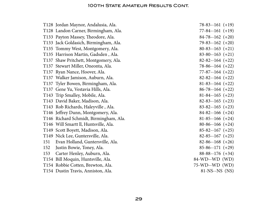|     | T128 Jordan Maynor, Andalusia, Ala.    | $78-83-161 (+19)$     |
|-----|----------------------------------------|-----------------------|
|     | T128 Landon Carner, Birmingham, Ala.   | $77 - 84 - 161 (+19)$ |
|     | T133 Payton Massey, Theodore, Ala.     | $84-78-162 (+20)$     |
|     | T133 Jack Goldasich, Birmingham, Ala.  | $79 - 83 - 162 (+20)$ |
|     | T135 Tommy West, Montgomery, Ala.      | $80-83-163 (+21)$     |
|     | T135 Harrison Martin, Gadsden, Ala.    | $83 - 80 - 163 (+21)$ |
|     | T137 Shaw Pritchett, Montgomery, Ala.  | $82 - 82 - 164 (+22)$ |
|     | T137 Stewart Miller, Oneonta, Ala.     | $78-86-164 (+22)$     |
|     | T137 Ryan Nance, Hoover, Ala.          | $77-87-164 (+22)$     |
|     | T137 Walker Jamison, Auburn, Ala.      | $82 - 82 - 164$ (+22) |
|     | T137 Tyler Bowen, Birmingham, Ala.     | $81-83-164 (+22)$     |
|     | T137 Gene Yu, Vestavia Hills, Ala.     | $86 - 78 - 164 (+22)$ |
|     | T143 Trip Smalley, Mobile, Ala.        | $81-84-165 (+23)$     |
|     | T143 David Baker, Madison, Ala.        | $82 - 83 - 165 (+23)$ |
|     | T143 Rob Richards, Haleyville, Ala.    | $83 - 82 - 165 (+23)$ |
|     | T146 Jeffrey Dunn, Montgomery, Ala.    | $84 - 82 - 166 (+24)$ |
|     | T146 Richard Schmidt, Birmingham, Ala. | $81-85-166 (+24)$     |
|     | T146 Will Smartt II, Huntsville, Ala.  | $80-86-166 (+24)$     |
|     | T149 Scott Boyett, Madison, Ala.       | $85 - 82 - 167$ (+25) |
|     | T149 Nick Lee, Guntersville, Ala.      | $82-85-167$ (+25)     |
| 151 | Evan Holland, Guntersville, Ala.       | $82-86-168 (+26)$     |
| 152 | Justin Bowie, Toney, Ala.              | $85-86-171 (+29)$     |
| 153 | Carter Henley, Auburn, Ala.            | $88-88-176 (+34)$     |
|     | T154 Bill Moquin, Huntsville, Ala.     | 84-WD--WD (WD)        |
|     | T154 Robbie Cotten, Brewton, Ala.      | 75-WD--WD (WD)        |
|     | T154 Dustin Travis, Anniston, Ala.     | 81-NS--NS (NS)        |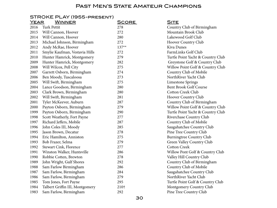#### STROKE PLAY (1955-present)

| <u>YEAR</u><br><b>WINNER</b>    | <u>SCORE</u> | <u>SITE</u>                       |
|---------------------------------|--------------|-----------------------------------|
| Turk Pettit                     | 278          | Country Club of Birmingham        |
| Will Cannon, Hoover             | 272          | Mountain Brook Club               |
| Will Cannon, Hoover             | 280          | Lakewood Golf Club                |
| Michael Johnson, Birmingham     | 272          | Hoover Country Club               |
| Andy McRae, Hoover              | $137**$      | Kiva Dunes                        |
| Smylie Kaufman, Vestavia Hills  | 272          | FarmLinks Golf Club               |
| Hunter Hamrick, Montgomery      | 279          | Turtle Point Yacht & Country Club |
| Hunter Hamrick, Montgomery      | 282          | Greystone Golf & Country Club     |
| Will Wilcox, Pell City          | 275          | Willow Point Golf & Country Club  |
| Garrett Osborn, Birmingham      | 274          | Country Club of Mobile            |
| Ben Moody, Tuscaloosa           | 273          | NorthRiver Yacht Club             |
| Will Swift, Birmingham          | 275          | <b>Limestone Springs</b>          |
| Lance Goodson, Birmingham       | 280          | Bent Brook Golf Course            |
| Clark Brown, Birmingham         | 280          | Cotton Creek Club                 |
| Will Swift, Birmingham          | 281          | Hoover Country Club               |
| Tyler McKeever, Auburn          | 287          | Country Club of Birmingham        |
| Payton Osborn, Birmingham       | 279          | Willow Point Golf & Country Club  |
| Payton Osborn, Birmingham       | 290          | Turtle Point Yacht & Country Club |
| Scott Weatherly, Fort Payne     | 277          | Riverchase Country Club           |
| Richard Jeffers, Mobile         | 287          | Country Club of Mobile            |
| John Coles III, Moody           | 285          | Saugahatchee Country Club         |
| Jason Brown, Decatur            | 278          | Pine Tree Country Club            |
| Eric Hamilton, Anniston         | 275          | <b>Burningtree Country Club</b>   |
| Bob Frazer, Selma               | 279          | Green Valley Country Club         |
| Stewart Cink, Florence          | 277          | <b>Cotton Creek</b>               |
| Winston Walker, Huntsville      | 286          | Willow Pont Golf & Country Club   |
| Robbie Cotten, Brewton          | 278          | Valley Hill Country Club          |
| John Wright, Gulf Shores        | 292          | Country Club of Birmingham        |
| Sam Farlow Birmingham           | 286          | Country Club of Mobile            |
| Sam Farlow, Birmingham          | 284          | Saugahatchee Country Club         |
| Sam Farlow, Birmingham          | 279          | NorthRiver Yacht Club             |
| Tom Jones, Fort Payne           | 295          | Turtle Point Golf & Country Club  |
| Talbert Griffin III, Montgomery | 210†         | Montgomery Country Club           |
| Sam Farlow, Birmingham          | 292          | Pine Tree Country Club            |
|                                 |              |                                   |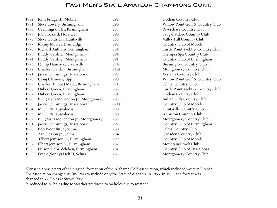| John Fridge III, Mobile            | 292              | Dothan Country Club               |
|------------------------------------|------------------|-----------------------------------|
| Steve Lowery, Birmingham           | 290              | Willow Point Golf & Country Club  |
| Cecil Ingram III, Birmingham       | 287              | Riverchase Country Club           |
| Jud Stockard, Florence             | 290              | Saugahatchee Country Club         |
| Steve Goldstein, Huntsville        | 288              | Valley Hill Country Club          |
| Ronny Mobley, Brundidge            | 295              | Country Club of Mobile            |
| Richard Anthony, Birmingham        | 284              | Turtle Point Yacht & Country Club |
| <b>Buddy Gardner, Montgomery</b>   | 294              | Olympia Spa Country Club          |
| <b>Buddy Gardner, Montgomery</b>   | 291              | Country Club of Birmingham        |
| Phillip Hancock, Greenville        | 274              | Burningtree Country Club          |
| Charles Krenkel, Birmingham        | 210†             | Montgomery Country Club           |
| Jackie Cummings, Tuscaloosa        | 293              | Vestavia Country Club             |
| Craig Clemons, Opp                 | 290              | Willow Point Golf & Country Club  |
| Charles (Bubba) Major, Birmingham  | 271              | Selma Country Club                |
| Hubert Green, Birmingham           | 285              | Turtle Point Yacht & Country Club |
| Hubert Green, Birmingham           | 281              | Dothan Country Club               |
| B.R. (Mac) McLendon Jr, Montgomery | 288              | Indian Hills Country Club         |
| Jackie Cummings, Tuscaloosa        | 221 <sup>†</sup> | Country Club of Mobile            |
| M C Fitts, Tuscaloosa              | 280              | Huntsville Country Club           |
| M C Fitts, Tuscaloosa              | 280              | <b>Anniston Country Club</b>      |
| B R (Mac) McLendon Jr, Montgomery  | 283              | Montgomery Country Club           |
| Jackie Cummings, Tuscaloosa        | 297              | Country Club of Birmingham        |
| Bob Woodfin Jr, Selma              | 280              | Selma Country Club                |
| Art Gleason Jr, Selma              | 284              | Gadsden Country Club              |
| Elbert Jemison Jr, Birmingham      | 299              | Country Club of Mobile            |
| Elbert Jemison Jr, Birmingham      | 287              | Mountain Brook Club               |
| Nelson DeBardeleben, Birmingham    | 281              | Country Club of Tuscaloosa        |
| Frank (Sonny) Holt II, Selma       | 283              | Montgomery Country Club           |
|                                    |                  |                                   |

\*Pensacola was a part of the original formation of the Alabama Golf Association, which included western Florida. The association changed its By-Laws to include only the State of Alabama in 1955. In 1955, the format was changed to 72 Holes at Stroke Play.

\*\* reduced to 36 holes due to weather †reduced to 54 holes due to weather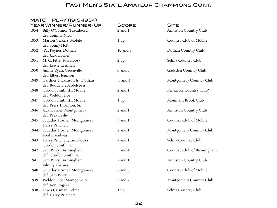MATCH PLAY (1915-1954)

|      | <u>YEAR WINNER/RUNNER-UP</u> | <u>SCORE</u>    | <b>SITE</b>                  |
|------|------------------------------|-----------------|------------------------------|
| 1954 | Billy O'Connor, Tuscaloosa   | $2$ and $1$     | Anniston Country Club        |
|      | def. Tommy Nicol             |                 |                              |
| 1953 | Marion Vickers, Mobile       | $1 \text{ up}$  | Country Club of Mobile       |
|      | def. Sonny Holt              |                 |                              |
| 1952 | Pat Poyner, Dothan           | 10 and 8        | Dothan Country Club          |
|      | def. Jack Horner             |                 |                              |
| 1951 | M. C. Fitts, Tuscaloosa      | 2 up            | Selma Country Club           |
|      | def. Lewie Crisman           |                 |                              |
| 1950 | Jimmy Ryan, Greenville       | 6 and 5         | Gadsden Country Club         |
|      | def. Elbert Jemison          |                 |                              |
| 1949 | Gardner Dickinson Jr, Dothan | 5 and 4         | Montgomery Country Club      |
|      | def. Buddy DeBardeleben      |                 |                              |
| 1948 | Gordon Smith III, Mobile     | $2$ and $1$     | Pensacola Country Club*      |
|      | def. Weldon Doe              |                 |                              |
| 1947 | Gordon Smith III, Mobile     | $1 \text{ up}$  | Mountain Brook Club          |
|      | def. Press Thornton, Sr.     |                 |                              |
| 1946 | Jack Horner, Montgomery      | 2 and 1         | <b>Anniston Country Club</b> |
|      | def. Peek Leslie             |                 |                              |
| 1945 | Scudday Horner, Montgomery   | 3 and 1         | Country Club of Mobile       |
|      | Harry Pritchett              |                 |                              |
| 1944 | Scudday Horner, Montgomery   | $2$ and $1$     | Montgomery Country Club      |
|      | Fred Broadway                |                 |                              |
| 1943 | Harry Pritchett, Tuscaloosa  | 2 and 1         | Selma Country Club           |
|      | Gordon Smith, Jr.            |                 |                              |
| 1942 | Sam Perry, Birmingham        | 5 and 4         | Country Club of Birmingham   |
|      | def. Gordon Smith, Jr.       |                 |                              |
| 1941 | Sam Perry, Birmingham        | 2 and 1         | <b>Anniston Country Club</b> |
|      | Johnny Thames                |                 |                              |
| 1940 | Scudday Horner, Montgomery   | 8 and 6         | Country Club of Mobile       |
|      | def. Sam Perry               |                 |                              |
| 1939 | Weldon Doe, Montgomery       | 3 and 2         | Montgomery Country Club      |
|      | def. Ken Rogers              |                 |                              |
| 1938 | Lewis Crisman, Selma         | 1 <sub>up</sub> | Selma Country Club           |
|      | def. Harry Pritchett         |                 |                              |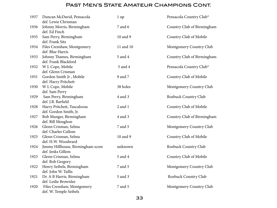| 1937 | Duncan McDavid, Pensacola<br>def. Lewie Chrisman       | 1 <sub>up</sub> | Pensacola Country Club*    |
|------|--------------------------------------------------------|-----------------|----------------------------|
| 1936 | Johnny Morris, Birmingham<br>def. Ed Finch             | 7 and 6         | Country Club of Birmingham |
| 1935 | Sam Perry, Birmingham<br>def. Frank Sitz               | 10 and 9        | Country Club of Mobile     |
| 1934 | Files Crenshaw, Montgomery<br>def. Blue Harris         | 11 and 10       | Montgomery Country Club    |
| 1933 | Johnny Thames, Birmingham<br>def. Frank Blackford      | 5 and 4         | Country Club of Birmingham |
| 1932 | W L Cope, Mobile<br>def. Glenn Crisman                 | 5 and 4         | Pensacola Country Club*    |
| 1931 | Gordon Smith Jr, Mobile<br>def. Harry Pritchett        | 9 and 7         | Country Club of Mobile     |
| 1930 | W L Cope, Mobile<br>def. Sam Perry                     | 38 holes        | Montgomery Country Club    |
| 1929 | Sam Perry, Birmingham<br>def. J.B. Barfield            | 4 and 3         | Roebuck Country Club       |
| 1928 | Harry Pritchett, Tuscaloosa<br>def. Gordon Smith, Jr.  | 2 and 1         | Country Club of Mobile     |
| 1927 | Bob Munger, Birmingham<br>def. Bill Moughon            | 4 and 3         | Country Club of Birmingham |
| 1926 | Glenn Crisman, Selma<br>def. Charles Cullom            | 7 and 5         | Montgomery Country Club    |
| 1925 | Glenn Crisman, Selma<br>def. H.W. Woodward             | 10 and 9        | Country Club of Mobile     |
| 1924 | Jimmy Hillhouse, Birmingham score<br>def. Jenks Gillem | unknown         | Roebuck Country Club       |
| 1923 | Glenn Crisman, Selma<br>def. Bob Gregory               | 5 and 4         | Country Club of Mobile     |
| 1922 | Henry Seibels, Birmingham<br>def. John W. Tullis       | 7 and 5         | Montgomery Country Club    |
| 1921 | Dr. A B Harris, Birmingham<br>def. Leslie Brownlee     | 5 and 3         | Roebuck Country Club       |
| 1920 | Files Crenshaw, Montgomery<br>def. W. Temple Seibels   | 7 and 5         | Montgomery Country Club    |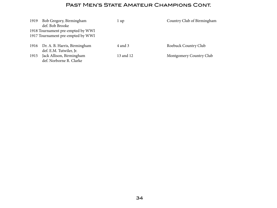| 1919 | Bob Gregory, Birmingham<br>def. Bob Brooke                             | l up      | Country Club of Birmingham |
|------|------------------------------------------------------------------------|-----------|----------------------------|
|      | 1918 Tournament pre-empted by WWI<br>1917 Tournament pre-empted by WWI |           |                            |
| 1916 | Dr. A. B. Harris, Birmingham<br>def. E.M. Tutwiler, Jr.                | 4 and 3   | Roebuck Country Club       |
| 1915 | Jack Allison, Birmingham<br>def. Norborne R. Clarke                    | 13 and 12 | Montgomery Country Club    |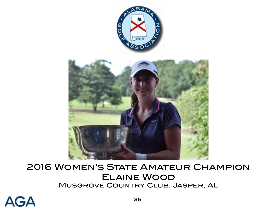<span id="page-34-0"></span>

# 2016 Women's State Amateur Champion Elaine Wood Musgrove Country Club, Jasper, AL

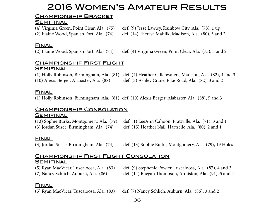# 2016 Women's Amateur Results

## Championship Bracket

## **SEMIFINAL**

(4) Virginia Green, Point Clear, Ala. (75) def. (9) Jesse Lawley, Rainbow City, Ala. (78), 1 up (2) Elaine Wood, Spanish Fort, Ala. (74) def. (14) Theresa Mahlik, Madison, Ala. (80), 3 and 2

## **FINAL**

(2) Elaine Wood, Spanish Fort, Ala. (74) def. (4) Virginia Green, Point Clear, Ala. (75), 3 and 2

## **CHAMPIONSHIP FIRST FLIGHT**

## **SEMIFINAL**

(1) Holly Robinson, Birmingham, Ala. (81) def. (4) Heather Gillenwaters, Madison, Ala. (82), 4 and 3 (10) Alexis Berger, Alabaster, Ala. (88) def. (3) Ashley Crane, Pike Road, Ala. (82), 3 and 2

## **FINAL**

(1) Holly Robinson, Birmingham, Ala. (81) def. (10) Alexis Berger, Alabaster, Ala. (88), 5 and 3

## **CHAMPIONSHIP CONSOLATION SEMIFINAL**

(13) Sophie Burks, Montgomery, Ala. (79) def. (1) LeeAnn Cahoon, Prattville, Ala. (71), 3 and 1 (3) Jordan Susce, Birmingham, Ala. (74) def. (15) Heather Nail, Hartselle, Ala. (80), 2 and 1

## **FINAL**

(3) Jordan Susce, Birmingham, Ala. (74) def. (13) Sophie Burks, Montgomery, Ala. (79), 19 Holes

#### **CHAMPIONSHIP FIRST FLIGHT CONSOLATION SEMIFINAL**

(5) Ryan MacVicar, Tuscaloosa, Ala. (83) def. (9) Stephenie Fowler, Tuscaloosa, Ala. (87), 4 and 3 (7) Nancy Schlich, Auburn, Ala. (86) def. (14) Raegan Thompson, Anniston, Ala. (91), 5 and 4

## **FINAL**

(5) Ryan MacVicar, Tuscaloosa, Ala. (83) def. (7) Nancy Schlich, Auburn, Ala. (86), 3 and 2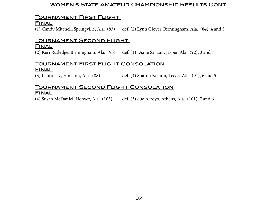#### Women's State Amateur Championship Results Cont.

### Tournament First Flight

#### **FINAL**

(1) Candy Mitchell, Springville, Ala. (83) def. (2) Lynn Glover, Birmingham, Ala. (84), 4 and 3

## Tournament Second Flight

#### **FINAL**

(2) Keri Rutledge, Birmingham, Ala. (95) def. (1) Diane Sartain, Jasper, Ala. (92), 3 and 1

#### Tournament First Flight Consolation **FINAL**

(3) Laura Ulz, Houston, Ala. (88) def. (4) Sharon Kellum, Leeds, Ala. (91), 6 and 5

#### Tournament Second Flight Consolation **FINAL**

(4) Susan McDaniel, Hoover, Ala. (103) def. (3) Sue Arroyo, Athens, Ala. (101), 7 and 6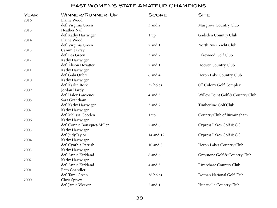| <b>YEAR</b><br>2016 | WINNER/RUNNER-UP<br>Elaine Wood         | <b>SCORE</b>   | <b>SITE</b>                      |
|---------------------|-----------------------------------------|----------------|----------------------------------|
|                     | def. Virginia Green                     | 3 and 2        | Musgrove Country Club            |
| 2015                | Heather Nail                            |                |                                  |
|                     | def. Kathy Hartwiger                    | $1 \text{ up}$ | Gadsden Country Club             |
| 2014                | Elaine Wood                             |                |                                  |
|                     | def. Virginia Green                     | 2 and 1        | NorthRiver Yacht Club            |
| 2013                |                                         |                |                                  |
|                     | Cammie Gray<br>def. Lea Green           |                | Lakewood Golf Club               |
|                     |                                         | 3 and 2        |                                  |
| 2012                | Kathy Hartwiger<br>def. Alison Hovatter |                |                                  |
|                     |                                         | 2 and 1        | Hoover Country Club              |
| 2011                | Kathy Hartwiger                         |                |                                  |
|                     | def. Gabi Oubre                         | 6 and 4        | Heron Lake Country Club          |
| 2010                | Kathy Hartwiger                         |                |                                  |
|                     | def. Karlin Beck                        | 37 holes       | Ol' Colony Golf Complex          |
| 2009                | Jordan Hardy                            |                |                                  |
|                     | def. Haley Lawrence                     | 4 and 3        | Willow Point Golf & Country Club |
| 2008                | Sara Grantham                           |                |                                  |
|                     | def. Kathy Hartwiger                    | 3 and 2        | Timberline Golf Club             |
| 2007                | Kathy Hartwiger                         |                |                                  |
|                     | def. Melissa Gooden                     | $1 \text{ up}$ | Country Club of Birmingham       |
| 2006                | Kathy Hartwiger                         |                |                                  |
|                     | def. Connie Bousquet-Miller             | 7 and 6        | Cypress Lakes Golf & CC          |
| 2005                | Kathy Hartwiger                         |                |                                  |
|                     | def. JudyTaylor                         | 14 and 12      | Cypress Lakes Golf & CC          |
| 2004                | Kathy Hartwiger                         |                |                                  |
|                     | def. Cynthia Parrish                    | 10 and 8       | Heron Lakes Country Club         |
| 2003                | Kathy Hartwiger                         |                |                                  |
|                     | def. Annie Kirkland                     | 8 and 6        | Greystone Golf & Country Club    |
| 2002                | Kathy Hartwiger                         |                |                                  |
|                     | def. Annie Kirkland                     | 4 and 3        | Riverchase Country Club          |
| 2001                | Beth Chandler                           |                |                                  |
|                     | def. Tami Green                         | 38 holes       | Dothan National Golf Club        |
| 2000                | Chris Spivey                            |                |                                  |
|                     | def. Jamie Weaver                       | 2 and 1        | Huntsville Country Club          |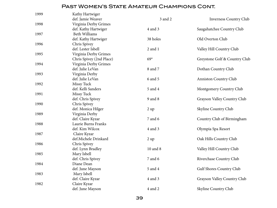| 1999 | Kathy Hartwiger          |          |                               |
|------|--------------------------|----------|-------------------------------|
|      | def. Jamie Weaver        | 3 and 2  | <b>Inverness Country Club</b> |
| 1998 | Virginia Derby Grimes    |          |                               |
|      | def. Kathy Hartwiger     | 4 and 3  | Saugahatchee Country Club     |
| 1997 | <b>Beth Williams</b>     |          |                               |
|      | def. Kathy Hartwiger     | 38 holes | Old Overton Club              |
| 1996 | Chris Spivey             |          |                               |
|      | def. Lester Isbell       | 2 and 1  | Valley Hill Country Club      |
| 1995 | Virginia Derby Grimes    |          |                               |
|      | Chris Spivey (2nd Place) | $69*$    | Greystone Golf & Country Club |
| 1994 | Virginia Derby Grimes    |          |                               |
|      | def. Julie LeVan         | 8 and 7  | Dothan Country Club           |
| 1993 | Virginia Derby           |          |                               |
|      | def. Julie LeVan         | 6 and 5  | Anniston Country Club         |
| 1992 | Missy Tuck               |          |                               |
|      | def. Kelli Sanders       | 5 and 4  | Montgomery Country Club       |
| 1991 | Missy Tuck               |          |                               |
|      | def. Chris Spivey        | 9 and 8  | Grayson Valley Country Club   |
| 1990 | Chris Spivey             |          |                               |
|      | def. Monica Hilger       | 2 up     | Skyline Country Club          |
| 1989 | Virginia Derby           |          |                               |
|      | def. Claire Kyzar        | 7 and 6  | Country Club of Birmingham    |
| 1988 | Laurie Burns Franks      |          |                               |
|      | def. Kim Wilcox          | 4 and 3  | Olympia Spa Resort            |
| 1987 | Claire Kyzar             |          |                               |
|      | def.Michele Drinkard     | 2 up     | Oak Hills Country Club        |
| 1986 | Chris Spivey             |          |                               |
|      | def. Lynn Bradley        | 10 and 8 | Valley Hill Country Club      |
| 1985 | Mary Isbell              |          |                               |
|      | def. Chris Spivey        | 7 and 6  | Riverchase Country Club       |
| 1984 | Diane Dean               |          |                               |
|      | def. June Mayson         | 5 and 4  | Gulf Shores Country Club      |
| 1983 | Mary Isbell              |          |                               |
|      | def. Claire Kyzar        | 4 and 3  | Grayson Valley Country Club   |
| 1982 | Claire Kyzar             |          |                               |
|      | def. June Mayson         | 4 and 2  | Skyline Country Club          |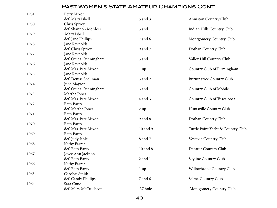| 1981 | <b>Betty Mixon</b>    |                 |                                   |
|------|-----------------------|-----------------|-----------------------------------|
|      | def. Mary Isbell      | 5 and 3         | Anniston Country Club             |
| 1980 | Chris Spivey          |                 |                                   |
|      | def. Shannon McAleer  | 3 and 1         | Indian Hills Country Club         |
| 1979 | Mary Isbell           |                 |                                   |
|      | def. Jane Phillips    | 7 and 6         | Montgomery Country Club           |
| 1978 | Jane Reynolds         |                 |                                   |
|      | def. Chris Spivey     | 9 and 7         | Dothan Country Club               |
| 1977 | Jane Reynolds         |                 |                                   |
|      | def. Ouida Cunningham | 3 and 1         | Valley Hill Country Club          |
| 1976 | Jane Reynolds         |                 |                                   |
|      | def. Mrs. Pete Mixon  | $1 \text{ up}$  | Country Club of Birmingham        |
| 1975 | Jane Reynolds         |                 |                                   |
|      | def. Denise Snellman  | 3 and 2         | Burningtree Country Club          |
| 1974 | June Mayson           |                 |                                   |
|      | def. Ouida Cunningham | 3 and 1         | Country Club of Mobile            |
| 1973 | Martha Jones          |                 |                                   |
|      | def. Mrs. Pete Mixon  | 4 and 3         | Country Club of Tuscaloosa        |
| 1972 | Beth Barry            |                 |                                   |
|      | def. Martha Jones     | 2 up            | Huntsville Country Club           |
| 1971 | Beth Barry            |                 |                                   |
|      | def. Mrs. Pete Mixon  | 9 and 8         | Dothan Country Club               |
| 1970 | Beth Barry            |                 |                                   |
|      | def. Mrs. Pete Mixon  | 10 and 9        | Turtle Point Yacht & Country Club |
| 1969 | <b>Beth Barry</b>     |                 |                                   |
|      | def. Judy Jehle       | 8 and 7         | Vestavia Country Club             |
| 1968 | Kathy Farrer          |                 |                                   |
|      | def. Beth Barry       | 10 and 8        | Decatur Country Club              |
| 1967 | Joyce Ann Jackson     |                 |                                   |
|      | def. Beth Barry       | 2 and 1         | Skyline Country Club              |
| 1966 | Kathy Farrer          |                 |                                   |
|      | def. Beth Barry       | 1 <sub>up</sub> | Willowbrook Country Club          |
| 1965 | Carolyn Smith         |                 |                                   |
|      | def. Candy Phillips   | 7 and 6         | Selma Country Club                |
| 1964 | Sara Cone             |                 |                                   |
|      | def. Mary McCutcheon  | 37 holes        | Montgomery Country Club           |
|      |                       |                 |                                   |

40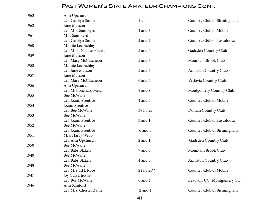| 1963 | Ann Upchurch             |                |                              |
|------|--------------------------|----------------|------------------------------|
|      | def. Carolyn Smith       | $1 \text{ up}$ | Country Club of Birmingham   |
| 1962 | June Mayson              |                |                              |
|      | def. Mrs. Sam Byrd       | 4 and 3        | Country Club of Mobile       |
| 1961 | Mrs. Sam Byrd            |                |                              |
|      | def. Carolyn Smith       | 3 and 2        | Country Club of Tuscaloosa   |
| 1960 | Minnie Lee Ashley        |                |                              |
|      | def. Mrs. Dolphus Pruett | 5 and 4        | Gadsden Country Club         |
| 1959 | June Mayson              |                |                              |
|      | def. Mary McCutcheon     | 5 and 3        | Mountain Brook Club          |
| 1958 | Minnie Lee Ashley        |                |                              |
|      | def. June Mayson         | 5 and 4        | Anniston Country Club        |
| 1957 | June Mayson              |                |                              |
|      | def. Mary McCutcheon     | 6 and 5        | Vestavia Country Club        |
| 1956 | Ann Upchurch             |                |                              |
|      | def. Mrs. Richard Metz   | 9 and 8        | Montgomery Country Club      |
| 1955 | Bee McWane               |                |                              |
|      | def. Joann Prentice      | 4 and 3        | Country Club of Mobile       |
| 1954 | Joann Prentice           |                |                              |
|      | def. Bee McWane          | 39 holes       | Dothan Country Club          |
| 1953 | Bee McWane               |                |                              |
|      | def. Joann Prentice      | 3 and 1        | Country Club of Tuscaloosa   |
| 1952 | Bee McWane               |                |                              |
|      | def. Joann Prentice      | 6 and 5        | Country Club of Birmingham   |
| 1951 | Mrs. Harry Webb          |                |                              |
|      | def. Ann Upchurch        | 2 and 1        | Gadsden Country Club         |
| 1950 | Bee McWane               |                |                              |
|      | def. Babs Blakely        | 7 and 6        | Mountain Brook Club          |
| 1949 | Bee McWane               |                |                              |
|      | def. Babs Blakely        | 4 and 3        | <b>Anniston Country Club</b> |
| 1948 | Bee McWane               |                |                              |
|      | def. Mrs. F.H. Roos      | 21 holes**     | Country Club of Mobile       |
| 1947 | Joy Culverhouse          |                |                              |
|      | def. Bee McWane          | 6 and 4        | Beauvoir CC (Montgomery CC)  |
| 1946 | Ann Samford              |                |                              |
|      | def. Mrs. Chester Zahn   | 2 and 1        | Country Club of Birmingham   |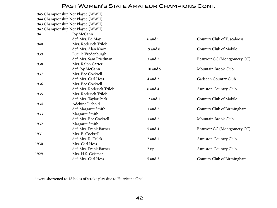1945 Championship Not Played (WWII) 1944 Championship Not Played (WWII) 1943 Championship Not Played (WWII) 1942 Championship Not Played (WWII) 1941 Joy McCann def. Mrs. Ed May 6 and 5 6 and 5 Country Club of Tuscaloosa 1940 Mrs. Roderick Trilck def. Mrs. Alan Knox 9 and 8 Country Club of Mobile 1939 Lucille Vredenburgh def. Mrs. Sam Friedman 3 and 2 3 Beauvoir CC (Montgomery CC) 1938 Mrs. Ralph Carter def. Joy McCann 10 and 9 Mountain Brook Club 1937 Mrs. Bee Cockrell def. Mrs. Carl Hess 4 and 3 Gadsden Country Club 1936 Mrs. Bee Cockrell def. Mrs. Roderick Trilck 6 and 4 Anniston Country Club 1935 Mrs. Roderick Trilck def. Mrs. Taylor Peck 2 and 1 Country Club of Mobile 1934 Adekine Liebold def. Margaret Smith 3 and 2 Country Club of Birmingham 1933 Margaret Smith def. Mrs. Bee Cockrell 3 and 2 Mountain Brook Club 1932 Margaret Smith def. Mrs. Frank Barnes 5 and 4 5 and 4 Beauvoir CC (Montgomery CC) 1931 Mrs. B. Cockrell def. Mrs. R. Trilck 2 and 1 Anniston Country Club 1930 Mrs. Carl Hess def. Mrs. Frank Barnes 2 up 2 up Anniston Country Club 1929 Mrs. H.S. Geismer def. Mrs. Carl Hess 5 and 3 Country Club of Birmingham

\*event shortened to 18 holes of stroke play due to Hurricane Opal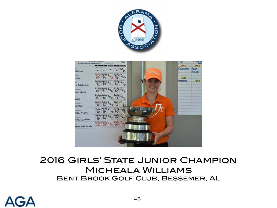



# 2016 Girls' State Junior Champion Micheala Williams Bent Brook Golf Club, Bessemer, AL

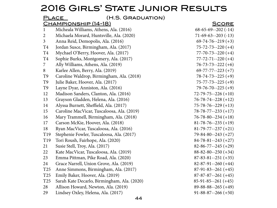# 2016 Girls' State Junior Results

|                 | (H.S. GRADUATION)<br><u>PLACE</u>           |                            |
|-----------------|---------------------------------------------|----------------------------|
|                 | <u> CHAMPIONSHIP (14-18)</u>                | <b>SCORE</b>               |
| 1               | Micheala Williams, Athens, Ala. (2016)      | $68-65-69-202(-14)$        |
| 2               | Michaela Morard, Huntsville, Ala. (2020)    | $71-69-63-203(-13)$        |
| $\mathfrak{Z}$  | Anna Reid, Demopolis, Ala. (2016)           | $69-74-76-219 (+3)$        |
| T4              | Jordan Susce, Birmingham, Ala. (2017)       | $75 - 72 - 73 - 220 (+4)$  |
| T4              | Mychael O'Berry, Hoover, Ala. (2017)        | $77 - 70 - 73 - 220 (+4)$  |
| T4              | Sophie Burks, Montgomery, Ala. (2017)       | $77 - 72 - 71 - 220$ (+4)  |
| 7               | Ally Williams, Athens, Ala. (2019)          | $76 - 73 - 73 - 222$ (+6)  |
| 8               | Karlee Allen, Berry, Ala. (2019)            | $69 - 77 - 77 - 223 + 7$   |
| T <sub>9</sub>  | Caroline Waldrop, Birmingham, Ala. (2018)   | $78 - 74 - 73 - 225 (+9)$  |
| T9              | Julie Baker, Hoover, Ala. (2017)            | $75 - 77 - 73 - 225 (+9)$  |
| T9              | Layne Dyar, Anniston, Ala. (2016)           | $79 - 76 - 70 - 225 (+9)$  |
| 12              | Madison Sanders, Clanton, Ala. (2016)       | $72 - 79 - 75 - 226 (+10)$ |
| 13              | Grayson Gladden, Helena, Ala. (2016)        | $76 - 78 - 74 - 228 + 12$  |
| 14              | Alyssa Burnett, Sheffield, Ala. (2017)      | $75 - 78 - 76 - 229 + 13$  |
| 15              | Caroline MacVicar, Tuscaloosa, Ala. (2019)  | $78 - 78 - 77 - 233 + 17$  |
| 16              | Mary Trammell, Birmingham, Ala. (2018)      | $76 - 78 - 80 - 234 + 18$  |
| 17              | Carson McKie, Hoover, Ala. (2018)           | $81 - 78 - 76 - 235 (+19)$ |
| 18              | Ryan MacVicar, Tuscaloosa, Ala. (2016)      | $81-79-77-237(+21)$        |
| T19             | Stephenie Fowler, Tuscaloosa, Ala. (2017)   | $79 - 84 - 80 - 243 (+27)$ |
| T <sub>19</sub> | Tori Roush, Fairhope, Ala. (2020)           | $84 - 78 - 81 - 243 + 27$  |
| 21              | Susie Stell, Troy, Ala. (2017)              | $82 - 86 - 77 - 245 (+29)$ |
| 22              | Kate MacVicar, Tuscaloosa, Ala. (2019)      | $88 - 82 - 80 - 250 (+34)$ |
| 23              | Emma Pittman, Pike Road, Ala. (2020)        | $87 - 83 - 81 - 251 (+35)$ |
| 24              | Grace Narrell, Union Grove, Ala. (2019)     | $82 - 87 - 91 - 260 + 44$  |
| T25             | Anne Simmons, Birmingham, Ala. (2017)       | $87-91-83-261 (+45)$       |
| T <sub>25</sub> | Emily Baker, Hoover, Ala. (2019)            | $87-87-87-261(+45)$        |
| T <sub>25</sub> | Sarah Kate Decarlo, Birmingham, Ala. (2020) | $85-91-85-261(+45)$        |
| 28              | Allison Howard, Newton, Ala. (2019)         | $89-88-88-265 (+49)$       |
| 29              | Lindsey Oxley, Helena, Ala. (2017)          | $91 - 88 - 87 - 266 (+50)$ |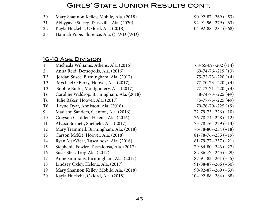### Girls' State Junior Results cont.

- Mary Shannon Kelley, Mobile, Ala. (2018) 90-92-87--269 (+53)
- Abbygayle Stacey, Trussville, Ala. (2020) 92-91-96--279 (+63)
- Kayla Huckeba, Oxford, Ala. (2018) 104-92-88--284 (+68)
- Hannah Pope, Florence, Ala. () WD (WD)

#### 16-18 Age Division

 Micheala Williams, Athens, Ala. (2016) 68-65-69--202 (-14) Anna Reid, Demopolis, Ala. (2016) 69-74-76--219 (+3) T3 Jordan Susce, Birmingham, Ala. (2017) 75-72-73--220 (+4) T3 Mychael O'Berry, Hoover, Ala. (2017) 77-70-73-220 (+4) T3 Sophie Burks, Montgomery, Ala. (2017) 77-72-71--220 (+4) T6 Caroline Waldrop, Birmingham, Ala. (2018) 78-74-73--225 (+9) T6 Julie Baker, Hoover, Ala. (2017) 75-77-73--225 (+9) T6 Layne Dyar, Anniston, Ala. (2016) 79-76-70--225 (+9) Madison Sanders, Clanton, Ala. (2016) 72-79-75--226 (+10) Grayson Gladden, Helena, Ala. (2016) 76-78-74--228 (+12) Alyssa Burnett, Sheffield, Ala. (2017) 75-78-76--229 (+13) Mary Trammell, Birmingham, Ala. (2018) 76-78-80--234 (+18) Carson McKie, Hoover, Ala. (2018) 81-78-76--235 (+19) Ryan MacVicar, Tuscaloosa, Ala. (2016) 81-79-77--237 (+21) Stephenie Fowler, Tuscaloosa, Ala. (2017) 79-84-80--243 (+27) Susie Stell, Troy, Ala. (2017) 82-86-77--245 (+29) Anne Simmons, Birmingham, Ala. (2017) 87-91-83--261 (+45) Lindsey Oxley, Helena, Ala. (2017) 91-88-87--266 (+50) Mary Shannon Kelley, Mobile, Ala. (2018) 90-92-87--269 (+53) Kayla Huckeba, Oxford, Ala. (2018) 104-92-88--284 (+68)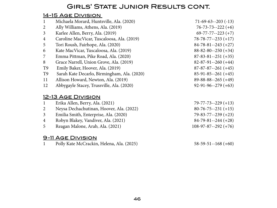### Girls' State Junior Results cont.

### 14-15 Age Division

| $\mathbf{1}$   | Michaela Morard, Huntsville, Ala. (2020)    | $71-69-63-203(-13)$        |
|----------------|---------------------------------------------|----------------------------|
| 2              | Ally Williams, Athens, Ala. (2019)          | $76 - 73 - 73 - 222$ (+6)  |
| 3              | Karlee Allen, Berry, Ala. (2019)            | $69-77-77-223(+7)$         |
| $\overline{4}$ | Caroline MacVicar, Tuscaloosa, Ala. (2019)  | $78 - 78 - 77 - 233 + 17$  |
| 5              | Tori Roush, Fairhope, Ala. (2020)           | $84 - 78 - 81 - 243 + 27$  |
| 6              | Kate MacVicar, Tuscaloosa, Ala. (2019)      | $88 - 82 - 80 - 250 (+34)$ |
| 7              | Emma Pittman, Pike Road, Ala. (2020)        | $87 - 83 - 81 - 251 (+35)$ |
| 8              | Grace Narrell, Union Grove, Ala. (2019)     | $82-87-91-260(+44)$        |
| T <sub>9</sub> | Emily Baker, Hoover, Ala. (2019)            | $87-87-87-261(+45)$        |
| T <sub>9</sub> | Sarah Kate Decarlo, Birmingham, Ala. (2020) | $85-91-85-261 (+45)$       |
| 11             | Allison Howard, Newton, Ala. (2019)         | $89-88-88-265 (+49)$       |
| 12             | Abbygayle Stacey, Trussville, Ala. (2020)   | $92-91-96-279(+63)$        |
|                | $A \wedge B \cap B$                         |                            |

#### <u>12-13 AGE DIVISION</u>

| $\mathbf{1}$ | Erika Allen, Berry, Ala. (2021)          | $79 - 77 - 73 - 229 + 13$ |
|--------------|------------------------------------------|---------------------------|
|              | Neysa Dechachutinan, Hoover, Ala. (2022) | $80-76-75-231 (+15)$      |
| $\mathbf{3}$ | Emilia Smith, Enterprise, Ala. (2020)    | $79 - 83 - 77 - 239 + 23$ |
| 4            | Robyn Blakey, Vandiver, Ala. (2021)      | $84-79-81-244(+28)$       |
| 5            | Reagan Malone, Arab, Ala. (2021)         | $108-97-87-292 (+76)$     |
|              |                                          |                           |

#### 9-11 Age Division

Polly Kate McCrackin, Helena, Ala. (2025) 58-59-51--168 (+60)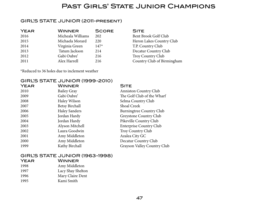### Past Girls' State Junior Champions

#### GIRL'S STATE JUNIOR (2011-present)

| <b>YEAR</b> | <b>WINNER</b>     | <b>SCORE</b> | <b>SITE</b> |
|-------------|-------------------|--------------|-------------|
| 2016        | Micheala Williams | 202          | Bent B      |
| 2015        | Michaela Morard   | 220          | Heron       |
| 2014        | Virginia Green    | $147*$       | T.P. Co     |
| 2013        | Tatum Jackson     | 214          | Decatu      |
| 2012        | Gabi Oubre'       | 216          | Troy C      |
| 2011        | Alex Harrell      | 216          | Countr      |

Bent Brook Golf Club Heron Lakes Country Club T.P. Country Club Decatur Country Club Troy Country Club Country Club of Birmingham

\*Reduced to 36 holes due to inclement weather

#### GIRL'S STATE JUNIOR (1999-2010)

| <b>YEAR</b> | <b>WINNER</b>         | <b>SITE</b>                    |
|-------------|-----------------------|--------------------------------|
| 2010        | <b>Bailey Gray</b>    | <b>Anniston Country Club</b>   |
| 2009        | Gabi Oubre'           | The Golf Club of the Wharf     |
| 2008        | Haley Wilson          | Selma Country Club             |
| 2007        | <b>Betsy Birchall</b> | Shoal Creek                    |
| 2006        | <b>Haley Sanders</b>  | Burningtree Country Club       |
| 2005        | Jordan Hardy          | Greystone Country Club         |
| 2004        | Jordan Hardy          | Pikeville Country Club         |
| 2003        | Alyson Mitchell       | <b>Enterprise Country Club</b> |
| 2002        | Laura Goodwin         | <b>Troy Country Club</b>       |
| 2001        | Amy Middleton         | Azalea City GC                 |
| 2000        | Amy Middleton         | Decatur Country Club           |
| 1999        | Kathy Birchall        | Grayson Valley Country Club    |

#### GIRL'S STATE JUNIOR (1963-1998)

| <b>WINNER</b>     |
|-------------------|
| Amy Middleton     |
| Lacy Shay Shelton |
| Mary Claire Dent  |
| Kami Smith        |
|                   |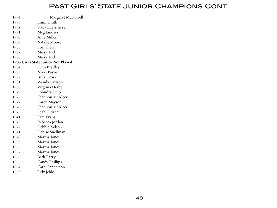### Past Girls' State Junior Champions Cont.

| 1994 | Margaret McDowell                   |
|------|-------------------------------------|
| 1993 | Kami Smith                          |
| 1992 | Stacy Buersmeyer                    |
| 1991 | Meg Lindsey                         |
| 1990 | Amy Miller                          |
| 1989 | Natalie Moore                       |
| 1988 | Lori Sherer                         |
| 1987 | <b>Missy Tuck</b>                   |
| 1986 | Missy Tuck                          |
|      | 1985 Girl's State Junior Not Played |
| 1984 | Lynn Bradley                        |
| 1983 | Nikki Payne                         |
| 1982 | <b>Beck Cross</b>                   |
| 1981 | Wendy Lawson                        |
| 1980 | Virginia Derby                      |
| 1979 | Johndra Culp                        |
| 1978 | Shannon McAleer                     |
| 1977 | Karen Mayson                        |
| 1976 | Shannon McAleer                     |
| 1975 | Leah Oldacre                        |
| 1941 | Kim Evans                           |
| 1973 | Rebecca Jordan                      |
| 1972 | Debbie Nelson                       |
| 1971 | Denise Snellman                     |
| 1970 | Martha Jones                        |
| 1969 | Martha Jones                        |
| 1968 | Martha Jones                        |
| 1967 | Martha Jones                        |
| 1966 | Beth Barry                          |
| 1965 | <b>Candy Phillips</b>               |
| 1964 | Carol Sanderson                     |
| 1963 | Judy Jehle                          |
|      |                                     |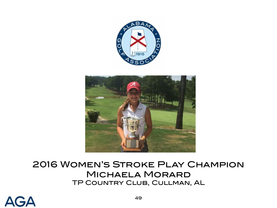



# 2016 Women's Stroke Play Champion Michaela Morard TP Country Club, Cullman, AL

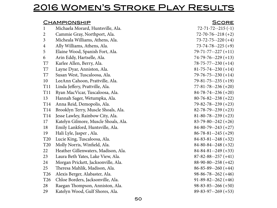# 2016 Women's Stroke Play Results

|                 | <u>CHAMPIONSHIP</u>                  | <u>SCORE</u>               |
|-----------------|--------------------------------------|----------------------------|
| 1               | Michaela Morard, Huntsville, Ala.    | $72 - 71 - 72 - 215(-1)$   |
| 2               | Cammie Gray, Northport, Ala.         | $72 - 70 - 76 - 218 (+2)$  |
| 3               | Micheala Williams, Athens, Ala.      | $73 - 72 - 75 - 220 + 4$   |
| $\overline{4}$  | Ally Williams, Athens, Ala.          | $73 - 74 - 78 - 225 (+9)$  |
| 5               | Elaine Wood, Spanish Fort, Ala.      | $79 - 71 - 77 - 227 (+11)$ |
| 6               | Arin Eddy, Hartselle, Ala.           | $74-79-76-229(+13)$        |
| T7              | Karlee Allen, Berry, Ala.            | $78 - 75 - 77 - 230 + 14$  |
| T7              | Layne Dyar, Anniston, Ala.           | $81 - 75 - 74 - 230 + 14$  |
| T7              | Susan West, Tuscaloosa, Ala.         | $79 - 76 - 75 - 230 + 14$  |
| 10              | LeeAnn Cahoon, Prattville, Ala.      | $79 - 81 - 75 - 235 (+19)$ |
| <b>T11</b>      | Linda Jeffery, Prattville, Ala.      | $77 - 81 - 78 - 236 (+20)$ |
| <b>T11</b>      | Ryan MacVicar, Tuscaloosa, Ala.      | $84 - 78 - 74 - 236 + 20$  |
| 13              | Hannah Sager, Wetumpka, Ala.         | $80 - 76 - 82 - 238 + 22$  |
| T14             | Anna Reid, Demopolis, Ala.           | $79 - 82 - 78 - 239 + 23$  |
| T14             | Brooklyn Terry, Muscle Shoals, Ala.  | $82 - 78 - 79 - 239 + 23$  |
| T14             | Jesse Lawley, Rainbow City, Ala.     | $81 - 80 - 78 - 239 + 23$  |
| 17              | Katelyn Gilmore, Muscle Shoals, Ala. | $83-79-80-242 (+26)$       |
| 18              | Emily Lankford, Huntsville, Ala.     | $84-80-79-243(+27)$        |
| 19              | Hali Lyle, Jasper, Ala.              | $86 - 78 - 81 - 245 (+29)$ |
| T <sub>20</sub> | Lucie King, Tuscaloosa, Ala.         | $84 - 83 - 81 - 248 + 32$  |
| <b>T20</b>      | Molly Norris, Winfield, Ala.         | $84 - 80 - 84 - 248 + 32$  |
| 22              | Heather Gillenwaters, Madison, Ala.  | $84 - 84 - 81 - 249 + 33$  |
| 23              | Laura Beth Yates, Lake View, Ala.    | $87 - 82 - 88 - 257 + 41$  |
| 24              | Morgan Prickett, Jacksonville, Ala.  | $88-90-80-258(+42)$        |
| 25              | Theresa Mahlik, Madison, Ala.        | $86 - 85 - 89 - 260 + 44$  |
| T <sub>26</sub> | Alexis Berger, Alabaster, Ala.       | $98-86-78-262 (+46)$       |
| T <sub>26</sub> | Chloe Borders, Jacksonville, Ala.    | $91-89-82-262 (+46)$       |
| 28              | Raegan Thompson, Anniston, Ala.      | $98-83-85--266 (+50)$      |
| 29              | Katelyn Wood, Gulf Shores, Ala.      | $89 - 83 - 97 - 269 + 53$  |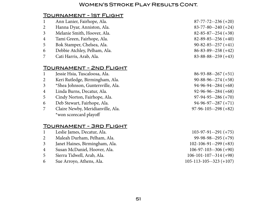#### Women's Stroke Play Results Cont.

#### Tournament - 1st Flight

- Ann Lanier, Fairhope, Ala. 87-77-72--236 (+20) Hanna Dyar, Anniston, Ala. 83-77-80--240 (+24) Melanie Smith, Hoover, Ala. 82-85-87--254 (+38) Tami Green, Fairhope, Ala. 82-89-85--256 (+40) Bok Stamper, Chelsea, Ala. 90-82-85--257 (+41) Debbie Atchley, Pelham, Ala. 86-83-89--258 (+42) Cati Harris, Arab, Ala. 83-88-88--259 (+43) Tournament - 2nd Flight Jessie Hsia, Tuscaloosa, Ala. 86-93-88--267 (+51) Keri Rutledge, Birmingham, Ala. 90-88-96--274 (+58) \*Shea Johnson, Guntersville, Ala. 94-96-94--284 (+68) Linda Burns, Decatur, Ala. 92-96-96--284 (+68) Cindy Norton, Fairhope, Ala. 97-94-95--286 (+70) Deb Stewart, Fairhope, Ala. 94-96-97--287 (+71) Claire Newby, Meridianville, Ala. 97-96-105--298 (+82) \*won scorecard playoff Tournament - 3rd Flight Leslie James, Decatur, Ala. 103-97-91--291 (+75) Maleah Durham, Pelham, Ala. 99-98-98--295 (+79) Janet Haines, Birmingham, Ala. 102-106-91--299 (+83)
- Susan McDaniel, Hoover, Ala. 106-97-103--306 (+90)
- Sierra Tidwell, Arab, Ala. 106-101-107--314 (+98)
- Sue Arroyo, Athens, Ala. 105-113-105--323 (+107)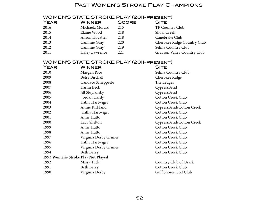#### Past Women's Stroke Play Champions

# WOMEN'S STATE STROKE PLAY (2011-present)

| YEAR | <b>WINNER</b>   | <b>SCORE</b> | <b>SITE</b> |
|------|-----------------|--------------|-------------|
| 2016 | Michaela Morard | 215          | TP Cou      |
| 2015 | Elaine Wood     | 218          | Shoal C     |
| 2014 | Alison Hovatter | 218          | Canebr      |
| 2013 | Cammie Gray     | 220          | Cherok      |
| 2012 | Cammie Gray     | 219          | Selma       |
| 2011 | Haley Lawrence  | 221          | Grayso      |

| <u>JIL</u> |                 |
|------------|-----------------|
|            | TP Country Club |

- Shoal Creek
- Canebrake Club
- Cherokee Ridge Country Club
- Selma Country Club
- Grayson Valley Country Club

#### WOMEN'S STATE STROKE PLAY (2011-present)

| <b>YEAR</b> | <b>WINNER</b>                       | <b>SITE</b>              |
|-------------|-------------------------------------|--------------------------|
| 2010        | Maegan Rice                         | Selma Country Club       |
| 2009        | <b>Betsy Birchall</b>               | Cherokee Ridge           |
| 2008        | Candace Schepperle                  | The Ledges               |
| 2007        | Karlin Beck                         | CypressBend              |
| 2006        | Jill Stupiansky                     | CypressBend              |
| 2005        | Jordan Hardy                        | <b>Cotton Creek Club</b> |
| 2004        | Kathy Hartwiger                     | <b>Cotton Creek Club</b> |
| 2003        | Annie Kirkland                      | CypressBend/Cotton Creek |
| 2002        | Kathy Hartwiger                     | <b>Cotton Creek Club</b> |
| 2001        | Anne Hutto                          | <b>Cotton Creek Club</b> |
| 2000        | Lacy Shelton                        | CypressBend/Cotton Creek |
| 1999        | Anne Hutto                          | <b>Cotton Creek Club</b> |
| 1998        | Anne Hutto                          | <b>Cotton Creek Club</b> |
| 1997        | Virginia Derby Grimes               | <b>Cotton Creek Club</b> |
| 1996        | Kathy Hartwiger                     | <b>Cotton Creek Club</b> |
| 1995        | Virginia Derby Grimes               | <b>Cotton Creek Club</b> |
| 1994        | Beth Barry                          | <b>Cotton Creek Club</b> |
|             | 1993 Women's Stroke Play Not Played |                          |
| 1992        | Missy Tuck                          | Country Club of Ozark    |
| 1991        | Beth Barry                          | Cotton Creek Club        |
| 1990        | Virginia Derby                      | Gulf Shores Golf Club    |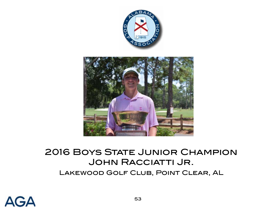

# **2016 BOYS STATE JUNIOR CHAMPION** JOHN RACCIATTI JR. Lakewood Golf Club, Point Clear, AL

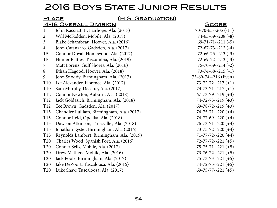# 2016 BOYS STATE JUNIOR RESULTS

| (H.S. GRADUATION)<br><u>PLACE</u> |                                           |                            |  |
|-----------------------------------|-------------------------------------------|----------------------------|--|
|                                   | <u>14-18 OVERALL DIVISION</u>             | <b>SCORE</b>               |  |
| $\mathbf{1}$                      | John Racciatti Jr, Fairhope, Ala. (2017)  | $70-70-65--205(-11)$       |  |
| $\overline{2}$                    | Will McFadden, Mobile, Ala. (2018)        | $74-65-69-208(-8)$         |  |
| 3                                 | Blake Schambeau, Hoover, Ala. (2016)      | $69 - 71 - 71 - 211(-5)$   |  |
| $\overline{4}$                    | John Catanzaro, Gadsden, Ala. (2017)      | $72 - 67 - 73 - 212$ (-4)  |  |
| T <sub>5</sub>                    | Connor Doyal, Homewood, Ala. (2017)       | $72 - 66 - 75 - 213$ (-3)  |  |
| T <sub>5</sub>                    | Hunter Battles, Tuscumbia, Ala. (2019)    | $72-69-72-213(-3)$         |  |
| 7                                 | Matt Lorenz, Gulf Shores, Ala. (2016)     | $75 - 70 - 69 - -214$ (-2) |  |
| 8                                 | Ethan Hagood, Hoover, Ala. (2018)         | $73 - 74 - 68 - -215(-1)$  |  |
| 9                                 | John Snoddy, Birmingham, Ala. (2017)      | 73-69-74--216 (Even)       |  |
| T10                               | Ike Alexander, Florence, Ala. (2017)      | $73 - 72 - 72 - 217 (+1)$  |  |
| T <sub>10</sub>                   | Sam Murphy, Decatur, Ala. (2017)          | $73 - 73 - 71 - 217 (+1)$  |  |
| T <sub>12</sub>                   | Connor Newton, Auburn, Ala. (2018)        | $67 - 73 - 79 - 219 (+3)$  |  |
| T <sub>12</sub>                   | Jack Goldasich, Birmingham, Ala. (2018)   | $74 - 72 - 73 - 219 + 3$   |  |
| T <sub>12</sub>                   | Tee Brown, Gadsden, Ala. (2017)           | $69 - 78 - 72 - 219 (+3)$  |  |
| T15                               | Chandler Pulliam, Birmingham, Ala. (2017) | $74 - 75 - 71 - 220 + 4$   |  |
| T15                               | Connor Reid, Opelika, Ala. (2018)         | $74-77-69-220 (+4)$        |  |
| T15                               | Dawson Atkinson, Trussville, Ala. (2018)  | $76 - 73 - 71 - 220 + 4$   |  |
| T15                               | Jonathan Eyster, Birmingham, Ala. (2016)  | $73 - 75 - 72 - 220 + 4$   |  |
| T15                               | Reynolds Lambert, Birmingham, Ala. (2019) | $71 - 77 - 72 - 220$ (+4)  |  |
| T <sub>20</sub>                   | Charles Wood, Spanish Fort, Ala. (2016)   | $72 - 77 - 72 - 221$ (+5)  |  |
| <b>T20</b>                        | Conner Sells, Mobile, Ala. (2017)         | $75 - 75 - 71 - 221$ (+5)  |  |
| T <sub>20</sub>                   | Drew Mathers, Mobile, Ala. (2016)         | $73 - 76 - 72 - 221$ (+5)  |  |
| <b>T20</b>                        | Jack Poole, Birmingham, Ala. (2017)       | $75 - 73 - 73 - 221 (+5)$  |  |
| <b>T20</b>                        | Jake DeZoort, Tuscaloosa, Ala. (2015)     | $74 - 72 - 75 - 221$ (+5)  |  |
| <b>T20</b>                        | Luke Shaw, Tuscaloosa, Ala. (2017)        | $69 - 75 - 77 - 221 (+5)$  |  |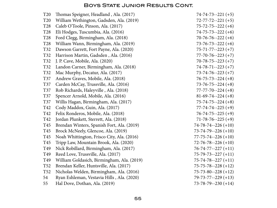| T <sub>20</sub> | Thomas Speigner, Headland, Ala. (2017)     | $74 - 74 - 73 - 221$ (+5)  |
|-----------------|--------------------------------------------|----------------------------|
| <b>T20</b>      | William Wethington, Gadsden, Ala. (2019)   | $72 - 77 - 72 - 221 (+5)$  |
| <b>T28</b>      | Caleb O'Toole, Pinson, Ala. (2017)         | $75 - 72 - 75 - 222$ (+6)  |
| <b>T28</b>      | Eli Hodges, Tuscumbia, Ala. (2016)         | $74 - 75 - 73 - 222$ (+6)  |
| T <sub>28</sub> | Ford Clegg, Birmingham, Ala. (2018)        | $70-76-76-222 (+6)$        |
| <b>T28</b>      | William Wann, Birmingham, Ala. (2019)      | $73 - 76 - 73 - 222$ (+6)  |
| T32             | Dawson Garrett, Fort Payne, Ala. (2020)    | $75 - 71 - 77 - 223 + 7$   |
| T32             | Harrison Martin, Gadsden, Ala. (2016)      | $77 - 70 - 76 - 223$ (+7)  |
| T32             | J. P. Cave, Mobile, Ala. (2020)            | $70 - 78 - 75 - 223 + 7$   |
| T32             | Landon Carner, Birmingham, Ala. (2018)     | $74 - 78 - 71 - 223 + 7)$  |
| T32             | Mac Murphy, Decatur, Ala. (2017)           | $73 - 74 - 76 - 223 + 7$   |
| <b>T37</b>      | Andrew Graves, Mobile, Ala. (2018)         | $76 - 75 - 73 - 224 (+8)$  |
| T37             | Carden McCay, Trussville, Ala. (2016)      | $73 - 76 - 75 - 224 (+8)$  |
| <b>T37</b>      | Rob Richards, Haleyville, Ala. (2018)      | $77 - 77 - 70 - 224 (+8)$  |
| T37             | Spencer Arnold, Mobile, Ala. (2016)        | $81-69-74-224 (+8)$        |
| <b>T37</b>      | Willis Hagan, Birmingham, Ala. (2017)      | $75 - 74 - 75 - 224 (+8)$  |
| T42             | Cody Maddox, Guin, Ala. (2017)             | $77 - 74 - 74 - 225 (+9)$  |
| T42             | Felix Ronderos, Mobile, Ala. (2018)        | $76 - 74 - 75 - 225 (+9)$  |
| T42             | Jordan Plunkett, Sterrett, Ala. (2018)     | $71-78-76-225 (+9)$        |
| T45             | Brendan Winters, Spanish Fort, Ala. (2019) | $74 - 78 - 74 - 226 + 10$  |
| T45             | Brock McNeely, Glencoe, Ala. (2019)        | $73 - 74 - 79 - 226 (+10)$ |
| T45             | Noah Whittington, Frisco City, Ala. (2016) | $77 - 75 - 74 - 226 (+10)$ |
| T45             | Tripp Law, Mountain Brook, Ala. (2020)     | $72 - 76 - 78 - 226 (+10)$ |
| T49             | Nick Robillard, Birmingham, Ala. (2017)    | $76 - 74 - 77 - 227 (+11)$ |
| T49             | Reed Love, Trussville, Ala. (2017)         | $75-79-73-227 (+11)$       |
| T49             | William Goldasich, Birmingham, Ala. (2019) | $75 - 74 - 78 - 227 (+11)$ |
| <b>T52</b>      | Brendan Keller, Huntsville, Ala. (2017)    | $75 - 75 - 78 - 228 + 12$  |
| <b>T52</b>      | Nicholas Welden, Birmingham, Ala. (2016)   | $75 - 73 - 80 - 228 + 12$  |
| 54              | Ryan Eshleman, Vestavia Hills, Ala. (2020) | $79 - 73 - 77 - 229 + 13$  |
| 55              | Hal Dove, Dothan, Ala. (2019)              | $73 - 78 - 79 - 230 + 14$  |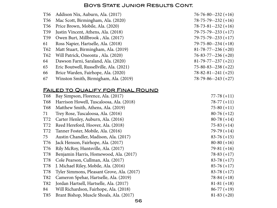|                 | T56 Addison Nix, Auburn, Ala. (2017)     | $76 - 76 - 80 - 232 + 16$  |
|-----------------|------------------------------------------|----------------------------|
| T56             | Mac Scott, Birmingham, Ala. (2020)       | $78 - 75 - 79 - 232 + 16$  |
| T <sub>56</sub> | Price Brown, Mobile, Ala. (2020)         | $78 - 73 - 81 - 232 + 16$  |
| T <sub>59</sub> | Justin Vincent, Athens, Ala. (2018)      | $79 - 75 - 79 - 233 + 17$  |
| T59             | Owen Burt, Millbrook, Ala. (2017)        | $79 - 75 - 79 - 233 + 17$  |
| 61              | Ross Napier, Hartselle, Ala. (2018)      | $79 - 75 - 80 - 234 + 18$  |
| T62             | Matt Stuart, Birmingham, Ala. (2019)     | $81 - 78 - 77 - 236 + 20$  |
| T <sub>62</sub> | Will Patrick, Oneonta, Ala. (2020)       | $76 - 83 - 77 - 236 (+20)$ |
| 64              | Dawson Farni, Saraland, Ala. (2020)      | $81 - 79 - 77 - 237 + 21$  |
| 65              | Eric Boutwell, Russellville, Ala. (2021) | $75 - 80 - 83 - 238 + 22$  |
| 66              | Brice Warden, Fairhope, Ala. (2020)      | $78 - 82 - 81 - 241 (+25)$ |
| 67              | Winston Smith, Birmigham, Ala. (2019)    | $78 - 79 - 86 - 243 + 27$  |

### Failed to Qualify for Final Round

| T <sub>68</sub> | Bay Simpson, Florence, Ala. (2017)         | $77-78(+11)$  |
|-----------------|--------------------------------------------|---------------|
| T <sub>68</sub> | Harrison Howell, Tuscaloosa, Ala. (2018)   | $78-77(+11)$  |
| T <sub>68</sub> | Matthew Smith, Athens, Ala. (2019)         | $75-80 (+11)$ |
| 71              | Trey Rose, Tuscaloosa, Ala. (2016)         | $80-76(+12)$  |
| T72             | Carter Henley, Auburn, Ala. (2016)         | $80-78(+14)$  |
| T72             | Reed Hereford, Hoover, Ala. (2018)         | $75-83 (+14)$ |
| T72             | Tanner Foster, Mobile, Ala. (2016)         | $79-79(+14)$  |
| 75              | Austin Chandler, Madison, Ala. (2017)      | $83-76 (+15)$ |
| T76             | Jack Henson, Fairhope, Ala. (2017)         | $80-80 (+16)$ |
| T76             | Rily McRoy, Huntsville, Ala. (2017)        | $79-81 (+16)$ |
| T78             | Benjamin Harris, Homewood, Ala. (2017)     | $78-83(+17)$  |
| T78             | Cole Pearson, Cullman, Ala. (2017)         | $83-78(+17)$  |
| <b>T78</b>      | J. Michael Riley, Mobile, Ala. (2016)      | $85-76(+17)$  |
| T78             | Tyler Simmons, Pleasant Grove, Ala. (2017) | $83-78(+17)$  |
| T82             | Cameron Spehar, Hartselle, Ala. (2019)     | $78-84(+18)$  |
| T82             | Jordan Hartsell, Hartselle, Ala. (2017)    | $81-81 (+18)$ |
| 84              | Will Richardson, Fairhope, Ala. (2018)     | $86-77 (+19)$ |
| T85             | Brant Bishop, Muscle Shoals, Ala. (2017)   | $81-83 (+20)$ |
|                 |                                            |               |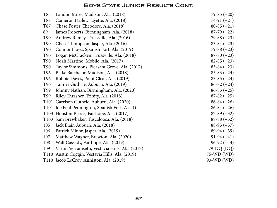| T85              | Landon Miles, Madison, Ala. (2018)             | $79-85 (+20)$   |
|------------------|------------------------------------------------|-----------------|
| T87              | Cameron Dailey, Fayette, Ala. (2018)           | $74-91 (+21)$   |
| T87              | Chase Foster, Theodore, Ala. (2018)            | $80-85 (+21)$   |
| 89               | James Roberts, Birmingham, Ala. (2018)         | $87-79(+22)$    |
| <b>T90</b>       | Andrew Ramey, Trussville, Ala. (2016)          | $79-88 (+23)$   |
| T90              | Chase Thompson, Jasper, Ala. (2016)            | $83-84 (+23)$   |
| T90              | Connor Floyd, Spanish Fort, Ala. (2019)        | $79-88 (+23)$   |
| T90              | Logan McCracken, Trussville, Ala. (2018)       | $87-80 (+23)$   |
| T90              | Noah Martino, Mobile, Ala. (2017)              | $82-85 (+23)$   |
| <b>T90</b>       | Taylor Simmons, Pleasant Grove, Ala. (2017)    | $83-84 (+23)$   |
| T <sub>96</sub>  | Blake Batchelor, Madison, Ala. (2018)          | $85-83 (+24)$   |
| T <sub>96</sub>  | Robbie Daves, Point Clear, Ala. (2019)         | $83-85 (+24)$   |
| T96              | Tanner Guthrie, Auburn, Ala. (2019)            | $86 - 82 (+24)$ |
| T99              | Johnny Nathan, Birmingham, Ala. (2020)         | $86-83(+25)$    |
| T <sub>99</sub>  | Riley Thrasher, Trinity, Ala. (2018)           | $87-82 (+25)$   |
| T <sub>101</sub> | Garrison Guthrie, Auburn, Ala. (2020)          | $86-84 (+26)$   |
| T <sub>101</sub> | Joe Paul Pennington, Spanish Fort, Ala. ()     | $86-84 (+26)$   |
|                  | T103 Houston Pierce, Fairhope, Ala. (2017)     | $87-89 (+32)$   |
| T <sub>103</sub> | Sam Brewbaker, Tuscaloosa, Ala. (2018)         | $88-88 (+32)$   |
| 105              | Jack Blair, Auburn, Ala. (2018)                | $88-93 (+37)$   |
| 106              | Patrick Minor, Jasper, Ala. (2019)             | $89-94 (+39)$   |
| 107              | Matthew Wagner, Brewton, Ala. (2020)           | $91-94 (+41)$   |
| 108              | Walt Cassady, Fairhope, Ala. (2019)            | $96-92 (+44)$   |
| 109              | Varun Yerramsetti, Vestavia Hills, Ala. (2017) | 79-DQ (DQ)      |
| T <sub>110</sub> | Austin Coggin, Vestavia Hills, Ala. (2019)     | 75-WD (WD)      |
|                  | T110 Jacob LeCroy, Anniston, Ala. (2019)       | 93-WD (WD)      |
|                  |                                                |                 |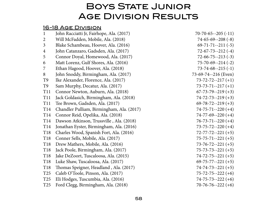# **BOYS STATE JUNIOR** Age Division Results

#### 16-18 Age Division

| $\mathbf{1}$    | John Racciatti Jr, Fairhope, Ala. (2017)  | $70-70-65--205(-11)$      |
|-----------------|-------------------------------------------|---------------------------|
| $\overline{2}$  | Will McFadden, Mobile, Ala. (2018)        | $74-65-69-208(-8)$        |
| $\mathfrak{Z}$  | Blake Schambeau, Hoover, Ala. (2016)      | $69 - 71 - 71 - 211(-5)$  |
| $\overline{4}$  | John Catanzaro, Gadsden, Ala. (2017)      | $72 - 67 - 73 - 212$ (-4) |
| 5               | Connor Doyal, Homewood, Ala. (2017)       | $72-66-75-213(-3)$        |
| 6               | Matt Lorenz, Gulf Shores, Ala. (2016)     | $75 - 70 - 69 - 214$ (-2) |
| 7               | Ethan Hagood, Hoover, Ala. (2018)         | $73 - 74 - 68 - -215(-1)$ |
| 8               | John Snoddy, Birmingham, Ala. (2017)      | 73-69-74--216 (Even)      |
| T <sub>9</sub>  | Ike Alexander, Florence, Ala. (2017)      | $73 - 72 - 72 - 217 (+1)$ |
| T <sub>9</sub>  | Sam Murphy, Decatur, Ala. (2017)          | $73 - 73 - 71 - 217 (+1)$ |
| T11             | Connor Newton, Auburn, Ala. (2018)        | $67 - 73 - 79 - 219 (+3)$ |
| <b>T11</b>      | Jack Goldasich, Birmingham, Ala. (2018)   | $74 - 72 - 73 - 219 + 3$  |
| <b>T11</b>      | Tee Brown, Gadsden, Ala. (2017)           | $69 - 78 - 72 - 219 + 3$  |
| T <sub>14</sub> | Chandler Pulliam, Birmingham, Ala. (2017) | $74 - 75 - 71 - 220$ (+4) |
| T14             | Connor Reid, Opelika, Ala. (2018)         | $74 - 77 - 69 - 220 (+4)$ |
| T14             | Dawson Atkinson, Trussville, Ala. (2018)  | $76 - 73 - 71 - 220$ (+4) |
| T14             | Jonathan Eyster, Birmingham, Ala. (2016)  | $73 - 75 - 72 - 220$ (+4) |
| T18             | Charles Wood, Spanish Fort, Ala. (2016)   | $72 - 77 - 72 - 221$ (+5) |
| T18             | Conner Sells, Mobile, Ala. (2017)         | $75 - 75 - 71 - 221$ (+5) |
| T <sub>18</sub> | Drew Mathers, Mobile, Ala. (2016)         | $73 - 76 - 72 - 221 (+5)$ |
| T18             | Jack Poole, Birmingham, Ala. (2017)       | $75 - 73 - 73 - 221 (+5)$ |
| T <sub>18</sub> | Jake DeZoort, Tuscaloosa, Ala. (2015)     | $74 - 72 - 75 - 221$ (+5) |
| T18             | Luke Shaw, Tuscaloosa, Ala. (2017)        | $69 - 75 - 77 - 221 (+5)$ |
| T <sub>18</sub> | Thomas Speigner, Headland, Ala. (2017)    | $74 - 74 - 73 - 221$ (+5) |
| T <sub>25</sub> | Caleb O'Toole, Pinson, Ala. (2017)        | $75 - 72 - 75 - 222$ (+6) |
| T25             | Eli Hodges, Tuscumbia, Ala. (2016)        | $74 - 75 - 73 - 222$ (+6) |
| T <sub>25</sub> | Ford Clegg, Birmingham, Ala. (2018)       | $70-76-76-222 (+6)$       |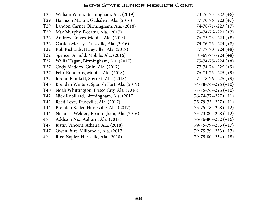| T <sub>25</sub> | William Wann, Birmingham, Ala. (2019)      | $73 - 76 - 73 - 222$ (+6)  |
|-----------------|--------------------------------------------|----------------------------|
| T <sub>29</sub> | Harrison Martin, Gadsden, Ala. (2016)      | $77 - 70 - 76 - 223 (+7)$  |
| T <sub>29</sub> | Landon Carner, Birmingham, Ala. (2018)     | $74 - 78 - 71 - 223$ (+7)  |
| T <sub>29</sub> | Mac Murphy, Decatur, Ala. (2017)           | $73 - 74 - 76 - 223 + 7$   |
| T32             | Andrew Graves, Mobile, Ala. (2018)         | $76 - 75 - 73 - 224 (+8)$  |
| T32             | Carden McCay, Trussville, Ala. (2016)      | $73 - 76 - 75 - 224 (+8)$  |
| T32             | Rob Richards, Haleyville, Ala. (2018)      | $77 - 77 - 70 - 224 (+8)$  |
| T32             | Spencer Arnold, Mobile, Ala. (2016)        | $81-69-74-224(+8)$         |
| T32             | Willis Hagan, Birmingham, Ala. (2017)      | $75 - 74 - 75 - 224 (+8)$  |
| T37             | Cody Maddox, Guin, Ala. (2017)             | $77 - 74 - 74 - 225 (+9)$  |
| <b>T37</b>      | Felix Ronderos, Mobile, Ala. (2018)        | $76 - 74 - 75 - 225 (+9)$  |
| T37             | Jordan Plunkett, Sterrett, Ala. (2018)     | $71 - 78 - 76 - 225 (+9)$  |
| T40             | Brendan Winters, Spanish Fort, Ala. (2019) | $74 - 78 - 74 - 226 + 10$  |
| <b>T40</b>      | Noah Whittington, Frisco City, Ala. (2016) | $77 - 75 - 74 - 226 (+10)$ |
| T42             | Nick Robillard, Birmingham, Ala. (2017)    | $76 - 74 - 77 - 227 (+11)$ |
| T42             | Reed Love, Trussville, Ala. (2017)         | $75 - 79 - 73 - 227 (+11)$ |
| T44             | Brendan Keller, Huntsville, Ala. (2017)    | $75 - 75 - 78 - 228 + 12$  |
| T44             | Nicholas Welden, Birmingham, Ala. (2016)   | $75 - 73 - 80 - 228 + 12$  |
| 46              | Addison Nix, Auburn, Ala. (2017)           | $76 - 76 - 80 - 232 + 16$  |
| T47             | Justin Vincent, Athens, Ala. (2018)        | $79 - 75 - 79 - 233 + 17$  |
| T47             | Owen Burt, Millbrook, Ala. (2017)          | $79 - 75 - 79 - 233 + 17$  |
| 49              | Ross Napier, Hartselle, Ala. (2018)        | $79 - 75 - 80 - 234 + 18$  |
|                 |                                            |                            |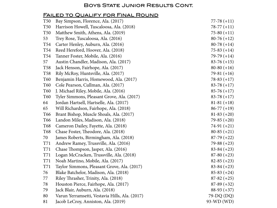### Failed to Qualify for Final Round

| <b>T50</b>      | Bay Simpson, Florence, Ala. (2017)             | $77 - 78 (+11)$ |
|-----------------|------------------------------------------------|-----------------|
| <b>T50</b>      | Harrison Howell, Tuscaloosa, Ala. (2018)       | $78-77(+11)$    |
| <b>T50</b>      | Matthew Smith, Athens, Ala. (2019)             | $75-80 (+11)$   |
| 53              | Trey Rose, Tuscaloosa, Ala. (2016)             | $80-76(+12)$    |
| T54             | Carter Henley, Auburn, Ala. (2016)             | $80-78(+14)$    |
| T <sub>54</sub> | Reed Hereford, Hoover, Ala. (2018)             | $75-83 (+14)$   |
| T <sub>54</sub> | Tanner Foster, Mobile, Ala. (2016)             | $79-79(+14)$    |
| 57              | Austin Chandler, Madison, Ala. (2017)          | $83-76 (+15)$   |
| T <sub>58</sub> | Jack Henson, Fairhope, Ala. (2017)             | $80-80 (+16)$   |
| T <sub>58</sub> | Rily McRoy, Huntsville, Ala. (2017)            | $79-81 (+16)$   |
| T60             | Benjamin Harris, Homewood, Ala. (2017)         | $78-83 (+17)$   |
| <b>T60</b>      | Cole Pearson, Cullman, Ala. (2017)             | $83-78(+17)$    |
| T60             | J. Michael Riley, Mobile, Ala. (2016)          | $85-76(+17)$    |
| T60             | Tyler Simmons, Pleasant Grove, Ala. (2017)     | $83-78(+17)$    |
| 64              | Jordan Hartsell, Hartselle, Ala. (2017)        | $81-81 (+18)$   |
| 65              | Will Richardson, Fairhope, Ala. (2018)         | $86-77(+19)$    |
| T66             | Brant Bishop, Muscle Shoals, Ala. (2017)       | $81-83 (+20)$   |
| T66             | Landon Miles, Madison, Ala. (2018)             | $79-85 (+20)$   |
| T68             | Cameron Dailey, Fayette, Ala. (2018)           | $74-91 (+21)$   |
| T68             | Chase Foster, Theodore, Ala. (2018)            | $80-85 (+21)$   |
| 70              | James Roberts, Birmingham, Ala. (2018)         | $87-79 (+22)$   |
| T71             | Andrew Ramey, Trussville, Ala. (2016)          | $79 - 88 (+23)$ |
| T71             | Chase Thompson, Jasper, Ala. (2016)            | $83 - 84 (+23)$ |
| T71             | Logan McCracken, Trussville, Ala. (2018)       | $87-80 (+23)$   |
| T71             | Noah Martino, Mobile, Ala. (2017)              | $82 - 85 (+23)$ |
| T71             | Taylor Simmons, Pleasant Grove, Ala. (2017)    | $83 - 84 (+23)$ |
| 76              | Blake Batchelor, Madison, Ala. (2018)          | $85-83(+24)$    |
| 77              | Riley Thrasher, Trinity, Ala. (2018)           | $87-82 (+25)$   |
| 78              | Houston Pierce, Fairhope, Ala. (2017)          | $87-89 (+32)$   |
| 79              | Jack Blair, Auburn, Ala. (2018)                | $88-93 (+37)$   |
| 80              | Varun Yerramsetti, Vestavia Hills, Ala. (2017) | 79-DQ (DQ)      |
| 81              | Jacob LeCroy, Anniston, Ala. (2019)            | 93-WD (WD)      |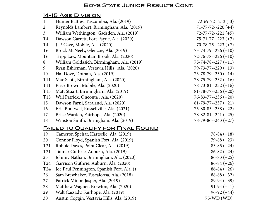### 14-15 Age Division

| $\mathbf{1}$    | Hunter Battles, Tuscumbia, Ala. (2019)     | $72 - 69 - 72 - 213$ (-3)  |
|-----------------|--------------------------------------------|----------------------------|
| $\overline{2}$  | Reynolds Lambert, Birmingham, Ala. (2019)  | $71 - 77 - 72 - 220 (+4)$  |
| $\mathfrak{Z}$  | William Wethington, Gadsden, Ala. (2019)   | $72 - 77 - 72 - 221 (+5)$  |
| T <sub>4</sub>  | Dawson Garrett, Fort Payne, Ala. (2020)    | $75 - 71 - 77 - 223 + 7)$  |
| T <sub>4</sub>  | J. P. Cave, Mobile, Ala. (2020)            | $70 - 78 - 75 - 223 + 7$   |
| T <sub>6</sub>  | Brock McNeely, Glencoe, Ala. (2019)        | $73 - 74 - 79 - 226 (+10)$ |
| T <sub>6</sub>  | Tripp Law, Mountain Brook, Ala. (2020)     | $72 - 76 - 78 - 226 (+10)$ |
| 8               | William Goldasich, Birmingham, Ala. (2019) | $75 - 74 - 78 - 227 (+11)$ |
| 9               | Ryan Eshleman, Vestavia Hills, Ala. (2020) | $79 - 73 - 77 - 229 + 13$  |
| 10              | Hal Dove, Dothan, Ala. (2019)              | $73 - 78 - 79 - 230 + 14$  |
| T <sub>11</sub> | Mac Scott, Birmingham, Ala. (2020)         | $78-75-79-232 (+16)$       |
| <b>T11</b>      | Price Brown, Mobile, Ala. (2020)           | $78 - 73 - 81 - 232 + 16$  |
| T <sub>13</sub> | Matt Stuart, Birmingham, Ala. (2019)       | $81 - 78 - 77 - 236 (+20)$ |
| T <sub>13</sub> | Will Patrick, Oneonta, Ala. (2020)         | $76 - 83 - 77 - 236 (+20)$ |
| 15              | Dawson Farni, Saraland, Ala. (2020)        | $81-79-77-237(+21)$        |
| 16              | Eric Boutwell, Russellville, Ala. (2021)   | $75 - 80 - 83 - 238 + 22$  |
| 17              | Brice Warden, Fairhope, Ala. (2020)        | $78 - 82 - 81 - 241 (+25)$ |
| 18              | Winston Smith, Birmigham, Ala. (2019)      | $78 - 79 - 86 - 243 + 27$  |
|                 | <u>FAILED TO QUALIFY FOR FINAL ROUND</u>   |                            |
| 19              | Cameron Spehar, Hartselle, Ala. (2019)     | $78-84 (+18)$              |
| 20              | Connor Floyd, Spanish Fort, Ala. (2019)    | $79-88 (+23)$              |
| T <sub>21</sub> | Robbie Daves, Point Clear, Ala. (2019)     | $83-85 (+24)$              |
| T <sub>21</sub> | Tanner Guthrie, Auburn, Ala. (2019)        | $86 - 82 (+24)$            |
| 23              | Johnny Nathan, Birmingham, Ala. (2020)     | $86 - 83 (+25)$            |
| T <sub>24</sub> | Garrison Guthrie, Auburn, Ala. (2020)      | $86-84 (+26)$              |
| T <sub>24</sub> | Joe Paul Pennington, Spanish Fort, Ala. () | $86-84 (+26)$              |
| 26              | Sam Brewbaker, Tuscaloosa, Ala. (2018)     | $88-88 (+32)$              |
| 27              | Patrick Minor, Jasper, Ala. (2019)         | $89-94 (+39)$              |
| 28              | Matthew Wagner, Brewton, Ala. (2020)       | $91-94 (+41)$              |
| 29              | Walt Cassady, Fairhope, Ala. (2019)        | $96-92 (+44)$              |
| 30              | Austin Coggin, Vestavia Hills, Ala. (2019) | 75-WD (WD)                 |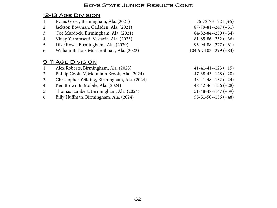### 12-13 Age Division

| $\mathbf{1}$   | Evans Gross, Birmingham, Ala. (2021)          | $76 - 72 - 73 - 221$ (+5)  |
|----------------|-----------------------------------------------|----------------------------|
| 2              | Jackson Bowman, Gadsden, Ala. (2021)          | $87 - 79 - 81 - 247 + 31$  |
| $\overline{3}$ | Coe Murdock, Birmingham, Ala. (2021)          | $84 - 82 - 84 - 250 + 34$  |
| $\overline{4}$ | Vinay Yerramsetti, Vestavia, Ala. (2023)      | $81 - 85 - 86 - 252 + 36$  |
| 5              | Dive Rowe, Birmingham, Ala. (2020)            | $95 - 94 - 88 - 277 (+61)$ |
| 6              | William Bishop, Muscle Shoals, Ala. (2022)    | $104-92-103-299 (+83)$     |
|                |                                               |                            |
|                | 9-11 AGE DIVISION                             |                            |
| 1              | Alex Roberts, Birmingham, Ala. (2023)         | $41-41-41-123(+15)$        |
| 2              | Phillip Cook IV, Mountain Brook, Ala. (2024)  | $47-38-43-128 (+20)$       |
| $\overline{3}$ | Christopher Yeilding, Birmingham, Ala. (2024) | $43 - 41 - 48 - 132 + 24$  |
| $\overline{4}$ | Ken Brown Jr, Mobile, Ala. (2024)             | $48 - 42 - 46 - 136 (+28)$ |
| 5              | Thomas Lambert, Birmingham, Ala. (2024)       | $51 - 48 - 48 - 147 + 39$  |
| 6              | Billy Huffman, Birmingham, Ala. (2024)        | $55 - 51 - 50 - 156 (+48)$ |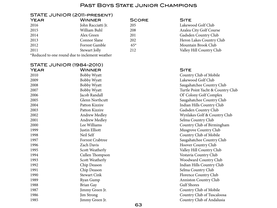#### Past Boys State Junior Champions

#### STATE JUNIOR (2011-present)

| <b>YEAR</b> | <b>WINNER</b>                                  | <b>SCORE</b> | <b>SITE</b> |
|-------------|------------------------------------------------|--------------|-------------|
| 2016        | John Racciatti Jr.                             | 205          | Lakewo      |
| 2015        | William Buhl                                   | 208          | Azalea      |
| 2014        | Alex Green                                     | 201          | Gadsde      |
| 2013        | Connor Slane                                   | 202          | Heron       |
| 2012        | Forrest Gamble                                 | $65*$        | Mount       |
| 2011        | Stewart Jolly                                  | 212          | Valley      |
|             | *Reduced to one round due to inclement weather |              |             |
|             |                                                |              |             |

205 Lakewood Golf Club 208 Azalea City Golf Course 201 Gadsden Country Club 202 Heron Lakes Country Club 2012 Forrest Gamble 65\* Mountain Brook Club 212 Valley Hill Country Club

#### STATE JUNIOR (1984-2010) Year Winner Site 2010 Bobby Wyatt Bobby Wyatt Country Club of Mobile 2009 Bobby Wyatt Lakewood Golf Club 2008 Bobby Wyatt Bobby Wyatt Saugahatchee Country Club 2007 Bobby Wyatt Turtle Point Yacht & Country Club 2006 Jacob Randall Ol' Colony Golf Complex 2005 Glenn Northcutt Saugahatchee Country Club 2004 Patton Kizzire Indian Hills Country Club 2003 Patton Kizzire Gadsden Country Club 2002 Andrew Medley Andrew Medley Andrew Medley Andrew Wynlakes Golf & Country Club 2001 Andrew Medley **Andrew Medley** Selma Country Club 2000 Lee Williams Country Club of Birmingham 1999 Justin Elliott Justin Elliott Musgrove Country Club 1998 Neil Self Country Club of Mobile 1997 **Forrest Crabtree Forrest Crabtree** Saugahatchee Country Club 1996 **Zach Davis Zach Davis Zach Davis Hoover Country Club** 1995 Scott Weatherly Scott Weatherly Valley Hill Country Club 1994 Cullen Thompson Vestavia Country Club 1993 Scott Weatherly Scott Weatherly Scott Weatherly Noodward Country Club 1992 Chip Deason Chip Deason Indian Hills Country Club 1991 Chip Deason Chip Club Chip Deason Selma Country Club 1990 Stewart Cink Florence Country Club 1989 Ryan Gump Ryan Gump Anniston Country Club 1988 **Brian Gay** Brian Gay Gulf Shores 1987 Jimmy Green Jr. Country Club of Mobile 1986 Jim Strong Jim Strong Country Club of Tuscaloosa 1985 Jimmy Green Jr. Country Club of Andalusia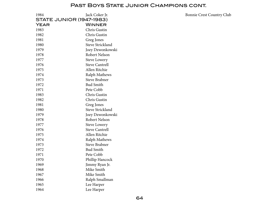#### PAST BOYS STATE JUNIOR CHAMPIONS CONT.

| 1984                            | Jack Coker Jr.          |
|---------------------------------|-------------------------|
| <b>STATE JUNIOR (1947-1983)</b> |                         |
| YEAR                            | WINNER                  |
| 1983                            | Chris Gustin            |
| 1982                            | Chris Gustin            |
| 1981                            | Greg Jones              |
| 1980                            | Steve Strickland        |
| 1979                            | Joey Dzwonkowski        |
| 1978                            | Robert Nelson           |
| 1977                            | <b>Steve Lowery</b>     |
| 1976                            | <b>Steve Cantrell</b>   |
| 1975                            | Allen Ritchie           |
| 1974                            | Ralph Mathews           |
| 1973                            | <b>Steve Brabner</b>    |
| 1972                            | <b>Bud Smith</b>        |
| 1971                            | Pete Cobb               |
| 1983                            | Chris Gustin            |
| 1982                            | Chris Gustin            |
| 1981                            | Greg Jones              |
| 1980                            | <b>Steve Strickland</b> |
| 1979                            | Joey Dzwonkowski        |
| 1978                            | Robert Nelson           |
| 1977                            | <b>Steve Lowery</b>     |
| 1976                            | <b>Steve Cantrell</b>   |
| 1975                            | Allen Ritchie           |
| 1974                            | Ralph Mathews           |
| 1973                            | <b>Steve Brabner</b>    |
| 1972                            | <b>Bud Smith</b>        |
| 1971                            | Pete Cobb               |
| 1970                            | Phillip Hancock         |
| 1969                            | Jimmy Ryan Jr.          |
| 1968                            | Mike Smith              |
| 1967                            | Mike Smith              |
| 1966                            | Ralph Smallman          |
| 1965                            | Lee Harper              |
| 1964                            | Lee Harper              |

28 Coker Jr. Bonnie Crest Country Club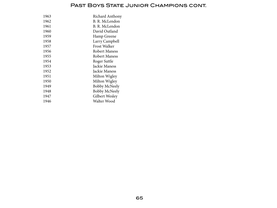### PAST BOYS STATE JUNIOR CHAMPIONS CONT.

| 1963 | Richard Anthony      |
|------|----------------------|
| 1962 | B. R. McLendon       |
| 1961 | B. R. McLendon       |
| 1960 | David Outland        |
| 1959 | Hamp Greene          |
| 1958 | Larry Campbell       |
| 1957 | <b>Frost Walker</b>  |
| 1956 | Robert Maness        |
| 1955 | Robert Maness        |
| 1954 | Roger Suttle         |
| 1953 | Jackie Maness        |
| 1952 | Jackie Maness        |
| 1951 | Milton Wigley        |
| 1950 | Milton Wigley        |
| 1949 | <b>Bobby McNeely</b> |
| 1948 | <b>Bobby McNeely</b> |
| 1947 | Gilbert Wesley       |
| 1946 | Walter Wood          |
|      |                      |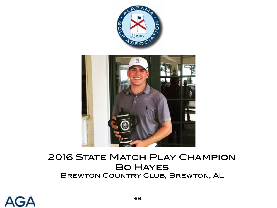



# **2016 STATE MATCH PLAY CHAMPION** Bo Hayes Brewton Country Club, Brewton, AL

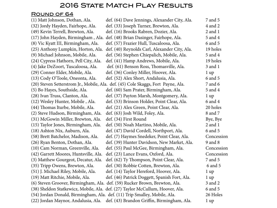### **2016 STATE MATCH PLAY RESULTS**

### ROUND OF 64

| (1) Matt Johnson, Dothan, Ala.                                            | def. (64) Dave Jennings, Alexander City, Ala.                                     | 7 and 5        |
|---------------------------------------------------------------------------|-----------------------------------------------------------------------------------|----------------|
| (32) Jordy Hayden, Fairhope, Ala.                                         | def. (33) Joseph Turner, Brewton, Ala.                                            | 4 and 2        |
| (49) Kevin Terrell, Brewton, Ala.                                         | def. (16) Brooks Rabren, Dozier, Ala.                                             | $2$ and $1$    |
| (17) John Hayden, Birmingham, Ala.                                        | def. (48) Brian Dasinger, Fairhope, Ala.                                          | 5 and 4        |
| (8) Vic Kyatt III, Birmingham, Ala.                                       | def. (57) Frazier Hull, Tuscaloosa, Ala.                                          | 6 and 5        |
| (25) Anthony Lumpkin, Horton, Ala.                                        | def. (40) Reynolds Carl, Alexander City, Ala.                                     | 19 holes       |
| (9) Michael Johnson, Mobile, Ala.                                         | def. (56) Stephen Chiepalich, Mobile, Ala.                                        | 5 and 4        |
| (24) Cypress Hathorn, Pell City, Ala.                                     | def. (41) Hamp Andrews, Mobile, Ala.                                              | 19 holes       |
| (4) Jake DeZoort, Tuscaloosa, Ala.                                        | def. (61) Benson Ross, Thomasville, Ala.                                          | $3$ and $1$    |
| (29) Conner Elder, Mobile, Ala.                                           | def. (36) Conley Miller, Hoover, Ala.                                             | $1 \text{ up}$ |
| (13) Cody O'Toole, Oneonta, Ala.                                          | def. (52) Alex Short, Andalusia, Ala.                                             | 6 and 5        |
|                                                                           | (20) Steven Setterstrom Jr., Mobile, Ala. def. (45) Cole Skaggs, Fort Payne, Ala. | 7 and 6        |
| (5) Bo Hayes, Southside, Ala.                                             | def. (60) Sam Prater, Birmingham, Ala.                                            | 5 and 4        |
| (28) Ivan Truss, Clanton, Ala.                                            | def. (37) Payton Marsh, Montgomery, Ala.                                          | $1 \text{ up}$ |
| (12) Wesley Hunter, Mobile, Ala.                                          | def. (53) Brinson Holder, Point Clear, Ala.                                       | 6 and 4        |
| (44) Thomas Iturbe, Mobile, Ala.                                          | def. (21) Alex Green, Point Clear, Ala.                                           | 20 holes       |
| (2) Steve Hudson, Birmingham, Ala.                                        | def. (63) Josh Wild, Foley, Ala.                                                  | 8 and 7        |
| (31) McGowin Miller, Brewton, Ala.                                        | def. (34) First Round                                                             | Bye, Bye       |
| (15) Taylor Jones, Birmingham, Ala.                                       | def. (50) Noah Martino, Mobile, Ala.                                              | $2$ and $1$    |
| (18) Ashton Nix, Auburn, Ala.                                             | def. (47) David Cordell, Northport, Ala.                                          | 6 and 5        |
| (58) Brett Batchelor, Madison, Ala.                                       | def. (7) Haymes Snedeker, Point Clear, Ala.                                       | Concession     |
| (26) Ryan Benton, Dothan, Ala.                                            | def. (39) Hunter Davidson, New Market, Ala.                                       | 9 and 8        |
| (10) Cam Norman, Greenville, Ala.                                         | def. (55) Paul McGee, Birmingham, Ala.                                            | Concession     |
| (42) Garrett Moores, Huntsville, Ala.                                     | def. (23) Lance Evans, Oxford, Ala.                                               | Concession     |
| (3) Matthew Gourgeot, Decatur, Ala.                                       | def. (62) Ty Thompson, Point Clear, Ala.                                          | 7 and 5        |
| (35) Tripp Owens, Brewton, Ala.                                           | def. (30) Robbie Cotten, Brewton, Ala.                                            | 6 and 5        |
| (51) J. Michael Riley, Mobile, Ala.                                       | def. (14) Taylor Hereford, Hoover, Ala.                                           | $1 \text{ up}$ |
| (19) Matt Ritchie, Mobile, Ala.                                           | def. (46) Patrick Doggett, Spanish Fort, Ala.                                     | $1 \text{ up}$ |
|                                                                           | (6) Steven Groover, Birmingham, Ala. def. (59) Rucker Brown, Brewton, Ala.        | 3 and 2        |
|                                                                           | (38) Sheldon Statkewicz, Mobile, Ala. def. (27) Taylor McCullum, Hoover, Ala.     | 6 and 5        |
| (54) Jordan Donald, Birmingham, Ala. def. (11) Trip Smalley, Mobile, Ala. |                                                                                   | 26 Holes       |
|                                                                           | (22) Jordan Maynor, Andalusia, Ala. def. (43) Brandon Griffin, Birmingham, Ala.   | 1 up           |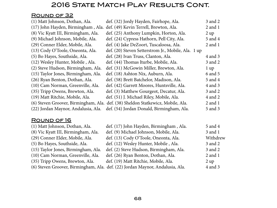### **2016 STATE MATCH PLAY RESULTS CONT.**

### ROUND OF 32

| (1) Matt Johnson, Dothan, Ala.      | def. (32) Jordy Hayden, Fairhope, Ala.                                          | 3 and 2        |
|-------------------------------------|---------------------------------------------------------------------------------|----------------|
| (17) John Hayden, Birmingham, Ala.  | def. (49) Kevin Terrell, Brewton, Ala.                                          | $2$ and $1$    |
| (8) Vic Kyatt III, Birmingham, Ala. | def. (25) Anthony Lumpkin, Horton, Ala.                                         | $2 \text{ up}$ |
| (9) Michael Johnson, Mobile, Ala.   | def. (24) Cypress Hathorn, Pell City, Ala.                                      | 5 and 4        |
| (29) Conner Elder, Mobile, Ala.     | def. (4) Jake DeZoort, Tuscaloosa, Ala.                                         | $2$ and $1$    |
| (13) Cody O'Toole, Oneonta, Ala.    | def. (20) Steven Setterstrom Jr., Mobile, Ala. 1 up                             |                |
| (5) Bo Hayes, Southside, Ala.       | def. (28) Ivan Truss, Clanton, Ala.                                             | 4 and 3        |
| (12) Wesley Hunter, Mobile, Ala.    | def. (44) Thomas Iturbe, Mobile, Ala.                                           | 3 and 2        |
| (2) Steve Hudson, Birmingham, Ala.  | def. (31) McGowin Miller, Brewton, Ala.                                         | $1 \text{ up}$ |
| (15) Taylor Jones, Birmingham, Ala. | def. (18) Ashton Nix, Auburn, Ala.                                              | 6 and 5        |
| (26) Ryan Benton, Dothan, Ala.      | def. (58) Brett Batchelor, Madison, Ala.                                        | 5 and 4        |
| (10) Cam Norman, Greenville, Ala.   | def. (42) Garrett Moores, Huntsville, Ala.                                      | 4 and 3        |
| (35) Tripp Owens, Brewton, Ala.     | def. (3) Matthew Gourgeot, Decatur, Ala.                                        | 3 and 2        |
| (19) Matt Ritchie, Mobile, Ala.     | def. (51) J. Michael Riley, Mobile, Ala.                                        | 4 and 2        |
|                                     | (6) Steven Groover, Birmingham, Ala. def. (38) Sheldon Statkewicz, Mobile, Ala. | $2$ and $1$    |
| (22) Jordan Maynor, Andalusia, Ala. | def. (54) Jordan Donald, Birmingham, Ala.                                       | 5 and 3        |

### ROUND OF 16

| (1) Matt Johnson, Dothan, Ala.      | def. (17) John Hayden, Birmingham, Ala.                                       | 5 and 4     |
|-------------------------------------|-------------------------------------------------------------------------------|-------------|
| (8) Vic Kyatt III, Birmingham, Ala. | def. (9) Michael Johnson, Mobile, Ala.                                        | $3$ and $1$ |
| (29) Conner Elder, Mobile, Ala.     | def. (13) Cody O'Toole, Oneonta, Ala.                                         | Withdrew    |
| (5) Bo Hayes, Southside, Ala.       | def. (12) Wesley Hunter, Mobile, Ala.                                         | $3$ and $2$ |
| (15) Taylor Jones, Birmingham, Ala. | def. (2) Steve Hudson, Birmingham, Ala.                                       | $3$ and $2$ |
| (10) Cam Norman, Greenville, Ala.   | def. (26) Ryan Benton, Dothan, Ala.                                           | $2$ and $1$ |
| (35) Tripp Owens, Brewton, Ala.     | def. (19) Matt Ritchie, Mobile, Ala.                                          | 2 up        |
|                                     | (6) Steven Groover, Birmingham, Ala. def. (22) Jordan Maynor, Andalusia, Ala. | 4 and 3     |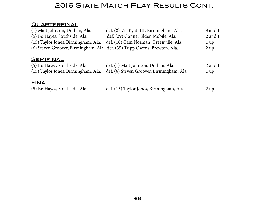## **2016 STATE MATCH PLAY RESULTS CONT.**

### **QUARTERFINAL**

| (1) Matt Johnson, Dothan, Ala.      | def. (8) Vic Kyatt III, Birmingham, Ala.                                  | 3 and 1     |
|-------------------------------------|---------------------------------------------------------------------------|-------------|
| (5) Bo Hayes, Southside, Ala.       | def. (29) Conner Elder, Mobile, Ala.                                      | 2 and 1     |
| (15) Taylor Jones, Birmingham, Ala. | def. (10) Cam Norman, Greenville, Ala.                                    | l up        |
|                                     | (6) Steven Groover, Birmingham, Ala. def. (35) Tripp Owens, Brewton, Ala. | 2 up        |
| <b>SEMIFINAL</b>                    |                                                                           |             |
| (5) Bo Hayes, Southside, Ala.       | def. (1) Matt Johnson, Dothan, Ala.                                       | $2$ and $1$ |

| (5) Bo Hayes, Southside, Ala. | def. (1) Matt Johnson, Dothan, Ala.                                           | 2 and          |
|-------------------------------|-------------------------------------------------------------------------------|----------------|
|                               | (15) Taylor Jones, Birmingham, Ala. def. (6) Steven Groover, Birmingham, Ala. | $1 \text{ up}$ |
|                               |                                                                               |                |

### **FINAL**

| (5) Bo Hayes, Southside, Ala. | def. (15) Taylor Jones, Birmingham, Ala. | 2 up |
|-------------------------------|------------------------------------------|------|
|-------------------------------|------------------------------------------|------|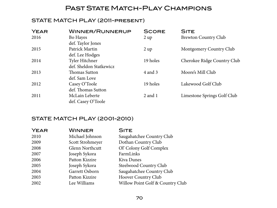### PAST STATE MATCH-PLAY CHAMPIONS

### STATE MATCH PLAY (2011-present)

| <b>YEAR</b> | <b>WINNER/RUNNERUP</b>                    | <b>SCORE</b>   | <b>SITE</b>                 |
|-------------|-------------------------------------------|----------------|-----------------------------|
| 2016        | Bo Hayes<br>def. Taylor Jones             | 2 up           | <b>Brewton Country Club</b> |
| 2015        | Patrick Martin<br>def. Lee Hodges         | $2 \text{ up}$ | Montgomery Country Club     |
| 2014        | Tyler Hitchner<br>def. Sheldon Statkewicz | 19 holes       | Cherokee Ridge Country Club |
| 2013        | <b>Thomas Sutton</b><br>def. Sam Love     | 4 and 3        | Moore's Mill Club           |
| 2012        | Casey O'Toole<br>def. Thomas Sutton       | 19 holes       | Lakewood Golf Club          |
| 2011        | McLain Leberte<br>def. Casey O'Toole      | $2$ and $1$    | Limestone Springs Golf Club |

### STATE MATCH PLAY (2001-2010)

| <b>YEAR</b> | <b>WINNER</b>          | <b>SITE</b>                      |
|-------------|------------------------|----------------------------------|
| 2010        | Michael Johnson        | Saugahatchee Country Club        |
| 2009        | Scott Strohmeyer       | Dothan Country Club              |
| 2008        | <b>Glenn Northcutt</b> | Ol' Colony Golf Complex          |
| 2007        | Joseph Sykora          | FarmLinks                        |
| 2006        | Patton Kizzire         | Kiva Dunes                       |
| 2005        | Joseph Sykora          | Steelwood Country Club           |
| 2004        | Garrett Osborn         | Saugahatchee Country Club        |
| 2003        | Patton Kizzire         | Hoover Country Club              |
| 2002        | Lee Williams           | Willow Point Golf & Country Club |
|             |                        |                                  |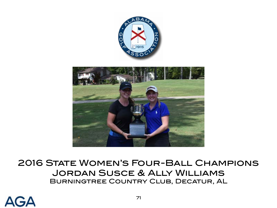



# 2016 STATE WOMEN'S FOUR-BALL CHAMPIONS Jordan Susce & Ally Williams Burningtree Country Club, Decatur, AL

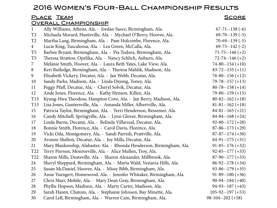### 2016 WOMEN'S FOUR-BALL CHAMPIONSHIP RESULTS

| LUIU WUMLIN JI UUR DALL UHAMFIUNJI IIF I \LJULI J                |                                                                        |                       |
|------------------------------------------------------------------|------------------------------------------------------------------------|-----------------------|
| <u>PLACE</u> TEAM<br><u>SCORE</u><br><u>OVERALL CHAMPIONSHIP</u> |                                                                        |                       |
| $\mathbf{1}$                                                     | Ally Williams, Athens, Ala. - Jordan Susce, Birmingham, Ala.           | $67 - 71 - 138$ (-6)  |
| T2                                                               | Michaela Morard, Huntsville, Ala. - Mychael O'Berry, Hoover, Ala.      | $69 - 70 - 139(-5)$   |
| T <sub>2</sub>                                                   | Martha Lang, Birmingham, Ala. - Pam Holcombe, Florence, Ala.           | $70-69-139(-5)$       |
| $\overline{4}$                                                   | Lucie King, Tuscaloosa, Ala. - Lea Green, McCalla, Ala.                | $69 - 73 - 142$ (-2)  |
| T <sub>5</sub>                                                   | Barbee Bryant, Birmingham, Ala. - Pia Todora, Birmingham, Ala.         | $71 - 75 - 146 (+2)$  |
| T <sub>5</sub>                                                   | Theresa Stratton, Opelika, Ala. - Nancy Schlich, Auburn, Ala.          | $72 - 74 - 146 (+2)$  |
| $7\overline{ }$                                                  | Melanie Smith, Hoover, Ala. - Laura Beth Yates, Lake View, Ala.        | $74 - 80 - 154 (+10)$ |
| 8                                                                | Keri Rutledge, Birmingham, Ala. - Theresa Mahlik, Madison, Ala.        | $83 - 72 - 155 (+11)$ |
| 9                                                                | Elizabeth Vickery, Decatur, Ala. - Jan Webb, Decatur, Ala.             | $76 - 80 - 156 (+12)$ |
| 10                                                               | Sandy Parks, Madison, Ala. - Linda Dejong, Toney, Ala.                 | $79 - 78 - 157 (+13)$ |
| 11                                                               | Peggy Pfaff, Decatur, Ala. - Cheryl Solvik, Decatur, Ala.              | $80 - 78 - 158 (+14)$ |
| 12                                                               | Ande Jones, Florence, Ala. - Kathy Henson, Killen, Ala.                | $79 - 80 - 159 (+15)$ |
| T13                                                              | Kyung-Hwa Theodoss, Hampton Cove, Ala. - Jan Berry, Madison, Ala.      | $80 - 82 - 162 (+18)$ |
| T <sub>13</sub>                                                  | Lisa Jones, Guntersville, Ala. - Amanda Miller, Albertville, Ala.      | $81 - 81 - 162 (+18)$ |
| 15                                                               | Patricia Taylor, Birmingham, Ala. - Terri Henderson, Bessemer, Ala.    | $84-81-165 (+21)$     |
| 16                                                               | Candy Mitchell, Springville, Ala. - Lynn Glover, Birmingham, Ala.      | $84 - 84 - 168 (+24)$ |
| 17                                                               | Linda Burns, Decatur, Ala. - Belinda Villarreal, Decatur, Ala.         | $92 - 80 - 172 (+28)$ |
| 18                                                               | Bonnie Smith, Florence, Ala. - Carol Davis, Florence, Ala.             | $87-86-173 (+29)$     |
| 19                                                               | Vicki Oda, Montgomery, Ala. - Sandi Parrish, Prattville, Ala.          | $87 - 87 - 174 (+30)$ |
| 20                                                               | Avonne Shelton, Decatur, Ala. - Joy Mills, Decatur, Ala.               | $84-91-175 (+31)$     |
| 21                                                               | Mary Blankenship, Alabaster, Ala. - Rhonda Henderson, Birmingham, Ala. | $91 - 85 - 176 (+32)$ |
| T <sub>22</sub>                                                  | Terry Pierson, Monroeville, Ala. - Alice Mullen, Troy, Ala.            | $92 - 85 - 177 (+33)$ |
| T <sub>22</sub>                                                  | Sharon Mills, Deatsville, Ala. - Sharon Alexander, Millbrook, Ala.     | $87-90-177(+33)$      |
| 24                                                               | Sheryl Sheppard, Birmingham, Ala. - Marta Wald, Vestavia Hills, Ala.   | $86-92-178 (+34)$     |
| 25                                                               | Susan McDaniel, Hoover, Ala. - Missy Bibb, Birmingham, Ala.            | $93 - 86 - 179 (+35)$ |

- Anne Yuengert, Homewood, Ala. Jennifer Whitaker, Birmingham, Ala. 91-89--180 (+36)
- 27 Chris Marr, Mobile, Ala. Mary Dean Gray, Birmingham, Ala. 90-94--184 (+40) Phyllis Hopson, Madison, Ala. - Marty Carter, Madison, Ala. 94-93--187 (+43) Sarah Hazen, Chatom, Ala. - Stephanie Johnson, Bay Minette, Ala. 105-92--197 (+53)
- Carol Lell, Birmingham, Ala. Warren Cain, Birmingham, Ala. 98-104--202 (+58)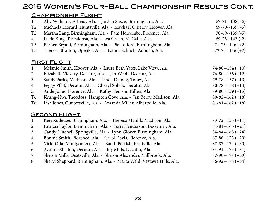### 2016 Women's Four-Ball Championship Results Cont.

#### CHAMPIONSHIP FLIGHT

| $\mathbf{1}$   | Ally Williams, Athens, Ala. - Jordan Susce, Birmingham, Ala.         | $67 - 71 - 138$ (-6)  |
|----------------|----------------------------------------------------------------------|-----------------------|
| T2             | Michaela Morard, Huntsville, Ala. - Mychael O'Berry, Hoover, Ala.    | $69 - 70 - 139(-5)$   |
| T2             | Martha Lang, Birmingham, Ala. - Pam Holcombe, Florence, Ala.         | $70-69-139(-5)$       |
| $\overline{4}$ | Lucie King, Tuscaloosa, Ala. - Lea Green, McCalla, Ala.              | $69 - 73 - 142$ (-2)  |
| T <sub>5</sub> | Barbee Bryant, Birmingham, Ala. - Pia Todora, Birmingham, Ala.       | $71 - 75 - 146 (+2)$  |
| T <sub>5</sub> | Theresa Stratton, Opelika, Ala. - Nancy Schlich, Auburn, Ala.        | $72 - 74 - 146 (+2)$  |
|                | <b>FIRST FLIGHT</b>                                                  |                       |
| $\mathbf{1}$   | Melanie Smith, Hoover, Ala. - Laura Beth Yates, Lake View, Ala.      | $74 - 80 - 154 (+10)$ |
| $\overline{2}$ | Elizabeth Vickery, Decatur, Ala. - Jan Webb, Decatur, Ala.           | $76 - 80 - 156 (+12)$ |
| $\mathfrak{Z}$ | Sandy Parks, Madison, Ala. - Linda Dejong, Toney, Ala.               | $79 - 78 - 157 (+13)$ |
| $\overline{4}$ | Peggy Pfaff, Decatur, Ala. - Cheryl Solvik, Decatur, Ala.            | $80 - 78 - 158 (+14)$ |
| 5              | Ande Jones, Florence, Ala. - Kathy Henson, Killen, Ala.              | $79 - 80 - 159 (+15)$ |
| T <sub>6</sub> | Kyung-Hwa Theodoss, Hampton Cove, Ala. - Jan Berry, Madison, Ala.    | $80 - 82 - 162 (+18)$ |
| T <sub>6</sub> | Lisa Jones, Guntersville, Ala. - Amanda Miller, Albertville, Ala.    | $81 - 81 - 162 + 18$  |
|                | <b>SECOND FLIGHT</b>                                                 |                       |
| $\mathbf{1}$   | Keri Rutledge, Birmingham, Ala. - Theresa Mahlik, Madison, Ala.      | $83 - 72 - 155 (+11)$ |
| $\overline{2}$ | Patricia Taylor, Birmingham, Ala. - Terri Henderson, Bessemer, Ala.  | $84-81-165 (+21)$     |
| $\mathfrak{Z}$ | Candy Mitchell, Springville, Ala. - Lynn Glover, Birmingham, Ala.    | $84 - 84 - 168 (+24)$ |
| $\overline{4}$ | Bonnie Smith, Florence, Ala. - Carol Davis, Florence, Ala.           | $87-86-173 (+29)$     |
| 5              | Vicki Oda, Montgomery, Ala. - Sandi Parrish, Prattville, Ala.        | $87 - 87 - 174 (+30)$ |
| 6              | Avonne Shelton, Decatur, Ala. - Joy Mills, Decatur, Ala.             | $84-91-175(+31)$      |
| 7              | Sharon Mills, Deatsville, Ala. - Sharon Alexander, Millbrook, Ala.   | $87-90-177(+33)$      |
| 8              | Sheryl Sheppard, Birmingham, Ala. - Marta Wald, Vestavia Hills, Ala. | $86-92-178(+34)$      |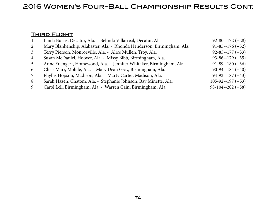### 2016 Women's Four-Ball Championship Results Cont.

#### **THIRD FLIGHT**

| -1             | Linda Burns, Decatur, Ala. - Belinda Villarreal, Decatur, Ala.         | $92 - 80 - 172 (+28)$  |
|----------------|------------------------------------------------------------------------|------------------------|
| 2              | Mary Blankenship, Alabaster, Ala. - Rhonda Henderson, Birmingham, Ala. | $91 - 85 - 176 (+32)$  |
| $\mathbf{3}$   | Terry Pierson, Monroeville, Ala. - Alice Mullen, Troy, Ala.            | $92 - 85 - 177 (+33)$  |
| $\overline{4}$ | Susan McDaniel, Hoover, Ala. - Missy Bibb, Birmingham, Ala.            | $93 - 86 - 179 (+35)$  |
| 5              | Anne Yuengert, Homewood, Ala. - Jennifer Whitaker, Birmingham, Ala.    | $91-89-180 (+36)$      |
| 6              | Chris Marr, Mobile, Ala. - Mary Dean Gray, Birmingham, Ala.            | $90-94-184(+40)$       |
| 7              | Phyllis Hopson, Madison, Ala. - Marty Carter, Madison, Ala.            | $94-93-187(+43)$       |
| 8              | Sarah Hazen, Chatom, Ala. - Stephanie Johnson, Bay Minette, Ala.       | $105 - 92 - 197 (+53)$ |
| 9              | Carol Lell, Birmingham, Ala. - Warren Cain, Birmingham, Ala.           | $98-104-202 (+58)$     |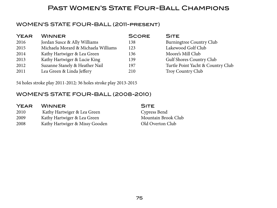### Past Women's State Four-Ball Champions

### WOMEN'S STATE FOUR-BALL (2011-present)

| <b>YEAR</b> | <b>WINNER</b>                       | <b>SCORE</b> | <b>SITE</b>                       |
|-------------|-------------------------------------|--------------|-----------------------------------|
| 2016        | Jordan Susce & Ally Williams        | 138          | Burningtree Country Club          |
| 2015        | Michaela Morard & Michaela Williams | 123          | Lakewood Golf Club                |
| 2014        | Kathy Hartwiger & Lea Green         | 136          | Moore's Mill Club                 |
| 2013        | Kathy Hartwiger & Lucie King        | 139          | <b>Gulf Shores Country Club</b>   |
| 2012        | Suzanne Stanely & Heather Nail      | 197          | Turtle Point Yacht & Country Club |
| 2011        | Lea Green & Linda Jeffery           | 210          | Troy Country Club                 |

54 holes stroke play 2011-2012; 36 holes stroke play 2013-2015

### WOMEN'S STATE FOUR-BALL (2008-2010)

#### YEAR WINNER SITE

- 2010 Kathy Hartwiger & Lea Green Cypress Bend
- 2009 Kathy Hartwiger & Lea Green Mountain Brook Club
- 2008 Kathy Hartwiger & Missy Gooden Old Overton Club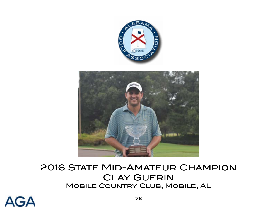



# **2016 STATE MID-AMATEUR CHAMPION CLAY GUERIN** Mobile Country Club, Mobile, AL

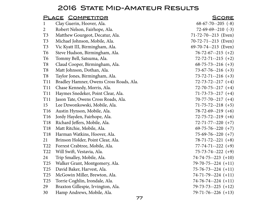## 2016 STATE MID-AMATEUR RESULTS

|                 | <u>PLACE COMPETITOR</u>                 | <b>SCORE</b>               |
|-----------------|-----------------------------------------|----------------------------|
| $\mathbf 1$     | Clay Guerin, Hoover, Ala.               | $68-67-70-205$ (-8)        |
| $\overline{2}$  | Robert Nelson, Fairhope, Ala.           | $72-69-69-210$ $(-3)$      |
| T <sub>3</sub>  | Matthew Gourgeot, Decatur, Ala.         | 71-72-70--213 (Even)       |
| T <sub>3</sub>  | Michael Johnson, Mobile, Ala.           | 70-72-71--213 (Even)       |
| T <sub>3</sub>  | Vic Kyatt III, Birmingham, Ala.         | 69-70-74--213 (Even)       |
| T <sub>6</sub>  | Steve Hudson, Birmingham, Ala.          | $76 - 72 - 67 - 215 (+2)$  |
| T <sub>6</sub>  | Tommy Bell, Satsuma, Ala.               | $72 - 72 - 71 - -215$ (+2) |
| T <sub>8</sub>  | Claud Cooper, Birmingham, Ala.          | $68-75-73-216 (+3)$        |
| T <sub>8</sub>  | Matt Johnson, Dothan, Ala.              | $73-67-76-216 (+3)$        |
| T <sub>8</sub>  | Taylor Jones, Birmingham, Ala.          | $73 - 72 - 71 - 216$ (+3)  |
| <b>T11</b>      | Bradley Hamner, Owens Cross Roads, Ala. | $72 - 73 - 72 - 217$ (+4)  |
| <b>T11</b>      | Chase Kennedy, Morris, Ala.             | $72 - 70 - 75 - 217$ (+4)  |
| <b>T11</b>      | Haymes Snedeker, Point Clear, Ala.      | $71-73-73-217 (+4)$        |
| <b>T11</b>      | Jason Tate, Owens Cross Roads, Ala.     | $70-77-70-217 (+4)$        |
| 15              | Lee Dzwonkowski, Mobile, Ala.           | $71-75-72-218 (+5)$        |
| T16             | Austin Hynson, Mobile, Ala.             | $78-72-69-219$ (+6)        |
| T16             | Jordy Hayden, Fairhope, Ala.            | $72 - 75 - 72 - 219$ (+6)  |
| T18             | Richard Jeffers, Mobile, Ala.           | $72 - 71 - 77 - 220$ (+7)  |
| T18             | Matt Ritchie, Mobile, Ala.              | $69 - 75 - 76 - 220$ (+7)  |
| T <sub>18</sub> | Harman Watkins, Hoover, Ala.            | $75-69-76--220 (+7)$       |
| 21              | Brinson Holder, Point Clear, Ala.       | $78-71-72-221 (+8)$        |
| T <sub>22</sub> | Forrest Crabtree, Mobile, Ala.          | $77 - 74 - 71 - 222$ (+9)  |
| T <sub>22</sub> | Will Swift, Vestavia, Ala.              | $75 - 73 - 74 - 222$ (+9)  |
| 24              | Trip Smalley, Mobile, Ala.              | $74-74-75-223 (+10)$       |
| T25             | Walker Grant, Montgomery, Ala.          | $79 - 70 - 75 - 224$ (+11) |
| T25             | David Baker, Harvest, Ala.              | $75-76-73-224 (+11)$       |
| T25             | McGowin Miller, Brewton, Ala.           | $74-71-79-224 (+11)$       |
| T25             | Torrie Coghlin, Irondale, Ala.          | $74-76-74-224 (+11)$       |
| 29              | Braxton Gillespie, Irvington, Ala.      | $79 - 73 - 73 - 225 (+12)$ |
| 30              | Hamp Andrews, Mobile, Ala.              | $79-71-76-226 (+13)$       |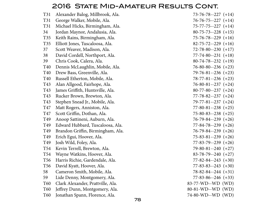### 2016 State Mid-Amateur Results Cont.

| T31             | Alexander Balog, Millbrook, Ala.  | $73-76-78-227 (+14)$         |
|-----------------|-----------------------------------|------------------------------|
| T31             | George Walker, Mobile, Ala.       | $76 - 76 - 75 - 227 (+14)$   |
| T31             | Michael Hicks, Birmingham, Ala.   | $75 - 77 - 75 - 227$ $(+14)$ |
| 34              | Jordan Maynor, Andalusia, Ala.    | $80 - 75 - 73 - 228 + 15$    |
| T35             | Keith Rains, Birmingham, Ala.     | $75 - 76 - 78 - 229$ (+16)   |
| T <sub>35</sub> | Elliott Jones, Tuscaloosa, Ala.   | $82 - 75 - 72 - 229$ (+16)   |
| 37              | Scott Weaver, Madison, Ala.       | $72 - 78 - 80 - 230 + 17$    |
| 38              | David Cordell, Northport, Ala.    | $77 - 74 - 80 - -231$ (+18)  |
| 39              | Chris Cook, Calera, Ala.          | $80-74-78-232 (+19)$         |
| T40             | Dennis McLaughlin, Mobile, Ala.   | $76-80-80-236 (+23)$         |
| T40             | Drew Bass, Greenville, Ala.       | $79-76-81-236 (+23)$         |
| T40             | Russell Etherton, Mobile, Ala.    | $78-77-81-236 (+23)$         |
| T43             | Alan Allgood, Fairhope, Ala.      | $76-80-81--237(+24)$         |
| T43             | James Griffith, Huntsville, Ala.  | $80-77-80-237 (+24)$         |
| T43             | Rucker Brown, Brewton, Ala.       | $77 - 78 - 82 - 237$ (+24)   |
| T43             | Stephen Snead Jr., Mobile, Ala.   | $79-77-81-237 (+24)$         |
| T47             | Matt Rogers, Anniston, Ala.       | $77 - 80 - 81 - 238$ (+25)   |
| T47             | Scott Griffin, Dothan, Ala.       | $75 - 80 - 83 - 238$ (+25)   |
| T49             | Anoop Sattineni, Auburn, Ala.     | $76 - 79 - 84 - 239 + 26$    |
| T49             | Edward Hubbard, Tuscaloosa, Ala.  | $77 - 84 - 78 - 239 \ (+26)$ |
| T49             | Brandon Griffin, Birmingham, Ala. | $76-79-84-239 (+26)$         |
| T49             | Erich Egui, Hoover, Ala.          | $75-83-81-239 (+26)$         |
| T49             | Josh Wild, Foley, Ala.            | $77 - 83 - 79 - 239 \ (+26)$ |
| T54             | Kevin Terrell, Brewton, Ala.      | $79-80-81-240 (+27)$         |
| T54             | Wayne Watkins, Hoover, Ala.       | $83 - 78 - 79 - 240 (+27)$   |
| T <sub>56</sub> | Harris Richie, Gardendale, Ala.   | $77 - 82 - 84 - 243 (+30)$   |
| T <sub>56</sub> | David Kyatt, Hoover, Ala.         | $77 - 83 - 83 - 243$ (+30)   |
| 58              | Cameron Smith, Mobile, Ala.       | $78-82-84-244 (+31)$         |
| 59              | Lide Denny, Montgomery, Ala.      | $77 - 83 - 86 - 246 (+33)$   |
| T60             | Clark Alexander, Prattville, Ala. | 83-77-WD--WD (WD)            |
| T60             | Jeffrey Dunn, Montgomery, Ala.    | 80-81-WD--WD (WD)            |
| T60             | Jonathan Spann, Florence, Ala.    | 74-80-WD--WD (WD)            |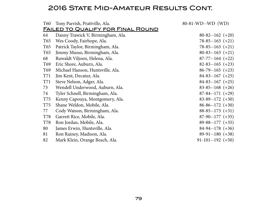## 2016 STATE MID-AMATEUR RESULTS CONT.

| T60             | Tony Parrish, Prattville, Ala.           | 80-81-WD--WD (WD)     |
|-----------------|------------------------------------------|-----------------------|
|                 | <u>FAILED TO QUALIFY FOR FINAL ROUND</u> |                       |
| 64              | Danny Trawick V, Birmingham, Ala.        | $80-82-162 (+20)$     |
| T65             | Wes Coody, Fairhope, Ala.                | $78-85-163 (+21)$     |
| T65             | Patrick Taylor, Birmingham, Ala.         | $78-85-163 (+21)$     |
| T65             | Jimmy Musso, Birmingham, Ala.            | $80-83-163 (+21)$     |
| 68              | Ruwaldt Viljoen, Helena, Ala.            | $87-77-164 (+22)$     |
| T <sub>69</sub> | Eric Shore, Auburn, Ala.                 | $82 - 83 - 165 (+23)$ |
| T <sub>69</sub> | Michael Hanson, Huntsville, Ala.         | $86-79-165 (+23)$     |
| <b>T71</b>      | Jim Kent, Decatur, Ala.                  | $84-83-167$ (+25)     |
| <b>T71</b>      | Steve Nelson, Adger, Ala.                | $84-83-167(+25)$      |
| 73              | Wendell Underwood, Auburn, Ala.          | $83-85-168 (+26)$     |
| 74              | Tyler Schnell, Birmingham, Ala.          | $87-84-171 (+29)$     |
| <b>T75</b>      | Kenny Capouya, Montgomery, Ala.          | $83-89-172 (+30)$     |
| T75             | Shane Weldon, Mobile, Ala.               | $86-86-172 (+30)$     |
| 77              | Cody Watson, Birmingham, Ala.            | $88-85-173 (+31)$     |
| <b>T78</b>      | Garrett Rice, Mobile, Ala.               | $87-90-177 (+35)$     |
| <b>T78</b>      | Ron Jordan, Mobile, Ala.                 | $89-88-177 (+35)$     |
| 80              | James Erwin, Huntsville, Ala.            | $84-94-178 (+36)$     |
| 81              | Ron Rainey, Madison, Ala.                | $89-91-180 (+38)$     |
| 82              | Mark Klein, Orange Beach, Ala.           | $91-101-192$ (+50)    |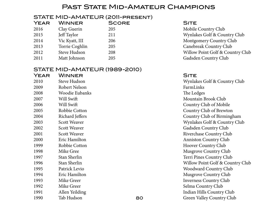### PAST STATE MID-AMATEUR CHAMPIONS

#### STATE MID-AMATEUR (2011-present)

| <b>YEAR</b> | <b>WINNER</b>  | <b>SCORE</b> | <b>SITE</b> |
|-------------|----------------|--------------|-------------|
| 2016        | Clay Guerin    | 205          | Mobile      |
| 2015        | Jeff Taylor    | 211          | Wynlal      |
| 2014        | Vic Kyatt, III | 206          | Montgo      |
| 2013        | Torrie Coghlin | 205          | Canebi      |
| 2012        | Steve Hudson   | 208          | Willow      |
| 2011        | Matt Johnson   | 205          | Gadsde      |

#### STATE MID-AMATEUR (1989-2010)

| YEAR | WINNER                |    | <b>SITE</b>        |
|------|-----------------------|----|--------------------|
| 2010 | <b>Steve Hudson</b>   |    | Wynlakes (         |
| 2009 | Robert Nelson         |    | FarmLinks          |
| 2008 | <b>Woodie Eubanks</b> |    | The Ledges         |
| 2007 | Will Swift            |    | Mountain           |
| 2006 | Will Swift            |    | Country C          |
| 2005 | Robbie Cotton         |    | Country C          |
| 2004 | Richard Jeffers       |    | Country C          |
| 2003 | <b>Scott Weaver</b>   |    | Wynlakes (         |
| 2002 | <b>Scott Weaver</b>   |    | Gadsden C          |
| 2001 | <b>Scott Weaver</b>   |    | Riverchase         |
| 2000 | Eric Hamilton         |    | Anniston (         |
| 1999 | Robbie Cotton         |    | Hoover Co          |
| 1998 | Mike Gree             |    | Musgrove           |
| 1997 | Stan Sherlin          |    | <b>Terri Pines</b> |
| 1996 | Stan Sherlin          |    | <b>Willow Poi</b>  |
| 1995 | Patrick Levio         |    | Woodward           |
| 1994 | Eric Hamilton         |    | Musgrove           |
| 1993 | Mike Greer            |    | Inverness (        |
| 1992 | Mike Greer            |    | Selma Cou          |
| 1991 | Allen Yeilding        |    | Indian Hill        |
| 1990 | Tab Hudson            | 80 | Green Vall         |

Mobile Country Club Wynlakes Golf & Country Club Montgomery Country Club Canebreak Country Club Willow Point Golf & Country Club Gadsden Country Club

Wynlakes Golf & Country Club The Ledges Mountain Brook Club Country Club of Mobile Country Club of Brewton Country Club of Birmingham Wynlakes Golf & Country Club Gadsden Country Club Riverchase Country Club Anniston Country Club Hoover Country Club Musgrove Country Club Terri Pines Country Club Willow Point Golf & Country Club Woodward Country Club Musgrove Country Club Inverness Country Club Selma Country Club Indian Hills Country Club 1990 Tab Hudson Green Valley Country Club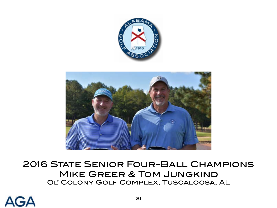



# 2016 State Senior Four-Ball Champions Mike Greer & Tom Jungkind Ol' Colony Golf Complex, Tuscaloosa, AL

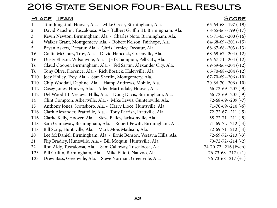# 2016 State Senior Four-Ball Results

#### PLACE TEAM SCORE SERVICE SERVICE SERVICE SERVICE SERVICE SERVICE SERVICE SERVICE SERVICE SERVICE SERVICE SERVICE 1 Tom Jungkind, Hoover, Ala. - Mike Greer, Birmingham, Ala. 65-64-68--197 (-19) 2 David Zauchin, Tuscaloosa, Ala. - Talbert Griffin III, Birmingham, Ala. 68-65-66--199 (-17) 3 Kevin Newton, Birmingham, Ala. - Charles Noto, Birmingham, Ala. 64-71-65--200 (-16) 4 Walker Grant, Montgomery, Ala. - Robert Nelson, Fairhope, Ala. 64-68-69--201 (-15) 5 Bryan Askew, Decatur, Ala. - Chris Lemley, Decatur, Ala. 68-67-68--203 (-13) T6 Collin McCrary, Troy, Ala. - David Hancock, Greenville, Ala. 68-69-67--204 (-12) T6 Dusty Ellison, Wilsonville, Ala. - Jeff Champion, Pell City, Ala. 66-67-71--204 (-12) T6 Claud Cooper, Birmingham, Ala. - Ted Sartin, Alexander City, Ala. 69-69-66--204 (-12) T6 Tony Olive, Florence, Ala. - Rick Bostick, Haleyville, Ala. 66-70-68--204 (-12) T10 Joey Holley, Troy, Ala. - Stan Sherlin, Montgomery, Ala. 67-70-69--206 (-10) T10 Chip Woddail, Daphne, Ala. - Hamp Andrews, Mobile, Ala. 70-66-70--206 (-10) T12 Casey Jones, Hoover, Ala. - Allen Martindale, Hoover, Ala. 66-72-69--207 (-9) T12 Del Wood III, Vestavia Hills, Ala. - Doug Davis, Birmingham, Ala. 66-72-69--207 (-9) 14 Clint Compton, Albertville, Ala. - Mike Lewis, Guntersville, Ala. 72-68-69--209 (-7) 15 Anthony Jones, Scottsboro, Ala. - Harry Lioce, Huntsville, Ala. 71-70-69--210 (-6) T16 Clark Alexander, Prattville, Ala. - Tony Parrish, Prattville, Ala. 72-72-67--211 (-5) T16 Clarke Kelly, Hoover, Ala. - Steve Bailey, Jacksonville, Ala. 68-72-71--211 (-5) T18 Sam Gannaway, Birmingham, Ala. - Robert Pewitt, Birmingham, Ala. 71-69-72--212 (-4) T18 Bill Scrip, Huntsville, Ala. - Mark Moe, Madison, Ala. 72-69-71--212 (-4) 20 Lee McDaniel, Birmingham, Ala. - Ernie Benson, Vestavia Hills, Ala. 72-69-72--213 (-3) 21 Flip Bradley, Huntsville, Ala. - Bill Moquin, Huntsville, Ala. 70-72-72--214 (-2) 22 Ron Aldy, Tuscaloosa, Ala. - Sam Calloway, Tuscaloosa, Ala. 74-70-72--216 (Even)

T23 Bill Griffin, Birmingham, Ala. - Mike Elliott, Nauvoo, Ala. 76-73-68--217 (+1) T23 Drew Bass, Greenville, Ala. - Steve Norman, Greenville, Ala. 76-73-68--217 (+1)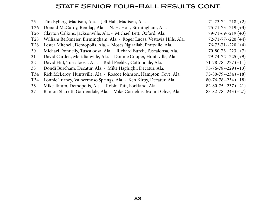### **STATE SENIOR FOUR-BALL RESULTS CONT.**

| 25              | Tim Ryberg, Madison, Ala. - Jeff Hall, Madison, Ala.                    | $71 - 73 - 74 - 218 + 2$   |
|-----------------|-------------------------------------------------------------------------|----------------------------|
| T <sub>26</sub> | Donald McCurdy, Remlap, Ala. - N. H. Holt, Birmingham, Ala.             | $75 - 71 - 73 - 219 + 3$   |
| T <sub>26</sub> | Clayton Calkins, Jacksonville, Ala. - Michael Lett, Oxford, Ala.        | $79 - 71 - 69 - -219 + 3$  |
| T <sub>28</sub> | William Berkmeier, Birmingham, Ala. - Roger Lucas, Vestavia Hills, Ala. | $72 - 71 - 77 - 220$ (+4)  |
| <b>T28</b>      | Lester Mitchell, Demopolis, Ala. - Moses Ngirailab, Prattville, Ala.    | $76 - 73 - 71 - 220 + 4$   |
| 30              | Michael Donnelly, Tuscaloosa, Ala. - Richard Burch, Tuscaloosa, Ala.    | $70-80-73-223(+7)$         |
| 31              | David Carden, Meridianville, Ala. - Donnie Cooper, Huntsville, Ala.     | $79 - 74 - 72 - 225 (+9)$  |
| 32              | David Hitt, Tuscaloosa, Ala. - Todd Peebles, Cottondale, Ala.           | $71 - 78 - 78 - 227 (+11)$ |
| 33              | Dondi Burcham, Decatur, Ala. - Mike Haghighi, Decatur, Ala.             | $75 - 76 - 78 - 229 + 13$  |
| T34             | Rick McLeroy, Huntsville, Ala. - Roscoe Johnson, Hampton Cove, Ala.     | $75 - 80 - 79 - 234 (+18)$ |
| T34             | Lonnie Turney, Valhermoso Springs, Ala. - Ken Kirby, Decatur, Ala.      | $80 - 76 - 78 - 234 + 18$  |
| 36              | Mike Tatum, Demopolis, Ala. - Robin Tutt, Forkland, Ala.                | $82 - 80 - 75 - 237 (+21)$ |
| 37              | Ramon Sharritt, Gardendale, Ala. - Mike Cornelius, Mount Olive, Ala.    | $83 - 82 - 78 - 243 + 27$  |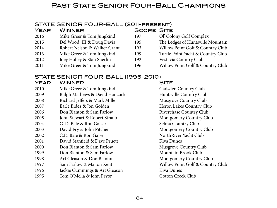### PAST STATE SENIOR FOUR-BALL CHAMPIONS

#### STATE SENIOR FOUR-BALL (2011-present)

| <b>WINNER</b>                | <b>SCORE SITE</b> |                                   |
|------------------------------|-------------------|-----------------------------------|
| Mike Greer & Tom Jungkind    | 197               | Ol' Colony Golf Complex           |
| Del Wood, III & Doug Davis   | 195               | The Ledges of Huntsville Mountain |
| Robert Nelson & Walker Grant | 193               | Willow Point Golf & Country Club  |
| Mike Greer & Tom Jungkind    | 199               | Turtle Point Yacht & Country Club |
| Joey Holley & Stan Sherlin   | 192               | Vestavia Country Club             |
| Mike Greer & Tom Jungkind    | 196               | Willow Point Golf & Country Club  |
|                              |                   |                                   |

### STATE SENIOR FOUR-BALL (1995-2010)

| YEAR | <b>WINNER</b>                 | <b>SITE</b>                      |
|------|-------------------------------|----------------------------------|
| 2010 | Mike Greer & Tom Jungkind     | Gadsden Country Club             |
| 2009 | Ralph Mathews & David Hancock | Huntsville Country Club          |
| 2008 | Richard Jeffers & Mark Miller | Musgrove Country Club            |
| 2007 | Earle Bidez & Jon Golden      | Heron Lakes Country Club         |
| 2006 | Don Blanton & Sam Farlow      | Riverchase Country Club          |
| 2005 | John Stewart & Robert Straub  | Montgomery Country Club          |
| 2004 | C. D. Bale & Ron Gaiser       | Selma Country Club               |
| 2003 | David Fry & John Pitcher      | Montgomery Country Club          |
| 2002 | C.D. Bale & Ron Gaiser        | NorthRiver Yacht Club            |
| 2001 | David Stanfield & Dave Pruett | Kiva Dunes                       |
| 2000 | Don Blanton & Sam Farlow      | <b>Musgrove Country Club</b>     |
| 1999 | Don Blanton & Sam Farlow      | Mountain Brook Club              |
| 1998 | Art Gleason & Don Blanton     | Montgomery Country Club          |
| 1997 | Sam Farlow & Mailon Kent      | Willow Point Golf & Country Club |
| 1996 | Jackie Cummings & Art Gleason | Kiva Dunes                       |
| 1995 | Tom O'Melia & John Pryor      | <b>Cotton Creek Club</b>         |
|      |                               |                                  |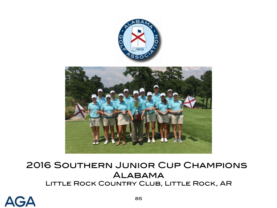

# 2016 Southern Junior Cup Champions **ALABAMA** Little Rock Country Club, Little Rock, AR

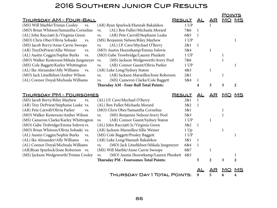## 2016 Southern Junior Cup Results

|                                                |                                                                           | AL                                                      | AR              | <b>MO</b>    | MS             |
|------------------------------------------------|---------------------------------------------------------------------------|---------------------------------------------------------|-----------------|--------------|----------------|
| (AR) Ryan Spurlock/Hannah Bakalekos            | 1 UP                                                                      |                                                         |                 |              |                |
| (AL) Ben Fuller/Michaela Morard<br>VS.         | 7&6                                                                       | 1                                                       |                 |              |                |
| (AR) Pete Carroll/Stephanie Leake<br>VS.       | 6&5                                                                       | $\mathbf{1}$                                            |                 |              |                |
| (MS) Benjamin Nelson/Riley Mayhew              | 1 UP                                                                      |                                                         |                 |              | 1              |
| (AL) J.P. Cave/Mychael O'Berry<br>VS.          | 2&1                                                                       | 1                                                       |                 |              |                |
| (MO) Austin Hoerstkamp/Emma Solovis            | 5&4                                                                       |                                                         | $\mathbf{1}$    |              |                |
| (MO) Gabe Trowbridge/Lauren Plunkett           | 1 UP                                                                      |                                                         |                 | $\mathbf{1}$ |                |
| (MS) Jackson Wedgeworth/Avery Pool<br>VS.      | 7&6                                                                       |                                                         |                 | $\mathbf{1}$ |                |
| (AR) Connor Gaunt/Olivia Parker<br>VS.         | 1 UP                                                                      |                                                         |                 |              | 1              |
| (AR) Luke Long/Sydney Staton                   | 4&3                                                                       |                                                         | $\mathbf{1}$    |              |                |
| VS.                                            | 2&1                                                                       |                                                         |                 | $\mathbf{1}$ |                |
| (MS) Cameron Clarke/Cole Baggett<br>VS.        | 5&4                                                                       | 1                                                       |                 |              |                |
| Thursday AM - Four-Ball Total Points:          |                                                                           | 4                                                       | 3               | 3            | $\overline{2}$ |
|                                                |                                                                           |                                                         |                 |              |                |
| <u> THURSDAY PM - FOURSOMES</u>                | <b>RESULT</b>                                                             | AL                                                      | AR              | MO           |                |
| (AL) J.P. Cave/Mychael O'Berry                 | 2&1                                                                       | 1                                                       |                 |              |                |
| (AL) Ben Fuller/Michaela Morard                | 3&2                                                                       | $\mathbf{1}$                                            |                 |              |                |
| (MO) Chris Ober/Samantha Cornelius             | 3&1                                                                       |                                                         |                 | $\mathbf{1}$ |                |
| (MS) Benjamin Nelson/Avery Pool<br>VS.         | 5&3                                                                       |                                                         |                 | $\mathbf{1}$ |                |
| (AR) Connor Gaunt/Sydney Staton<br>VS.         | 1 UP                                                                      |                                                         | $\mathbf{1}$    |              |                |
| (AL) John Racciatti Jr./Virginia Green         | 3&2                                                                       | 1                                                       |                 |              |                |
| (AR) Jackson Marseilles/Allie Weiner           | 1 Up                                                                      |                                                         |                 | $\mathbf{1}$ |                |
| (MS) Cole Baggett/Presley Baggett              | 1 UP                                                                      |                                                         |                 |              | 1              |
| (AR) Luke Long/Hannah Bakalekos                | 3&1                                                                       | 1                                                       |                 |              |                |
| (MO) Jack Litzelfelner/Mikala Jungmeyer<br>VS. | 6&4                                                                       | 1                                                       |                 |              |                |
| (MS) Will Marble/Anne Carrie Swoope            | 8&7                                                                       |                                                         | $\mathbf{1}$    |              |                |
| (MO) Austin Hoerstkamp/Lauren Plunkett<br>VS.  | 4&3                                                                       |                                                         |                 |              | 1              |
| <b>Thursday PM - Foursomes Total Points:</b>   |                                                                           | 5                                                       | $\overline{2}$  | 3            | $\overline{2}$ |
|                                                |                                                                           | <u>AL</u>                                               | $\overline{AR}$ | MO           | MS             |
|                                                | <u> THURSDAY AM - FOUR-BALL</u><br>(MO) Walker Kesterson/Mikala Jungmeyer | <b>RESULT</b><br>(AR) Jackson Marseilles/Josie Roberson |                 |              | <b>POINTS</b>  |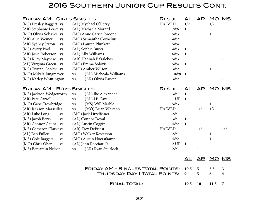## 2016 Southern Junior Cup Results Cont.

| <b>FRIDAY AM - GIRLS SINGLES</b><br><b>RESULT</b> |                               |               | AL           | AR           | MO MS        |              |
|---------------------------------------------------|-------------------------------|---------------|--------------|--------------|--------------|--------------|
| (MS) Presley Baggett vs.                          | (AL) Mychael O'Berry          | <b>HALVED</b> | 1/2          |              | 1/2          |              |
| (AR) Stephanie Leake vs.                          | (AL) Michaela Morard          | 7&6           | $\mathbf{1}$ |              |              |              |
| (MO) Olivia Sobaski vs.                           | (MS) Anne Carrie Swoope       | 5&3           |              |              | $\mathbf{1}$ |              |
| (AR) Allie Weiner<br>VS.                          | (MO) Samantha Cornelius       | 4&2           |              | $\mathbf{1}$ |              |              |
| (AR) Sydney Staton<br>VS.                         | (MO) Lauren Plunkett          | 5&4           |              | $\mathbf{1}$ |              |              |
| (MS) Avery Pool<br>VS.                            | (AL) Sophie Burks             | 4&3           | $\mathbf{1}$ |              |              |              |
| (AR) Josie Roberson vs.                           | (AL) Ally Williams            | 6&5           | $\mathbf{1}$ |              |              |              |
| (MS) Riley Mayhew<br>VS.                          | (AR) Hannah Bakalekos         | 5&3           |              |              |              | $\mathbf{1}$ |
| (AL) Virginia Green vs.                           | (MO) Emma Solovis             | 5&4           | $\mathbf{1}$ |              |              |              |
| (MS) Tristan Cooley vs.                           | (MO) Amber Wilson             | 3&2           |              |              | $\mathbf{1}$ |              |
| (MO) Mikala Jungmeyer                             | (AL) Micheala Williams<br>VS. | 10&8          | $\mathbf{1}$ |              |              |              |
| (MS) Karley Whittington                           | (AR) Olivia Parker<br>VS.     | 3&2           |              |              |              | $\mathbf{1}$ |
|                                                   |                               |               |              |              |              |              |
| <u> FRIDAY AM - BOYS SINGLES</u>                  |                               | <b>RESULT</b> | AL           | <u>AR</u>    | <u>MO</u>    | <u>MS</u>    |
| (MS) Jackson Wedgeworth                           | (AL) Ike Alexander<br>VS.     | 3&1           | $\mathbf{1}$ |              |              |              |
| (AR) Pete Carroll                                 | (AL) J.P. Cave<br>VS.         | 1 UP          | $\mathbf{1}$ |              |              |              |
| (MO) Gabe Trowbridge                              | (MS) Will Marble<br>VS.       | 5&3           |              |              | $\mathbf{1}$ |              |
| (AR) Jackson Marseilles                           | (MO) Brian Whitson<br>VS.     | <b>HALVED</b> |              | 1/2          | 1/2          |              |
| (AR) Luke Long<br>VS.                             | (MO) Jack Litzelfelner        | 2&1           |              | $\mathbf{1}$ |              |              |
| (MS) Jacob Berry<br>VS.                           | (AL) Connor Doyal             | 3&1           | $\mathbf{1}$ |              |              |              |
| (AR) Connor Gaunt vs.                             | (AL) Austin Coggin            | 4&2           | $\mathbf{1}$ |              |              |              |
| (MS) Cameron Clarkevs.                            | (AR) Trey DePriest            | <b>HALVED</b> |              | 1/2          |              | 1/2          |
| (AL) Ben Fuller<br>VS.                            | (MO) Walker Kesterson         | 2&1           |              |              | $\mathbf 1$  |              |
| (MS) Cole Baggett<br>VS.                          | (MO) Austin Hoerstkamp        | 4&2           |              |              | $\mathbf 1$  |              |
| (MO) Chris Ober<br>VS.                            | (AL) John Racciatti Jr.       | 2 UP          | $\mathbf{1}$ |              |              |              |
| (MS) Benjamin Nelson                              | (AR) Ryan Spurlock<br>VS.     | 2&1           |              | $\mathbf{1}$ |              |              |
|                                                   |                               |               |              |              |              |              |
|                                                   |                               |               | AL           |              | AR MO MS     |              |
| <b>FRIDAY AM - SINGLES TOTAL POINTS:</b>          |                               |               |              |              | 5.5          | 3            |
| THURSDAY DAY 1 TOTAL POINTS:                      |                               |               |              | 5<br>5       | 6            | 4            |
|                                                   |                               |               | 9            |              |              |              |
| <b>FINAL TOTAL:</b>                               |                               |               |              |              | 11.5         | 7            |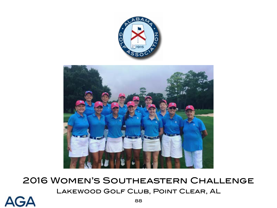

2016 Women's Southeastern Challenge Lakewood Golf Club, Point Clear, AL

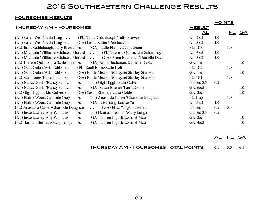### 2016 Southeastern Challenge Results

#### Foursomes Results

|                                         |     |                                             |               | <b>POINTS</b> |           |           |
|-----------------------------------------|-----|---------------------------------------------|---------------|---------------|-----------|-----------|
| <b>THURSDAY AM - FOURSOMES</b>          |     |                                             | <u>RESULT</u> |               |           |           |
|                                         |     |                                             | <u>AL</u>     |               | <u>FL</u> | <u>GA</u> |
| (AL) Susan West/Lucie King vs.          |     | (FL) Tama Caldabaugh/Taffy Brower           | AL: 2&1       | 1.0           |           |           |
| (AL) Susan West/Lucie King vs.          |     | (GA) Leslie Elkins/Deb Jackson              | AL: 3&2       | 1.0           |           |           |
| (FL) Tama Caldabaugh/Taffy Brower vs.   |     | (GA) Leslie Elkins/Deb Jackson              | FL: 4&3       |               | 1.0       |           |
| (AL) Micheala Williams/Michaela Morard  |     | (FL) Therese Quinn/Lisa Schlesinger<br>VS.  | AL: 6&5       | 1.0           |           |           |
| (AL) Micheala Williams/Michaela Morard  |     | (GA) Anna Buchanan/Danielle Davis<br>VS.    | AL: 3&2       | 1.0           |           |           |
| (FL) Therese Quinn/Lisa Schlesinger vs. |     | (GA) Anna Buchanan/Danielle Davis           | GA: 1 up      |               |           | 1.0       |
| (AL) Gabi Oubre/Arin Eddy vs.           |     | (FL) Kaeli Jones/Katie Holt                 | FL: 4&2       |               | 1.0       |           |
| (AL) Gabi Oubre/Arin Eddy vs.           |     | (GA) Emile Meason/Margaret Shirley-Starosto | GA: 1 up      |               |           | 1.0       |
| (FL) Kaeli Jones/Katie Holt vs.         |     | (GA) Emile Meason/Margaret Shirley-Starosto | FL: 3&1       |               | 1.0       |           |
| (AL) Nancy Gavin/Nancy Schlich          | VS. | (FL) Gigi Higgins/Lin Culver                | Halved 0.5    | 0.5           |           |           |
| (AL) Nancy Gavin/Nancy Schlich          | VS. | (GA) Susan Rheney/Laura Coble               | GA: 6&5       |               |           | 1.0       |
| (FL) Gigi Higgins/Lin Culver vs.        |     | (GA) Susan Rheney/Laura Coble               | GA: 3&1       |               |           | 1.0       |
| (AL) Elaine Wood/Cammie Gray            | VS. | (FL) Anastasia Carter/Charlotte Daughan     | FL: 1 up      |               | 1.0       |           |
| (AL) Elaine Wood/Cammie Gray            | VS. | (GA) Elisa Yang/Louise Yu                   | AL: 3&2       | 1.0           |           |           |
| (FL) Anastasia Carter/Charlotte Daughan |     | (GA) Elisa Yang/Louise Yu<br>VS.            | Halved        | 0.5           | 0.5       |           |
| (AL) Jesse Lawley/Ally Williams         | VS. | (FL) Hannah Berman/Mary Janiga              | Halved 0.5    | 0.5           |           |           |
| (AL) Jesse Lawley/Ally Williams         | VS. | (GA) Lauren Lightfritz/Janet Mao            | GA: 2&1       |               |           | 1.0       |
| (FL) Hannah Berman/Mary Janiga          | VS. | (GA) Lauren Lightfritz/Janet Mao            | GA: 4&2       |               |           | 1.0       |

AL FL GA

Thursday AM - Foursomes Total Points: **6.0 5.5 6.5**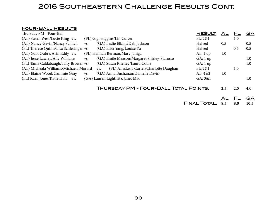### 2016 Southeastern Challenge Results Cont.

#### Four-Ball Results

| Thursday PM - Four-Ball                 |     |                                                | <b>RESULT</b> | AL  | FL      | GA  |
|-----------------------------------------|-----|------------------------------------------------|---------------|-----|---------|-----|
| (AL) Susan West/Lucie King vs.          |     | (FL) Gigi Higgins/Lin Culver                   | FL: 2&1       |     | $1.0\,$ |     |
| (AL) Nancy Gavin/Nancy Schlich          | VS. | (GA) Leslie Elkins/Deb Jackson                 | Halved        | 0.5 |         | 0.5 |
| (FL) Therese Quinn/Lisa Schlesinger vs. |     | (GA) Elisa Yang/Louise Yu                      | Halved        |     | 0.5     | 0.5 |
| (AL) Gabi Oubre/Arin Eddy vs.           |     | (FL) Hannah Berman/Mary Janiga                 | AL:1 up       | 1.0 |         |     |
| (AL) Jesse Lawley/Ally Williams         | VS. | (GA) Emile Meason/Margaret Shirley-Starosto    | GA: 1 up      |     |         | 1.0 |
| (FL) Tama Caldabaugh/Taffy Brower vs.   |     | (GA) Susan Rheney/Laura Coble                  | GA: 1 up      |     |         | 1.0 |
| (AL) Micheala Williams/Michaela Morard  |     | (FL) Anastasia Carter/Charlotte Daughan<br>VS. | FL: 2&1       |     | 1.0     |     |
| (AL) Elaine Wood/Cammie Gray            | VS. | (GA) Anna Buchanan/Danielle Davis              | AL: 4&2       | 1.0 |         |     |
| (FL) Kaeli Jones/Katie Holt vs.         |     | (GA) Lauren Lightfritz/Janet Mao               | GA: 3&1       |     |         | 1.0 |
|                                         |     |                                                |               |     |         |     |
|                                         |     | THURSDAY PM - FOUR-BALL TOTAL POINTS:          |               | 2.5 | 2.5     | 4.0 |
|                                         |     |                                                |               |     |         |     |

AL FL GA

Final Total: **8.5 8.0 10.5**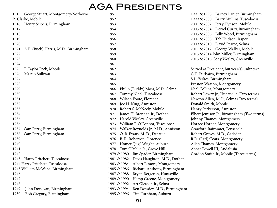# AGA Presidents

|      | 1915 George Stuart, Montgomery/Norborne | 1951                                        |
|------|-----------------------------------------|---------------------------------------------|
|      | R. Clarke, Mobile                       | 1952                                        |
| 1916 | Henry Seibels, Birmingham               | 1953                                        |
| 1917 |                                         | 1954                                        |
| 1918 |                                         | 1955                                        |
| 1919 |                                         | 1956                                        |
| 1920 |                                         | 1957                                        |
| 1921 | A.B. (Buck) Harris, M.D., Birmingham    | 1958                                        |
| 1922 |                                         | 1959                                        |
| 1923 |                                         | 1960                                        |
| 1924 |                                         | 1961                                        |
| 1925 | F. Taylor Peck, Mobile                  | 1962                                        |
| 1926 | Martin Sullivan                         | 1963                                        |
| 1927 |                                         | 1964                                        |
| 1928 |                                         | 1965                                        |
| 1929 |                                         | 1966<br>Philip (Buddy) Moss, M.D., Selma    |
| 1930 |                                         | Tommy Nicol, Tuscaloosa<br>1967             |
| 1931 |                                         | Wilson Foote, Florence<br>1968              |
| 1932 |                                         | Joe H. King, Anniston<br>1969               |
| 1933 |                                         | Robert S. McNeely, Mobile<br>1970           |
| 1934 |                                         | James H. Brennan Jr., Dothan<br>1971        |
| 1935 |                                         | Harold Wesley, Greenville<br>1972           |
| 1936 |                                         | William F. O'Connor, Tuscaloosa<br>1973     |
| 1937 | Sam Perry, Birmingham                   | Walker Reynolds Jr., M.D., Anniston<br>1974 |
| 1938 | Sam Perry, Birmingham                   | O. B. Evans, M. D., Decatur<br>1975         |
| 1939 |                                         | B. R. Roberson, Florence<br>1976            |
| 1940 |                                         | Homer "Jug" Wright, Auburn<br>1977          |
| 1941 |                                         | Tom O'Melia Jr., Grove Hill<br>1978         |
| 1942 |                                         | 1979 & 1980<br>Jim Spader, Birmingham       |
| 1943 | Harry Pritchett, Tuscaloosa             | 1981 & 1982 Davis Haughton, M.D., Dothan    |
|      | 1944 Harry Pritchett, Tuscaloosa        | 1983 & 1984 Albert Elmore, Montgomery       |
|      | 1945 William McWane, Birmingham         | Richard Anthony, Birmingham<br>1985 & 1986  |
| 1946 |                                         | Bryan Bergeron, Huntsville<br>1987 & 1988   |
| 1947 |                                         | Hamp Greene, Montgomery<br>1989 & 1990      |
| 1948 |                                         | Art Gleason Jr., Selma<br>1991 & 1992       |
| 1949 | John Donovan, Birmingham                | Ben Dowdey, M.D., Birmingham<br>1993 & 1994 |
| 1950 | Bob Gregory, Birmingham                 | 1995 & 1996<br>Tim Turnham, Auburn          |

| 1997 & 1998               | Barney Lanier, Birmingham                  |
|---------------------------|--------------------------------------------|
| 1999 & 2000               | Barry Mullins, Tuscaloosa                  |
| 2001 & 2002               | Jerry Hynson, Mobile                       |
| 2003 & 2004               | Derrel Curry, Birmingham                   |
| 2005 & 2006               | Billy Wood, Birmingham                     |
| 2007 & 2008               | Tab Hudson, Jasper                         |
| 2009 & 2010               | David Pearce, Selma                        |
| 2011 & 2012               | George Walker, Mobile                      |
|                           | 2013 & 2014 John Miller, Birmingham        |
|                           | 2015 & 2016 Cody Wesley, Greenville        |
|                           |                                            |
|                           | Served as President, but year(s) unknown:  |
|                           | C.T. Fairbairn, Birmingham                 |
| S.L. Yerkes, Birmingham   |                                            |
|                           | Preston Watson, Montgomery                 |
| Neal Collins, Montgomery  |                                            |
|                           | Robert Lowry Jr., Huntsville (Two terms)   |
|                           | Newton Allen, M.D., Selma (Two terms)      |
| Donald Smith, Mobile      |                                            |
| Henry Perkerson, Anniston |                                            |
|                           | Elbert Jemison Jr., Birmingham (Two terms) |
|                           | Johnny Thames, Montgomery                  |
|                           | Horace Horner, Montgomery                  |
|                           | Crawford Rainwater, Pensacola              |
|                           | Robert Graves, M.D., Gadsden               |
|                           | R.R. (Red) Coats, Montgomery               |
|                           | Allen Thames, Montgomery                   |
|                           | Abner Powell III, Andalusia                |
|                           | Gordon Smith Jr., Mobile (Three terms)     |
|                           |                                            |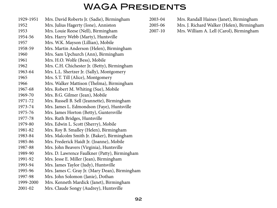# WAGA Presidents

| 1929-1951 | Mrs. David Roberts Jr. (Sadie), Birmingham     |
|-----------|------------------------------------------------|
| 1952      | Mrs. Julius Hagerty (Ione), Anniston           |
| 1953      | Mrs. Louie Reese (Nell), Birmingham            |
| 1954-56   | Mrs. Harry Webb (Marty), Huntsville            |
| 1957      | Mrs. W.K. Mayson (Lillian), Mobile             |
| 1958-59   | Mrs. Martin Anderson (Helen), Birmingham       |
| 1960      | Mrs. Sam Upchurch (Ann), Birmingham            |
| 1961      | Mrs. H.O. Wolfe (Bess), Mobile                 |
| 1962      | Mrs. C.H. Chichester Jr. (Betty), Birmingham   |
| 1963-64   | Mrs. L.L. Shertzer Jr. (Sally), Montgomery     |
| 1965      | Mrs. S.T. Till (Alice), Montgomery             |
| 1966      | Mrs. Walker Mattison (Thelma), Birmingham      |
| 1967-68   | Mrs. Robert M. Whiting (Sue), Mobile           |
| 1969-70   | Mrs. B.G. Gilmer (Jean), Mobile                |
| 1971-72   | Mrs. Russell B. Sell (Jeannette), Birmingham   |
| 1973-74   | Mrs. James L. Edmondson (Faye), Huntsville     |
| 1975-76   | Mrs. James Horton (Betty), Guntersville        |
| 1977-78   | Mrs. Ruth Bridges, Huntsville                  |
| 1979-80   | Mrs. Edwin L. Scott (Sherry), Mobile           |
| 1981-82   | Mrs. Roy B. Smalley (Helen), Birmingham        |
| 1983-84   | Mrs. Malcolm Smith Jr. (Baker), Birmingham     |
| 1985-86   | Mrs. Frederick Haidt Jr. (Joanne), Mobile      |
| 1987-88   | Mrs. John Beavers (Virginia), Huntsville       |
| 1989-90   | Mrs. D. Lawrence Faulkner (Patty), Birmingham  |
| 1991-92   | Mrs. Jesse E. Miller (Jean), Birmingham        |
| 1993-94   | Mrs. James Taylor (Judy), Huntsville           |
| 1995-96   | Mrs. James C. Gray Jr. (Mary Dean), Birmingham |
| 1997-98   | Mrs. John Solomon (Janie), Dothan              |
| 1999-2000 | Mrs. Kenneth Mardick (Janet), Birmingham       |
| 2001-02   | Mrs. Claude Songy (Audrey), Huntsville         |

| 2003-04 | Mrs. Randall Haines (Janet), Birmingham |
|---------|-----------------------------------------|
|---------|-----------------------------------------|

- 2005-06 Mrs. J. Richard Walker (Helen), Birmingham
- 2007-10 Mrs. William A. Lell (Carol), Birmingham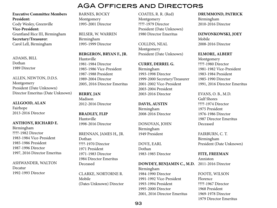**Executive Committee Members President:** Cody Wesley, Greenville **Vice-President:** Grantland Rice III, Birmingham **Secretary/Treasurer**: Carol Lell, Birmingham

ADAMS, BILL Dothan 1989 Director

ALLEN, NEWTON, D.D.S. Montgomery President (Date Unknown) Director Emeritus (Date Unknown)

**ALLGOOD, ALAN** Fairhope

2013-2016 Director

**ANTHONY, RICHARD E.** Birmingham ????-1982 Director 1983-1984 Vice-President 1985-1986 President 1987-1996 Director 1997, 2016 Director Emeritus

ASHWANDER, WALTON Decatur 1992-1993 Director

BARNES, ROCKY Montgomery 1995-2001 Director

BELSER, W. WARREN Birmingham 1995-1999 Director

**BERGERON, BRYAN F., JR.** Huntsville 1981-1984 Director 1985-1986 Vice-President 1987-1988 President 1989-2004 Director 2005, 2016 Director Emeritus

**BERRY, JAN** Madison 2012-2016 Director

**BRADLEY, FLIP** Huntsville 1998-2016 Director

BRENNAN, JAMES H,, JR. Dothan ????-1970 Director 1971 President 1971-1983 Director 1984 Director Emeritus Deceased

CLARKE, NORTORNE R. Mobile (Dates Unknown) Director COATES, R. R. (Red) Montgomery ????-1979 Director President (Date Unknown) 1980 Director Emeritus

COLLINS, NEAL Montgomery President (Date Unknown)

**CURRY, DERREL G.** Birmingham 1993-1998 Director 1999-2000 Secretary/Treasurer 2001-2002 Vice-President 2003-2004 President 2003-2016 Director

**DAVIS, AUSTIN** Birmingham 2008-2016 Director

DONOVAN, JOHN Birmingham 1949 President

DOVE, EARL Dothan 1983-1985 Director

#### **DOWDEY, BENJAMIN C., M.D.** 2011-2016 Director

Birmingham 1984-1990 Director 1991-1992 Vice-President 1993-1994 President 1995-2000 Director 2001, 2016 Director Emeritus **DRUMMOND, PATRICK** Birmingham

2010-2016 Director

**DZWONKOWSKI, JOEY**

Mobile 2008-2016 Director

**ELMORE, ALBERT**

Montgomery ????-1980 Director 1981-1982 Vice-President 1983-1984 President 1985-1990 Director 1991, 2016 Director Emeritus

EVANS, O. B., M.D. Gulf Shores ????-1974 Director 1975 President 1976-1986 Director 1987 Director Emeritus Deceased

FAIRBURN, C. T. Birmingham President (Date Unknown)

**FITE, FREEMAN** Anniston

FOOTE, WILSON Florence ????-1967 Director 1968 President 1969-1978 Director 1979 Director Emeritus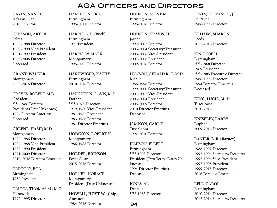**GAVIN, NANCY** Jacksons Gap 2016 Director

GLEASON, ART, JR. Selma 1983-1988 Director 1989-1990 Vice-President 1991-1992 President 1993-2006 Director Deceased

**GRANT, WALKER** Montgomery 2008-2016 Director

GRAVES, ROBERT, M.D. Gadsden ????-1986 Director President (Date Unknown) 1987 Director Emeritus Deceased

**GREENE, HAMP, M.D.** Montgomery 1982-1986 Director 1987-1988 Vice-President 1989-1990 President 1991-2009 Director 2010, 2016 Director Emeritus

GREGORY, BOB Birmingham 1950 President

GRIGGS, THOMAS M., M.D. Huntsville 1992-1995 Director

HAMILTON, ERIC Birmingham 1995-2011 Director

HARRIS, A. B. (Buck) Birmingham 1921 President

HARRIS, W. MARK Montgomery 1995-2005 Director

**HARTWIGER, KATHY** Birmingham 2010-2016 Director

HAUGHTON, DAVIS, M.D. Dothan ????-1978 Director 1979-1980 Vice-President 1981-1982 President 1983-1986 Director 1987 Director Emeritus

HODGSON, ROBERT H. Montgomery 1986-1988 Director

**HOLDER, BRINSON** Point Clear 2015-2016 Director

HORNER, HORACE Montgomery President (Date Unknown)

**HOWELL, HOYT W. (Chip)** Anniston 1984-2016 Director

**HUDSON, STEVE M.** Birmingham 1995-2016 Director

**HUDSON, TRAVIS, II**

Jasper 1992-2002 Director 2003-2004 Secretary/Treasurer 2005-2006 Vice-President 2007-2008 President 2009-2016 Director

HYNSON, GERALD R., D.M.D. Mobile 1986-1998 Director 1999-2000 Secretary/Treasurer 2001-2002 Vice-President 2003-2004 President 2005-2009 Director 2010 Director Emeritus Deceased

JAMISON, CARL T. Tuscaloosa 1992-2010 Director

JEMISON, ELBERT Birmingham ????-1993 Director President (Two Terms Dates Unknown) 1994 Director Emeritus Deceased

JONES, AL Decatur ????-1983 Director

JONES, THOMAS A., JR. Ft. Payne 1986-1996 Director

**KELLUM, SHARON**

Leeds 2015-2016 Director

KING, JOE H. Birmingham ????-1968 Director 1969 President ????-1985 Executive Director 1986-1993 Director 1994 Director Emeritus Deceased

**KING, LUCIE, M..D.** Tuscaloosa 2010-2016

**KNISELEY, LARRY** Daphne 2009-2016 Director

**LANIER, L. B. (Barney)** Birmingham 1988-1992 Director 1993-1994 Secretary/Treasurer 1995-1996 Vice-President 1997-1998 President 1999-2015 Director 2016 Director Emeritus

**LELL, CAROL** Birmingham 2010-2014 Director 2015-2016 Secretary/Treasurer

94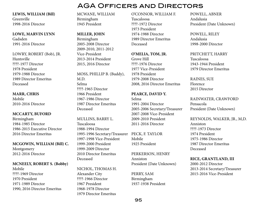#### **LEWIS, WILLIAM (Bill)** Greenville 1998-2016 Director

#### **LOWE, MARVIN LYNN**

Gadsden 1991-2016 Director

LOWRY, ROBERT (Bob), JR. Huntsville ????-1977 Director 1978 President 1979-1988 Director 1989 Director Emeritus Deceased

**MARR, CHRIS** Mobile 2010-2016 Director

#### **MCCARTY, BUFORD**

Birmingham 1984-1985 Director 1986-2015 Executive Director 2016 Director Emeritus

**MCGOWIN, WILLIAM (Bill) C.**

Montgomery 2012-2016 Director

#### **MCNEELY, ROBERT S. (Bobby)**

Mobile ????-1969 Director 1970 President 1971-1989 Director 1990, 2016 Director Emeritus MCWANE, WILLIAM Birmingham 1945 President

#### **MILLER, JOHN**

Birmingham 2005-2008 Director 2009-2010, 2011-2012 Vice-President 2013-2014 President 2015, 2016 Director

MOSS, PHILLIP B. (Buddy), M.D. Selma ????-1965 Director 1966 President 1967-1986 Director 1987 Director Emeritus Deceased

MULLINS, BARRY L. Tuscaloosa 1988-1994 Director 1995-1996 Secretary/Treasurer PECK, F. TAYLOR 1997-1998 Vice-President 1999-2000 President 1999-2009 Director 2010 Director Emeritus Deceased

NICHOL, THOMAS H. Alexander City ????-1966 Director 1967 President 1968-1978 Director 1979 Director Emeritus

O'CONNOR, WILLIAM F. Tuscaloosa ????-1972 Director 1973 President 1974-1988 Director 1989 Director Emeritus Deceased

AGA Officers and Directors

**O'MELIA, TOM, JR.** Grove Hill ????-1976 Director 1977 Vice-President 1978 President 1979-2008 Director 2008, 2016 Director Emeritus

#### **PEARCE, DAVID Y.** Selma 1991-2004 Director 2005-2006 Secretary/Treasurer 2007-2008 Vice-President 2009-2010 President 2011-2016 Director

Mobile 1925 President

PERKERSON, HENRY Anniston President (Date Unknown)

PERRY, SAM Birmingham 1937-1938 President POWELL, ABNER Andalusia President (Date Unknown)

POWELL, RILEY Andalusia 1998-2000 Director

PRITCHETT, HARRY Tuscaloosa 1943-1944 President 1979 Director Emeritus

RAINES, SUE Florence 2015 Director

RAINWATER, CRAWFORD Pensacola President (Date Unknown)

REYNOLDS, WALKER, JR., M,D. Anniston ????-1973 Director 1974 President 1975-1986 Director 1987 Director Emeritus Deceased

#### **RICE, GRANTLAND, III**

2000-2012 Director 2013-2014 Secretary/Treasurer 2015-2016 Vice-President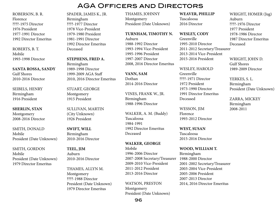ROBERSON, B. R. Florence ????-1975 Director 1976 President 1977-1991 Director 1992 Director Emeritus

ROBERTS, B. T. Mobile 1993-1998 Director

**SANTA ROSSA, SANDY** Gulf Shores 2010-2016 Director

SEIBELS, HENRY Birmingham 1916 President

**SHERLIN, STAN** Montgomery 2008-2016 Director

SMITH, DONALD Mobile President (Date Unknown)

SMITH, GORDON Mobile President (Date Unknown) 1979 Director Emeritus

SPADER, JAMES K., JR. Birmingham ????-1977 Director 1978 Vice-President 1979-1980 President 1981-1991 Director 1992 Director Emeritus Deceased

**STEPHENS, FRED A.** Birmingham 1989-1998 Director 1999-2009 AGA Staff 2010, 2016 Director Emeritus

STUART, GEORGE Montgomery 1915 President

SULLIVAN, MARTIN (City Unknown) 1926 President

**SWIFT, WILL** Birmingham 2010-2016 Director

**TEEL, JIM** Auburn 2010-2016 Director

THAMES, ALLYN M. Montgomery ????-1988 Director President (Date Unknown) 1979 Director Emeritus

THAMES, JOHNNY Montgomery President (Date Unknown)

**TURNHAM, TIMOTHY N.**

Auburn 1988-1992 Director 1993-1994 Vice-President 1995-1996 President 1997-2007 Director 2008, 2016 Director Emeritus

**VANN, SAM** Dothan 2014-2016 Director

VINES, FRANK W., JR. Birmingham 1988-1996 Director

WALKER, A. M. (Buddy) Tuscaloosa 1984-1991 1992 Director Emeritus Deceased

**WALKER, GEORGE** Mobile 1996-2006 Director 2007-2008 Secretary/Treasurer 2009-2010 Vice-President 2011-2012 President 2013-2016 Director

WATSON, PRESTON Montgomery President (Date Unknown) **WEAVER, PHILLIP**

Tuscaloosa 2016 Director

**WESLEY, CODY**

Greenville 1995-2010 Director 2011-2012 Secretary/Treasurer 2013-2014 Vice-President 2015-2016 President

WESLEY, HAROLD Greenville ????-1971 Director 1972 President 1973-1990 Director 1991 Director Emeritus Deceased

WESSON, JIM Florence 1993-2012 Director

**WEST, SUSAN** Tuscaloosa 2015-2016 Director

**WOOD, WILLIAM T.** Birmingham 1988-2000 Director 2001-2002 Secretary/Treasurer 2003-2004 Vice-President 2005-2006 President 2007-2013 Director 2014, 2016 Director Emeritus

WRIGHT, HOMER (Jug) Auburn ????-1976 Director 1977 President 1978-1986 Director 1987 Director Emeritus Deceased

WRIGHT, JOHN D. Gulf Shores 1989-2009 Director

YERKES, S. L. Birmingham President (Date Unknown)

ZARRA, MICKEY Birmingham 2008-2011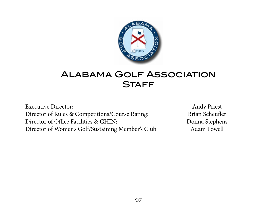

# Alabama Golf Association **STAFF**

Executive Director: Andy Priest Director of Rules & Competitions/Course Rating: Brian Scheufler Director of Office Facilities & GHIN: Donna Stephens Director of Women's Golf/Sustaining Member's Club: Adam Powell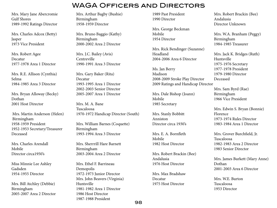Mrs. Mary Jane Abercromie Gulf Shores 1989-1992 Ratings Director

Mrs. Charles Adcox (Betty) Jasper 1973 Vice President

Mrs. Robert Agee Decatur 1977-1978 Area 1 Director

Mrs. R.E. Allison (Cynthia) Selma 1984-1985 Area 3 Director

Mrs. Bryan Alloway (Becky) Dothan 2001 Host Director

 Mrs. Martin Anderson (Helen) Birmingham 1958-1959 President 1952-1953 Secretary/Treasurer Deceased

Mrs. Charles Arendall Mobile Director circa1950's

Miss Minnie Lee Ashley Gadsden 1954-1955 Director

Mrs. Bill Atchley (Debbie) Birmingham 2005-2007 Area 2 Director Mrs. Arthur Bagby (Bushie) Birmingham 1958-1959 Director

Mrs. Bruno Baggio (Kathy) Birmingham 2000-2002 Area 2 Director

Mrs. J.C. Bailey (Avis) Centreville 1990-1991 Area 3 Director

Mrs. Gary Baker (Rita) Decatur 1993-1995 Area 1 Director 2002-2003 Senior Director 2005-2007 Area 1 Director

Mrs. M. A. Bane Tuscaloosa 1970-1972 Handicap Director (South)

Mrs. William Barnes (Coquette) Birmingham 1993-1994 Area 3 Director

Mrs. Sherrrill Hare Barnett Birmingham 2003-2004 Area 2 Director

Mrs. Ethel F. Barrineau Demopolis 1972-1973 Junior Director Mrs. John Beavers (Virginia) Huntsville 1981-1982 Area 1 Director 1986 Host Director 1987-1988 President

1989 Past President 1990 Director

Mrs. George Beckman Mobile 1954 Director

Mrs. Rick Bendinger (Suzanne) Headland 2004-2006 Area 6 Director

Ms. Jan Berry Madison 2008-2009 Stroke Play Director 2009 Ratings and Handicap Director

Mrs. Dale Bishop (Joann) Mobile 1985 Secretary

Mrs. Stanly Bobbitt Anniston Director circa 1930's

Mrs. E. A. Bornfleth Mobile 1982 Host Director

Mrs. Robert Brackin (Bee) Andalusia 1976 Host Director

Mrs. Max Bradshaw Decatur 1975 Host Director

Mrs. Robert Brackin (Bee) Andalusia Director Unknown

Mrs. W.A. Branham (Peggy) Birmingham 1984-1985 Treasurer

Mrs. Jack K. Bridges (Ruth) Huntsville 1975-1976 Secretary 1977-1978 President 1979-1980 Director Deceased

Mrs. Sam Byrd (Rae) Birmingham 1966 Vice President

Mrs. Edwin S. Bryan (Bonnie) Florence 1973-1974 Rules Director 1983-1984 Area 1 Director

Mrs. Grover Burchfield, Jr. Tuscaloosa 1982-1983 Area 2 Director 1983 Senior Director

Mrs. James Burkett (Mary Anne) Dothan 2001-2003 Area 6 Director

Mrs. W.E. Burton Tuscaloosa 1953 Director

98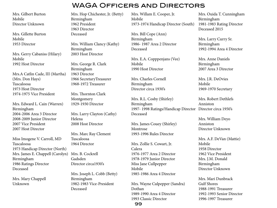Mrs. Gilbert Burton Mobile Director Unknown

Mrs. Gillette Burton Mobile 1953 Director

Mrs. Gerry Cabaniss (Hilary) Mobile 1992 Host Director

Mrs.A Catlin Cade, III (Martha) (Mrs. Don Hays) Tuscaloosa 1973 Host Director 1974-1975 Vice President

Mrs. Edward L. Cain (Warren) Birmingham 2004-2006 Area 3 Director 2008-2009 Junior Director 2007 Vice President 2007 Host Director

Miss Imogene V. Carroll, MD Tuscaloosa 1973 Handicap Director (North) Mrs. James E. Chappell (Carolyn) Birmingham 1986 Ratings Director Deceased

Mrs. Mary Chappell Unknown

Mrs. Hop Chichester, Jr. (Betty) Birmingham 1962 President 1963 Director Deceased

Mrs. William Clancy (Kathy) Birmingham 2003 Host Director

Mrs. George R. Clark Birmingham 1963 Director 1966 SecretaryTreasurer 1968-1972 Treasurer

Mrs. Thornton Clark Montgomery 1929-1930 Director

Mrs. Larry Clayton (Cathy) Helena 2008 Host Director

Mrs. Marc Ray Clement Tuscaloosa 1964 Director

Mrs. B. Cockrell Gadsden Director circa1930's

Mrs. Joseph L. Cobb (Betty) Birmingham 1982-1983 Vice-President Deceased

Mrs. Willam E. Cooper, Jr. Mobile 1973-1974 Handicap Director (South)

Mrs. Bill Cope (Ann) Birmingham 1986- 1987 Area 2 Director Deceased

Mrs. E.A. Copppenjans (Vee) Mobile 1990 Host Director

Mrs. Charles Cornell Birmingham Director circa 1930's

Mrs. R.L. Cosby (Shirley) Birmingham 1997- 1998 Ratings/Handicap Director Director circa 1950's Deceased Anniston

Mrs. James Couey (Shirley) Montrose 1993-1996 Rules Director

Mrs. Zollie S. Cowart, Jr. Calera 1976-1977 Area 2 Director 1978-1979 Junior Director Miss Jane Cullpepper Mobile 1985-1986 Area 4 Director

Mrs. Wayne Culpepper (Sandra) Dothan 1989-1990 Area 4 Director 1993 Classic Director

Mrs. Ouida T. Cunningham Birmingham 1981-1983 Rating Director Deceased 2015

Mrs. Larry Curry Sr. Birmingham 1992-1994 Area 4 Director

Mrs. Anne Daniels Birmingham 2007 Area 3 Director

Mrs. J.R. DeOvies Mobile 1969-1970 Secretary

Mrs. Robert Dethlefs

Mrs. William Deyo Anniston Director Unknown

Mrs. A.F. DeVan (Mattie) Mobile 1958 Director 1962 Vice President Mrs. J.M. Donald Birmingham Director Unknown

Mrs. Mari Dunbrack Gulf Shores 1988-1991 Treasurer 1992-1993 Senior Director 1996-1997 Treasurer

99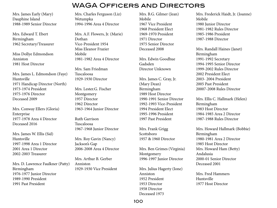Mrs. James Early (Mary) Dauphine Island 1988-1989 Senior Director

Mrs. Edward T. Ebert Birmingham 1962 Secretary/Treasurer

Miss Dollye Edmondson Anniston 1981 Host Director

Mrs. James L. Edmondson (Faye) Huntsville 1971 Handicap Director (North) 1973-1974 President 1975-1976 Director Deceased 2009

Mrs. Conway Ellers (Gloria) Enterprise 1977-1978 Area 4 Director Deceased 2016

Mrs. James W. Ellis (Sid) Huntsville 1997-1998 Area 1 Director 2001 Area 1 Director 2002-2003 Treasurer

Mrs. D. Lawrence Faulkner (Patty) Birmingham 1976-1977 Junior Director 1989-1990 President 1991 Past President

Mrs. Charles Ferguson (Liz) Wetumpka 1994-1996 Area 4 Director

Mrs. A.F. Flowers, Jr. (Marie) Dothan Vice-President 1954 Miss Eleanor Frazier Mobile 1981-1982 Area 4 Director

Mrs. Sam Friedman Tuscaloosa 1929-1930 Director

Mrs. Lester.G. Fischer Montgomery 1957 Director 1962 Director 1963-1964 Junior Director

Ruth Garrison Tuscaloosa 1967-1968 Junior Director

Mrs. Roy Gavin (Nancy) Jackson's Gap 2006-2008 Area 4 Director

Mrs. Arthur B. Gerber Anniston 1929-1930 Vice President Mrs. B.G. Gilmer (Jean) Mobile 1967 Vice President 1968 President Elect 1969-1970 President 1971 Director 1975 Senior Director Deceased 2008

Mrs. Edwin Goodhue Gadsden Director Unknown

Mrs. James C. Gray, Jr. (Mary Dean) Birmingham 1989 Host Director 1990-1991 Senior Director 1992-1993 Vice-President 1994 President Elect 1995-1996 President 1997 Past President

Mrs. Frank Grigg Scottsboro 1957 & 1960 Director

Mrs. Ben Grimes (Virginia) Montgomery 1996-1997 Junior Director

Mrs. Julius Hagerty (Ione) Anniston 1952 President 1953 Director 1958 Director Deceased 1973

Mrs. Frederick Haidt, Jr. (Joanne) Mobile 1980 Junior Director 1981-1982 Rules Director 1985-1986 President 1987-1988 Director

Mrs. Randall Haines (Janet) Birmingham 1991-1992 Secretary 1994-1995 Senior Director 1999-2002 Rules Director 2002 President Elect 2003- 2004 President 2005 Past President 20007-2008 Rules Director

Mrs. Ellis C. Hallmark (Helen) Birmingham 1983 Host Director 1984-1985 Area 2 Director 1987-1988 Rules Director

Mrs. Howard Hallmark (Bobbie) Birmingham 1980-1981 Area 2 Director 1985 Host Director Mrs. Howard Ham (Betty) Andalusia 2000-01 Senior Director Deceased 2001

Mrs. Fred Hammers Huntsville 1977 Host Director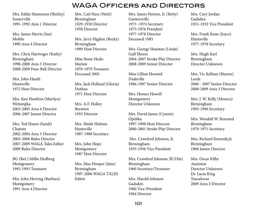Mrs. Eddie Hammons (Shirley) Somerville 1991-1992 Area 1 Director

Mrs. James Harris (Sue) Mobile 1990 Area 4 Director

Mrs. Chris Hartwiger (Kathy) Birmingham 1998-2000 Area 3 Director 2008-2009 Four-Ball Director

Mrs. John Hauth Huntsville 1972 Host Director

Mrs. Ken Hawkins (Marilyn) Wetumpka 2003-2005 Area 4 Director 2006-2007 Junior Director

Mrs. Ted Hazen (Sarah) Chatom 2002-2004 Area 5 Director 2005-2006 Rules Director 2007-2009 WAGA Tales Editor 2009 Rules Director

BG (Ret.) Millie Hedberg Montgomery 1992-1993 Treasurer

Mrs. John Herring (Barbara) Montgomery 1991 Area 4 Director

Mrs. Carl Hess (Netti) Birmingham 1929-1930 Director 1958 Director

Mrs. Jerry Higdon (Becky) Birmingham 1999 Host Director

Miss Stone Hodo Marion 1976-1979 Treasurer Deceased 2005

Mrs. Jack Holland (Gloria) Dothan 1971 Host Director

Mrs. A.F. Holley Brewton 1955 Director

Mrs. Heide Holmes Huntsville 1987-1988 Secretary

Mrs. John Hope Montgomery 1987 Host Director

Mrs. Max Hooper (Jane) Birmingham 1997-2006 WAGA TALES Editor

Mrs. James Horton, Jr. (Betty) Guntersville 1973 -1974 Secretary 1975-1976 President 1977-1978 Director Deceased 1985

Mrs. George Houston (Linda) Gulf Shores 2004-2007 Stroke Play Director 2008-2009 Senior Director

Miss Lillian Howard Dadeville 1986-1987 Senior Director

Mrs. Homer Howell Montgomery Director Unknown

Mrs. David James (Cynnie) Opelika 1997-1998 Host Director 2000-2001 Stroke Play Director

 Mrs. Crawford Johnson, Jr. Birmingham 1935-1936 Vice President

Mrs. Crawford Johnson, lll (Din) Birmingham 1960 Secretary/Treasurer

Mrs. Harold Johnson Gadsden 1960 Vice-President 1964 Director

Mrs. Cary Jordan Gadsden 1931-1932 Vice President

Mrs. Frank Kane (Joyce) Huntsville 1977-1978 Secretary

Mrs. Hugh Karl Birmingham Director Unknown

Mrs. Vic Kellum (Sharon) Leeds 2006 - 2007 Senior Director 2008-2009 Area 3 Director

Mrs. J. W. Kelly (Monica) Birmingham 1993-1996 Secretary

Mrs. Wendall W. Kennard Birmingham 1970-1971 Secretary

Mrs. Richard Kennedy,Jr. Birmingham 1966 Junior Director

Mrs. Oscar Kilby Anniston Director Unknown Dr. Lucie King Tuscaloosa 2009 Area 2 Director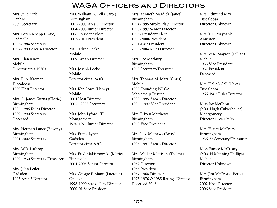#### Mrs. Julie Kirk Daphne 2009 Secretary

Mrs. Loren Knepp (Katie) Dadeville 1983-1984 Secretary 1997-1999 Area 4 Director

Mrs. Alan Knox Mobile Director circa 1930's

Mrs. E. A. Kremer Tuscaloosa 1980 Host Director

Mrs. A. James Kurtts (Gloria) Birmingham 1985-1986 Rules Director 1989-1990 Secretary Deceased

Mrs. Herman Lance (Beverly) Birmingham 2001-2002 Secretary

Mrs. W.R. Lathrop Birmingham 1929-1930 Secretary/Treasurer

Mrs. John Lefler Gadsden 1995 Area 3 Director Mrs. William A. Lell (Carol) Birmingham 2001-2003 Area 3 Director 2004-2005 Junior Director

2006 President Elect 2007-2010 President

Ms. Earline Locke Mobile 2009 Area 5 Director

Mrs. Joseph Locke Mobile Director circa 1960's

Mrs. Ken Lowe (Nancy) Mobile 2004 Host Director 2005 - 2008 Secretary

Mrs. John Lyford, III Montgomery 1970-1971 Junior Director

Mrs. Frank Lynch Gadsden Director circa1930's

Mrs. Fred Makismowski (Marie) Huntsville 2004-2005 Senior Director

Mrs. George P. Mann (Lucretia) Opelika 1998-1999 Stroke Play Director 2000-01 Vice President

Mrs. Kenneth Mardick (Janet) 1994-1995 Stroke Play Director 1996-1997 Senior Director 1998- President Elect 1999-2000-President 2001-Past President 2003-2004 Rules Director

Mrs. Lee Marbury Birmingham 1959 Secretary/Treasurer

Mrs. Thomas M. Marr (Chris) Mobile 1993 Founding WAGA Scholarship Trustee 1993-1995 Area 5 Director 1996- 1997 Vice President

Mrs. F. Ivan Matthews Birmingham 1963 Vice-President

Mrs. J. A. Mathews (Betty) Birmingham 1996-1997 Area 3 Director

Mrs. Walker Mattison (Thelma) Birmingham 1962 Director 1966 President 1967-1968 Director 1975-1976 & 1985 Ratings Director Deceased 2012

Mrs. Edmund May Tuscaloosa Director Unknown

Mrs. T.D. Maybank Anniston Director Unknown

Mrs. W.K. Mayson (Lillian) Mobile 1955 Vice President 1957 President Deceased

Mrs. Hal McCall (Neva) Tuscaloosa 1966-1967 Rules Director

Miss Joy McCann (Mrs. Hugh Culverhouse) Montgomery Director circa 1940's

Mrs. Henry McCrary Birmingham 1936-37 Secretary/Treasurer

Miss Eunice McCreary (Mrs. H.Manning Phillips) Mobile Director Unknown

Mrs. Jim McCrory (Betty) Birmingham 2002 Host Director 2006 Vice President

#### Birmingham

WAGA Officers and Directors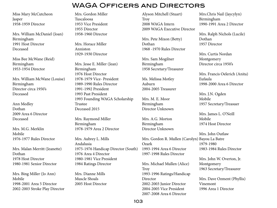Miss Mary McCutcheon Jasper 1958-1959 Director

Mrs. William McDaniel (Joan) Birmingham 1991 Host Director Deceased

Miss Bee McWane (Reid) Birmingham 1953-1954 Director

Mrs. William McWane (Louise) Birmingham Director circa 1950's Deceased

Ann Medley Dothan 2009 Area 6 Director Deceased

Mrs. M.G. Merklin Mobile 1976-1977 Rules Director

Mrs. Malan Merritt (Jeanette) Dothan 1978 Host Director 1980-1981 Senior Director

Mrs. Bing Miller (Jo Ann) Mobile 1998-2001 Area 5 Director 2002-2003 Stroke Play Director Mrs. Gordon Miller Tuscaloosa 1953 Vice President 1955 Director 1958-1960 Director

Mrs. Horace Miller Anniston 1929-1930 Director

Mrs. Jesse E. Miller (Jean) Birmingham 1976 Host Director 1978-1979 Vice- President 1989-1990 Rules Director 1991-1992 President 1993 Past President 1993 Founding WAGA Scholarship Trustee Deceased 2015

Mrs. Raymond Miller Birmingham 1978-1979 Area 2 Director

Mrs. Aubrey L. Mills Andalusia 1975-1976 Handicap Director (South) 1976 Area 4 Director 1980-1981 Vice President 1984 Ratings Director

Mrs. Dianne Mills Muscle Shoals 2005 Host Director Alyson Mitchell (Stuart) **Troy** 2008 WAGA Intern 2009 WAGA Executive Director

Mrs. Pete Mixon (Betty) Dothan 1968 -1970 Rules Director

Mrs. Sam Mogilner Birmingham 1958 Secretary/Treasurer

Ms. Melissa Motley Auburn 2004-2005 Treasurer

Mrs. M. E. Moor Birmingham Director Unknown

Mrs. A.G. Morton Birmingham Director Unknown

Mrs. Gordon R. Mullen (Carolyn) Bayou La Batre Ozark 1993-1994 Area 6 Director 1997-1998 Rules Director 1979-1980

Mrs. Michael Mullen (Alice) Troy 1993-1996 Ratings/Handicap Director 2002-2003 Junior Director 2004-2005 Vice President 2007-2008 Area 6 Director

Mrs.Chris Nail (Jaycylyn) Birmingham 1990-1991 Area 2 Director

Mrs. Ralph Nichols (Lucile) Dothan 1957 Director

Mrs. Curtis Nordan Montgomery Director circa 1950's

Mrs. Francis Oelerich (Anita) Eufaula 1998-2000 Area 6 Director

Mrs. J.N. Ogden Mobile 1957 Secretary/Treasuer

Mrs. James L. O'Neill Mobile 1974 Host Director

Mrs. John Outlaw 1983-1984 Rules Director

> Mrs. John W. Overton, Jr. Montgomery 1963 Secretary/Treasurer

Mrs. Dave Ozment (Phyllis) Vinemont 1996 Area 1 Director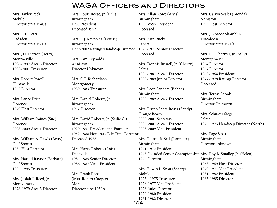Mrs. Taylor Peck Mobile Director circa 1940's

Mrs. A.E. Petri Gadsden Director circa 1960's

Mrs. J.O. Pierson (Terry) Monroeville 1996-1997 Area 5 Director 1998-2001 Treasurer

Mrs. Robert Powell Huntsville 1962 Director

Mrs. Lance Price Florence 1970 Host Director

Mrs. William Raines (Sue) Florence 2008-2009 Area 1 Director

Mrs. William A. Rawls (Betty) Gulf Shores 1984 Host Director

Mrs. Harold Raynor (Barbara) Gulf Shores 1994-1995 Treasurer

Mrs. Josiah F. Reed, Jr. Montgomery 1978-1979 Area 3 Director Mrs. Louie Reese, Jr. (Nell) Birmingham 1953 President Deceased 1993

Mrs. R.J. Reynolds (Louise) Birmingham 1999-2002 Ratings/Handicap Director 1976-1977 Senior Director

Mrs. Sam Reynolds Anniston Director Unknown

Mrs. O.P. Richardson Montgomery 1980-1983 Treasurer

Mrs. Daniel Roberts, Jr. Birmingham 1957 Director

Mrs. David Roberts, Jr. (Sadie G.) Birmingham 1929-1951 President and Founder 1952-1988 Honorary Life Time Director

Deceased 1988

Mrs. Harry Roberts (Lois) Dadeville 1984-1985 Senior Director 1986-1987 Vice- President

Mrs. Frank Roos (Mrs. Robert Cooper) Mobile Director circa1950's

Mrs. Allan Rowe (Alvis) Birmingham 1959 Vice- President Deceased

Mrs. Ann Rucks Lanett Deceased

Mrs. Donnie Russell, Jr. (Cherry) Selma 1986-1987 Area 3 Director 1988-1989 Junior Director

Mrs. Leon Sanders (Bobbe) Birmingham 1988-1989 Area 2 Director

Mrs. Bruno Santa Rossa (Sandy) Orange Beach 2003-2004 Secretary 2005-2007 Area 5 Director 2008-2009 Vice-President

Mrs. Russell B. Sell (Jeannette) Birmingham 1971-1972 President 1973 Founded Senior Championship Mrs. Roy B. Smalley, Jr. (Helen) 1974 Director

Mrs. Edwin L. Scott (Sherry) Mobile 1973 - 1975 Treasurer 1976-1977 Vice President 1978 Rules Director 1979-1980 President 1981-1982 Director 104

Mrs. Calvin Seales (Brenda) Anniston 1993 Host Director

Mrs. J. Roscoe Shamblin Tuscaloosa Director circa 1960's

Mrs. L.L. Shertzer, Jr. (Sally) Montgomery 1954 Director 1957 Director 1963-1964 President 1977-1978 Ratings Director Deceased

Mrs. Teresa Shook Birmingham Director Unknown

Mrs. Schuster Siegel Selma 1974-1975 Handicap Director (North)

Mrs. Page Sloss Birmingham Director unknown

Birmingham 1968-1969 Host Director 1970-1971 Vice President 1981-1982 President 1983-1985 Director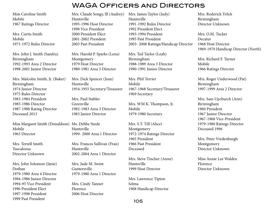Miss Caroline Smith Mobile 1967 Ratings Director

Mrs. Curtis Smith Mobile 1971-1972 Rules Director

Mrs. John J. Smith (Sandra) Birmingham 1992-1993 Area 2 Director 1998-2001 Junior Director

Mrs. Malcolm Smith, Jr. (Baker) Birmingham 1974 Junior Director 1975 Rules Director 1983-1984 President 1985-1986 Director 1987-1988 Rating Director Deceased 2013

Miss Margaret Smith (Donaldson) Ms. Debbe Steele Mobile 1963 Director

Mrs. Terrell Smith Tuscaloosa Director Unknown

Mrs. John Solomon (Janie) Dothan 1979-1980 Area 4 Director 1984-1986 Junior Director 1994-95 Vice President 1996 President Elect 1997-1998 President 1999 Past President

Mrs. Claude Songy, lll (Audrey) Huntsville 1995-1996 Host Director Mrs. James Taylor (Judy) Huntsville WAGA Officers and Directors

1998 Vice President 2000 President Elect 2001-2002 President 2003 Past President

Mrs. Harold P. Sparks (Lena) Montgomery 1979 Host Director 1980-1981 Area 3 Director

Mrs. Dick Spencer (Jean) Huntsville 1954-1955 Secretary/Treasurer

Mrs. Paul Stabler Greenville 1982-1983 Area 3 Director 1983 Junior Director

Huntsville 1999- 2000 Area 1 Director

Mrs. Frances Sullivan (Fran) Huntsville 2002-2004 Area 1 Director

Mrs. Jude M. Swint Guntersville 1979-1980 Area 1 Director

Mrs. Cindy Tanner Florence 2006 Host Director

1991-1992 Rules Director 1992 President Elect 1993-1994 President 1995 Past President 2003- 2008 Ratings/Handicap Director

Mrs. Ted Taylor (Leah) Birmingham 1988-1989 Area 3 Director 1990-1991 Junior Director

Mrs. Phil Terrier Mobile 1967-1968 Secretary/Treasurer 1969 Secretary

Mrs. WM K. Thompson, Jr. Mobile 1979-1980 Secretary

Mrs. S.T. Till (Alice) Montgomery 1972-1974 Ratings Director 1965 President 1966 Past President Deceased

Mrs. Steve Tincher (Anne) Huntsville 1999 Host Director

Mrs. Lawrence Tipton Selma 1968 Handicap Director Mrs. Roderick Trilck Birmingham Director Unknown

Mrs. O.M. Tucker Decatur 1968 Host Director 1969-1970 Handicap Director (North)

Mrs. Richard F. Turner Mobile 1966 Ratings Director

Mrs. Roger Underwood (Pat) Birmingham 1997-1999 Area 2 Director

Mrs. Sam Upchurch (Ann) Birmingham 1960 President 1967 Junior Director 1967-1968 Vice-President 1979-1980 Ratings Director Deceased 1996

Mrs. Peter Vredenburgh Montgomery Director Unknown

Miss Annie Lee Walden Florence Director Unknown

105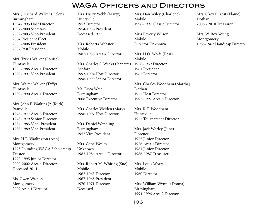Mrs. J. Richard Walker (Helen) Birmingham 1994-1995 Host Director 1997-2000 Secretary 2002-2003 Vice-President 2004 President Elect 2005-2006 President 2007 Past President

Mrs. Travis Walker (Louise) Huntsville 1985-1986 Area 1 Director 1990-1991 Vice-President

Mrs. Walter Walker (Taffy) Huntsville 1989-1990 Area 1 Director

Mrs. John F. Watkins Jr. (Ruth) Prattville 1976-1977 Area 3 Director 1978-1979 Senior Director 1984-1985 Vice- President 1988-1989 Vice-President

Mrs. H.E. Watlington (Ann) Montgomery 1993 Founding WAGA Scholarship Trustee 1992-1995 Junior Director 2000-2002 Area 4 Director Deceased 2014

Ms. Gwen Watson Montgomery 2009 Area 4 Director Mrs. Harry Webb (Marty) Huntsville 1953 Director 1954-1956 President Deceased 1977

Mrs. Roberta Webster Mobile 1987-1988 Area 4 Director

Mrs. Charles S. Weeks (Jeanette) 1958-1959 Director Ashford 1993-1994 Host Director 1998-1999 Senior Director

Ms. Erica Wein Birmingham 2008 Executive Director

Mrs. Charles Welden (Mary) 1996-1997 Host Director

Mrs. Daniel Wendling Birmingham 1957 Vice President

Mrs. Gene Wesley Unknown 1983-1984 Area 4 Director

Mrs. Robert M. Whiting (Sue) Mobile 1962-1963 Director 1967-1968 President 1970-1971 Director Deceased

Mrs. Dan Wiley (Charlene) Mobile 1996-1997 Classic Director

Miss Beverly Wilson Mobile Director Unknown

Mrs. H.O. Wolfe (Bess) Mobile 1961 President 1962 Director

Mrs. Charles Woodham (Martha) Dothan 1977 Host Director 1995-1997 Area 6 Director

Mrs. R.T. Woodham Huntsville 1977 Tournament Director

Mrs. Jack Worley (June) Florence 1975 Junior Director 1976 Area 1 Director 1981 Junior Director 1986-1987 Treasurer

Mrs. Louis Worrell Mobile 1960 Director

Mrs. William Wynne (Donna) Birmingham 1994-1996 Area 2 Director

Mrs. Okey B. Yost (Elaine) Dothan 2006 - 2010 Treasurer

Mrs. W. Roy Young Montgomery 1966-1967 Handicap Director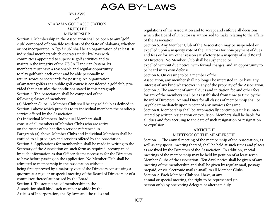# AGA By-Laws

#### BY-LAWS of

ALABAMA GOLF ASSOCIATION **ARTICLE I**

#### MEMBERSHIP Section 1. Membership in the Association shall be open to any "golf club" composed of bona fide residents of the State of Alabama, whether or not incorporated. A "golf club" shall be an organization of at least 10 individual members which operates under by-laws with committees appointed to supervise golf activities and to maintain the integrity of the USGA Handicap System. Its members must have a reasonable and regular opportunity to play golf with each other and be able personally to return scores or scorecards for posting. An organization of amateur golfers at a public golf course is considered a golf club, provided that it satisfies the conditions stated in this paragraph. Section 2. The Association shall be composed of the following classes of members:

(a) Member Clubs. A Member Club shall be any golf club as defined in Section 1 above which provides to its individual members the handicap service offered by the Association.

(b) Individual Members. Individual Members shall consist of all members of Member Clubs who are active on the roster of the handicap service referenced in Paragraph (a) above. Member Clubs and Individual Members shall be

entitled to all privileges and services offered by the Association. Section 3. Applications for membership shall be made in writing to the Secretary of the Association on such form as required, accompanied by such information as that Officer deems necessary for the Directors to have before passing on the application. No Member Club shall be admitted to membership in the Association without

being first approved by a majority vote of the Directors constituting a quorum at a regular or special meeting of the Board of Directors or of a committee thereof authorized by the Board.

Section 4. The acceptance of membership in the Association shall bind each member to abide by the Articles of Incorporation, the By-laws and the rules and regulations of the Association and to accept and enforce all decisions which the Board of Directors is authorized to make relating to the affairs of the Association.

Section 5. Any Member Club of the Association may be suspended or expelled upon a majority vote of the Directors for non-payment of dues and fees or for any other reason satisfactory to a majority of said Board of Directors. No Member Club shall be suspended or

expelled without due notice, with formal charges, and an opportunity to be heard in its own defense.

Section 6. On ceasing to be a member of the

Association, any member shall no longer be interested in, or have any interest of any kind whatsoever in any of the property of the Association. Section 7. The amount of annual dues and initiation fee and other fees for any of the members shall be as established from time to time by the Board of Directors. Annual Dues for all classes of membership shall be payable immediately upon receipt of any invoices for same. Section 8. Membership shall be automatically continuous unless interrupted by written resignation or expulsion. Members shall be liable for all dues and fees accruing to the date of such resignation or resignation

#### **ARTICLE II**

#### MEETINGS OF THE MEMBERSHIP

Section 1. The annual meeting of the membership of the Association, as well as any special meeting thereof, shall be held at such times and places as are fixed by the Directors of the Association. In addition, special meetings of the membership may be held by petition of at least seven Member Clubs of the association. Ten days' notice shall be given of any meeting of the membership and shall be given by regular mail, postage prepaid, or via electronic mail (e-mail) to all Member Clubs. Section 2. Each Member Club shall have, at any annual or special meeting, the right to be represented (in person only) by one voting delegate or alternate duly

or expulsion.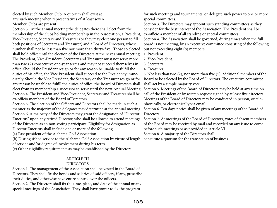elected by such Member Club. A quorum shall exist at any such meeting when representatives of at least seven Member Clubs are present.

Section 3. At the annual meeting the delegates there shall elect from the membership of the clubs holding membership in the Association, a President, Vice-President, Secretary and Treasurer (or they may elect one person to fill both positions of Secretary and Treasurer) and a Board of Directors, whose number shall not be less than five nor more than thirty-five. Those so elected shall hold office until the election of the Directors at the next annual meeting. The President, Vice-President, Secretary and Treasurer must not serve more than two (2) consecutive one-year terms and may not succeed themselves in office. Should the President resign or for any reason be unable to fulfill the duties of his office, the Vice President shall succeed to the Presidency immediately. Should the Vice President, the Secretary or the Treasurer resign or for any reason be unable to fulfill the duties of office, the Board of Directors shall elect from its membership a successor to serve until the next Annual Meeting. Section 4. The President and Vice-President, Secretary and Treasurer shall be ex-officio members of the Board of Directors.

Section 5. The election of the Officers and Directors shall be made in such a manner as the majority of the delegates may determine at the annual meeting. Section 6. A majority of the Directors may grant the designation of "Director Emeritus" upon any retired Director, who shall be allowed to attend meetings of the Directors as an non-voting participant. Eligibility for designation as Director Emeritus shall include one or more of the following:

(a) Past president of the Alabama Golf Association.

(b) Distinguished service to the Alabama Golf Association by virtue of length constitute a quorum for the transaction of business.of service and/or degree of involvement during his term.

(c) Other eligibility requirements as may be established by the Directors.

#### **ARTICLE III**

#### DIRECTORS

Section 1. The management of the Association shall be vested in the Board of Directors. They shall fix the bonds and salaries of said officers, if any, prescribe their duties, and otherwise have entire control over the officers. Section 2. The Directors shall fix the time, place, and date of the annual or any special meetings of the Association. They shall have power to fix the program

for such meetings and tournaments, or delegate such power to one or more special committees.

Section 3. The Directors may appoint such standing committees as they consider for the best interest of the Association. The President shall be ex-officio a member of all standing or special committees.

Section 4. The Association shall be governed, during times when the full board is not meeting, by an executive committee consisting of the following but not exceeding eight (8) members:

1. President.

2. Vice-President.

3. Secretary.

4. Treasurer.

5. Not less than two (2), nor more than five (5), additional members of the Board to be selected by the Board of Directors. The executive committee shall act by a simple majority vote.

Section 5. Meetings of the Board of Directors may be held at any time on call of the President or by written request signed by at least five directors. Meetings of the Board of Directors may be conducted in person, or telephonically, or electronically via email.

Section 6. Ten days notice shall be given of any meetings of the Board of Directors.

Section 7. At meetings of the Board of Directors, votes of absent members of the Board may be received by mail and recorded on any issue to come before such meetings or as provided in Article VI.

Section 8. A majority of the Directors shall